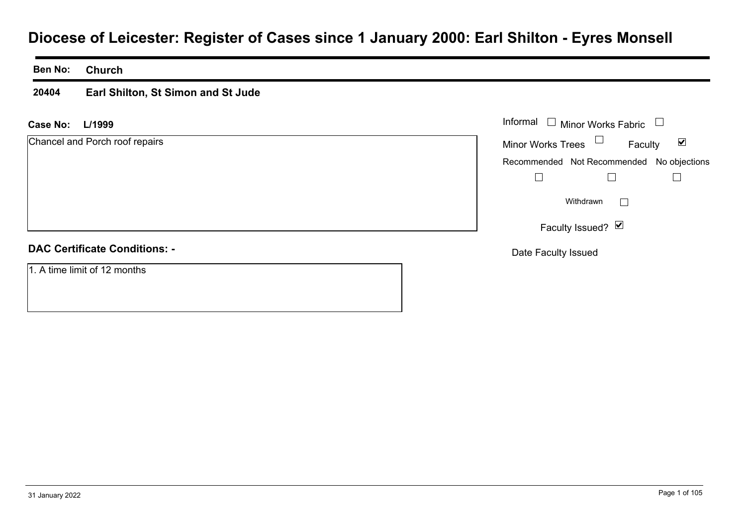# **Diocese of Leicester: Register of Cases since 1 January 2000: Earl Shilton - Eyres Monsell**

**Ben No: Church**

**20404Earl Shilton, St Simon and St Jude**

#### **L/1999Case No:** Informal

Chancel and Porch roof repairs

|  | <b>DAC Certificate Conditions: -</b> |  |
|--|--------------------------------------|--|
|  |                                      |  |

1. A time limit of 12 months

| Informal<br>$\Box$ Minor Works Fabric     |                   |         |  |
|-------------------------------------------|-------------------|---------|--|
| Minor Works Trees                         |                   | Faculty |  |
| Recommended Not Recommended No objections |                   |         |  |
|                                           |                   |         |  |
|                                           | Withdrawn         |         |  |
|                                           | Faculty Issued? Ø |         |  |
| Date Faculty Issued                       |                   |         |  |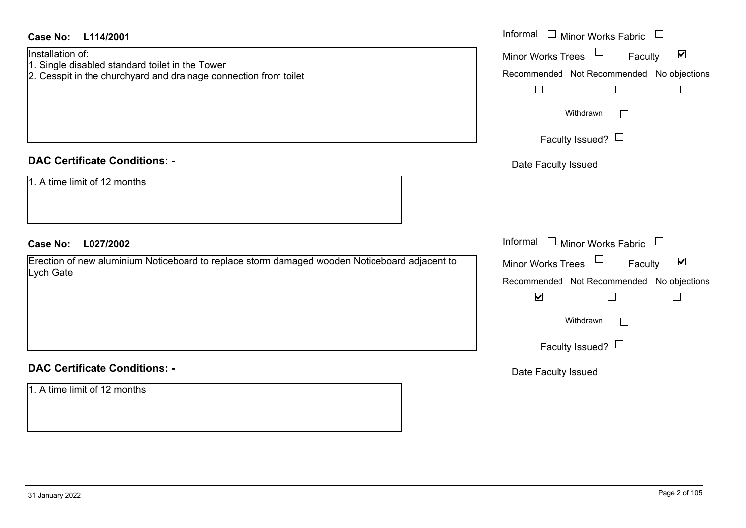| <b>Case No:</b><br>L114/2001                                                                                                            | Informal □ Minor Works Fabric □                                                                                                                                                                       |
|-----------------------------------------------------------------------------------------------------------------------------------------|-------------------------------------------------------------------------------------------------------------------------------------------------------------------------------------------------------|
| Installation of:<br>1. Single disabled standard toilet in the Tower<br>2. Cesspit in the churchyard and drainage connection from toilet | Minor Works Trees <sup>1</sup><br>$\blacktriangledown$<br>Faculty<br>Recommended Not Recommended No objections<br>$\Box$<br>⊔<br>$\Box$                                                               |
|                                                                                                                                         | Withdrawn<br>$\Box$                                                                                                                                                                                   |
|                                                                                                                                         | Faculty Issued? $\Box$                                                                                                                                                                                |
| <b>DAC Certificate Conditions: -</b>                                                                                                    | Date Faculty Issued                                                                                                                                                                                   |
| 1. A time limit of 12 months                                                                                                            |                                                                                                                                                                                                       |
| <b>Case No:</b><br>L027/2002                                                                                                            | Informal<br>$\Box$ Minor Works Fabric $\Box$                                                                                                                                                          |
| Erection of new aluminium Noticeboard to replace storm damaged wooden Noticeboard adjacent to<br>Lych Gate                              | Minor Works Trees<br>$\blacktriangledown$<br>Faculty<br>Recommended Not Recommended No objections<br>$\blacktriangledown$<br>$\perp$<br>$\mathbf{I}$<br>Withdrawn<br>$\Box$<br>Faculty Issued? $\Box$ |
| <b>DAC Certificate Conditions: -</b>                                                                                                    | Date Faculty Issued                                                                                                                                                                                   |
| 1. A time limit of 12 months                                                                                                            |                                                                                                                                                                                                       |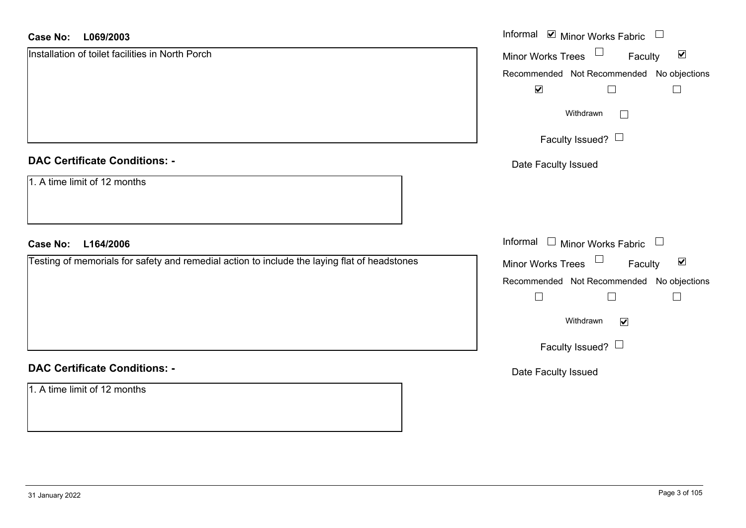| <b>Case No:</b><br>L069/2003                                                                 | Informal ⊠ Minor Works Fabric □                                |
|----------------------------------------------------------------------------------------------|----------------------------------------------------------------|
| Installation of toilet facilities in North Porch                                             | Minor Works Trees $\Box$<br>$\blacktriangledown$<br>Faculty    |
|                                                                                              | Recommended Not Recommended No objections                      |
|                                                                                              | $\blacktriangledown$<br>$\Box$<br>Ш                            |
|                                                                                              | Withdrawn<br>$\Box$                                            |
|                                                                                              | Faculty Issued?                                                |
| <b>DAC Certificate Conditions: -</b>                                                         | Date Faculty Issued                                            |
| 1. A time limit of 12 months                                                                 |                                                                |
| <b>Case No:</b><br>L164/2006                                                                 | Informal $\Box$ Minor Works Fabric $\Box$                      |
| Testing of memorials for safety and remedial action to include the laying flat of headstones | $\Box$<br>$\blacktriangledown$<br>Minor Works Trees<br>Faculty |
|                                                                                              | Recommended Not Recommended No objections                      |
|                                                                                              | $\Box$<br>$\mathbb{R}^n$<br>$\Box$                             |
|                                                                                              | Withdrawn<br>$\blacktriangledown$                              |
|                                                                                              | Faculty Issued?                                                |
| <b>DAC Certificate Conditions: -</b>                                                         | Date Faculty Issued                                            |
| 1. A time limit of 12 months                                                                 |                                                                |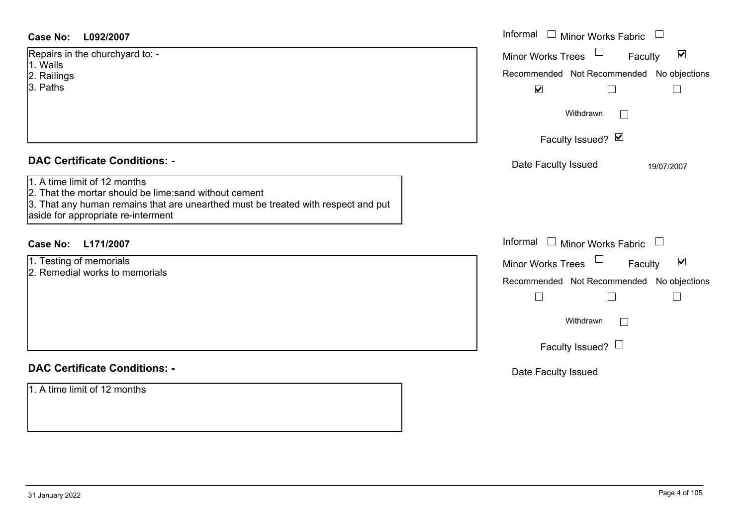| Case No:<br>L092/2007                                                                                                                                                                                             | Informal $\Box$ Minor Works Fabric $\Box$                             |
|-------------------------------------------------------------------------------------------------------------------------------------------------------------------------------------------------------------------|-----------------------------------------------------------------------|
| Repairs in the churchyard to: -<br>1. Walls                                                                                                                                                                       | $\Box$<br>$\blacktriangledown$<br><b>Minor Works Trees</b><br>Faculty |
| 2. Railings                                                                                                                                                                                                       | Recommended Not Recommended No objections                             |
| 3. Paths                                                                                                                                                                                                          | $\blacktriangledown$                                                  |
|                                                                                                                                                                                                                   | Withdrawn<br>$\mathbb{R}^n$                                           |
|                                                                                                                                                                                                                   | Faculty Issued? Ø                                                     |
| <b>DAC Certificate Conditions: -</b>                                                                                                                                                                              | Date Faculty Issued<br>19/07/2007                                     |
| 1. A time limit of 12 months<br>2. That the mortar should be lime: sand without cement<br>3. That any human remains that are unearthed must be treated with respect and put<br>aside for appropriate re-interment |                                                                       |
| <b>Case No:</b><br>L171/2007                                                                                                                                                                                      | Informal $\Box$ Minor Works Fabric $\Box$                             |
| 1. Testing of memorials                                                                                                                                                                                           | $\blacktriangledown$<br><b>Minor Works Trees</b><br>Faculty           |
| 2. Remedial works to memorials                                                                                                                                                                                    | Recommended Not Recommended No objections                             |
|                                                                                                                                                                                                                   | $\Box$                                                                |
|                                                                                                                                                                                                                   | Withdrawn<br>$\mathbb{R}^n$                                           |
|                                                                                                                                                                                                                   | Faculty Issued? $\Box$                                                |
| <b>DAC Certificate Conditions: -</b>                                                                                                                                                                              | Date Faculty Issued                                                   |
| 1. A time limit of 12 months                                                                                                                                                                                      |                                                                       |
|                                                                                                                                                                                                                   |                                                                       |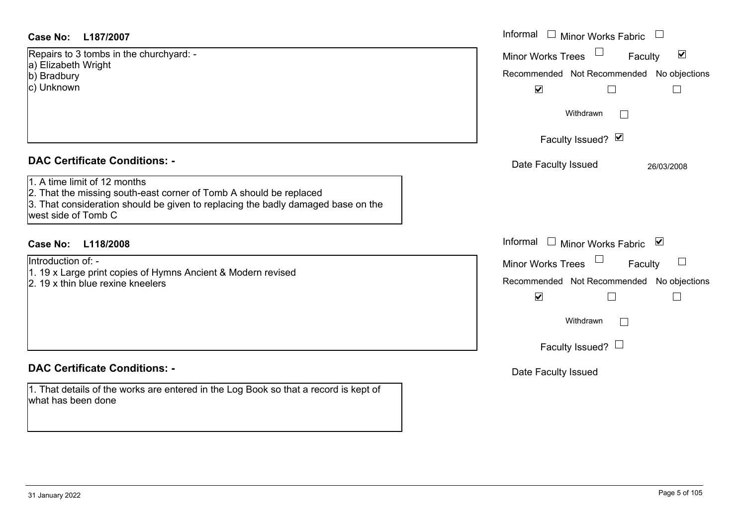## **DAC Certificate Conditions: -**

| 1. A time limit of 12 months |  |  |  |
|------------------------------|--|--|--|
|------------------------------|--|--|--|

## **DAC Certificate Conditions: -**

1. That details of the works are entered in the Log Book so that a record is kept of what has been done

| <b>Case No:</b><br>L187/2007                                                                                                                                                                                  | Informal $\square$<br><b>Minor Works Fabric</b>                                                                           |
|---------------------------------------------------------------------------------------------------------------------------------------------------------------------------------------------------------------|---------------------------------------------------------------------------------------------------------------------------|
| Repairs to 3 tombs in the churchyard: -<br>a) Elizabeth Wright<br>b) Bradbury<br>c) Unknown                                                                                                                   | $\blacktriangledown$<br>Minor Works Trees<br>Faculty<br>Recommended Not Recommended No objections<br>$\blacktriangledown$ |
|                                                                                                                                                                                                               | Withdrawn<br>Faculty Issued? Ø                                                                                            |
| <b>DAC Certificate Conditions: -</b>                                                                                                                                                                          | Date Faculty Issued<br>26/03/2008                                                                                         |
| 1. A time limit of 12 months<br>2. That the missing south-east corner of Tomb A should be replaced<br>3. That consideration should be given to replacing the badly damaged base on the<br>west side of Tomb C |                                                                                                                           |
| <b>Case No:</b><br>L118/2008                                                                                                                                                                                  | Informal<br>Minor Works Fabric ⊠                                                                                          |
| Introduction of: -<br>1. 19 x Large print copies of Hymns Ancient & Modern revised<br>2. 19 x thin blue rexine kneelers                                                                                       | $\mathbf{L}$<br><b>Minor Works Trees</b><br>Faculty<br>Recommended Not Recommended No objections<br>$\blacktriangledown$  |
|                                                                                                                                                                                                               | Withdrawn                                                                                                                 |
|                                                                                                                                                                                                               | Faculty Issued? $\Box$                                                                                                    |
| <b>DAC Certificate Conditions: -</b>                                                                                                                                                                          | Date Faculty Issued                                                                                                       |
| 1. That details of the works are entered in the Lea Deak es that a recent is kept of                                                                                                                          |                                                                                                                           |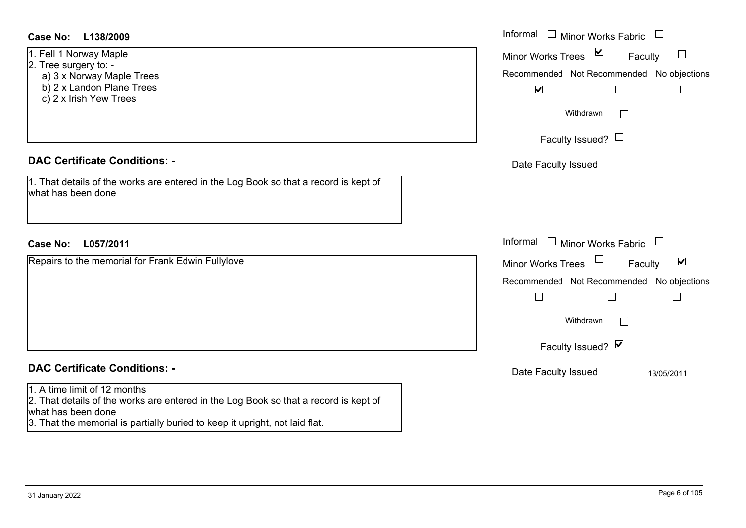| <b>Case No:</b><br>L138/2009                                                                                                               | Informal $\Box$ Minor Works Fabric $\Box$                                                                                                                         |
|--------------------------------------------------------------------------------------------------------------------------------------------|-------------------------------------------------------------------------------------------------------------------------------------------------------------------|
| 1. Fell 1 Norway Maple<br>2. Tree surgery to: -<br>a) 3 x Norway Maple Trees<br>b) 2 x Landon Plane Trees<br>c) 2 x Irish Yew Trees        | Minor Works Trees ⊠<br>Faculty<br>Recommended Not Recommended No objections<br>$\blacktriangledown$<br>$\Box$<br>$\Box$<br>Withdrawn<br>Faculty Issued? $\Box$    |
| <b>DAC Certificate Conditions: -</b>                                                                                                       | Date Faculty Issued                                                                                                                                               |
| 1. That details of the works are entered in the Log Book so that a record is kept of<br>what has been done                                 |                                                                                                                                                                   |
| <b>Case No:</b><br>L057/2011                                                                                                               | Informal $\Box$ Minor Works Fabric $\Box$                                                                                                                         |
| Repairs to the memorial for Frank Edwin Fullylove                                                                                          | Minor Works Trees<br>$\blacktriangledown$<br>Faculty<br>Recommended Not Recommended No objections<br>$\Box$<br>$\Box$<br>$\Box$<br>Withdrawn<br>Faculty Issued? Ø |
| <b>DAC Certificate Conditions: -</b>                                                                                                       | Date Faculty Issued<br>13/05/2011                                                                                                                                 |
| 1. A time limit of 12 months<br>2. That details of the works are entered in the Log Book so that a record is kept of<br>what has been done |                                                                                                                                                                   |

3. That the memorial is partially buried to keep it upright, not laid flat.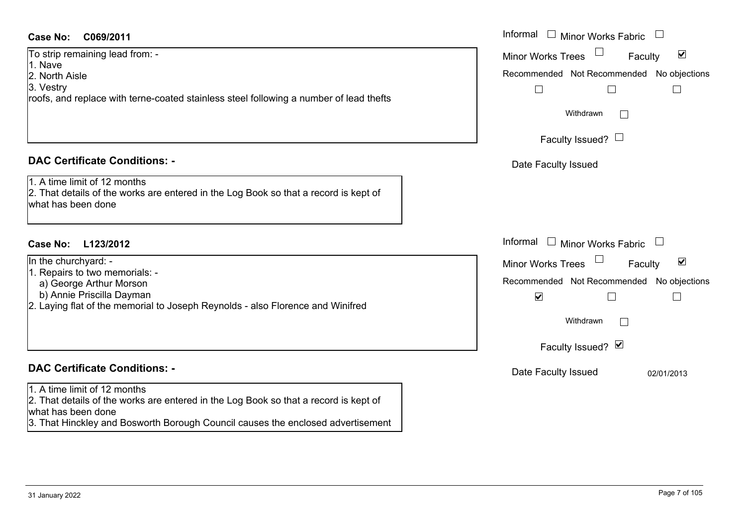#### **C069/2011Case No:** Informal

To strip remaining lead from: - 1. Nave2. North Aisle3. Vestry

roofs, and replace with terne-coated stainless steel following a number of lead thefts

#### **DAC Certificate Conditions: -**

1. A time limit of 12 months

2. That details of the works are entered in the Log Book so that a record is kept of what has been done

## **L123/2012Case No:** Informal

In the churchyard: -

- 1. Repairs to two memorials: -
- a) George Arthur Morson
- b) Annie Priscilla Dayman
- 2. Laying flat of the memorial to Joseph Reynolds also Florence and Winifred

## **DAC Certificate Conditions: -**

#### 1. A time limit of 12 months

2. That details of the works are entered in the Log Book so that a record is kept of what has been done

3. That Hinckley and Bosworth Borough Council causes the enclosed advertisement

| Informal<br>Minor Works Fabric                                    |  |  |
|-------------------------------------------------------------------|--|--|
| ⊻<br><b>Minor Works Trees</b><br>Faculty                          |  |  |
| Recommended Not Recommended No objections                         |  |  |
| Withdrawn                                                         |  |  |
| Faculty Issued? L                                                 |  |  |
| Date Faculty Issued                                               |  |  |
|                                                                   |  |  |
| Informal<br>$\Box$<br><b>Minor Works Fabric</b>                   |  |  |
| $\blacktriangledown$<br><b>Minor Works Trees</b><br>Faculty       |  |  |
| Recommended Not Recommended No objections<br>$\blacktriangledown$ |  |  |
| Withdrawn                                                         |  |  |
| Faculty Issued? Ø                                                 |  |  |
| Date Faculty Issued<br>02/01/2013                                 |  |  |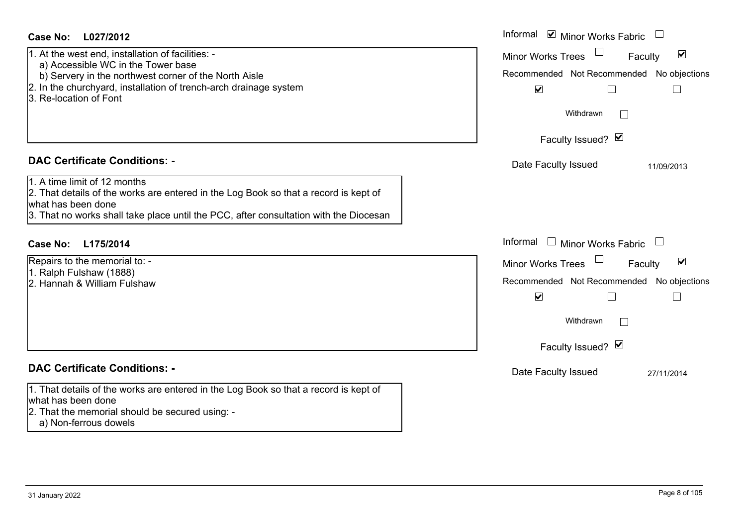| Case No:<br>L027/2012                                                                                                                                                                                                                           | Informal $\blacksquare$ Minor Works Fabric $\blacksquare$                                                                                                          |
|-------------------------------------------------------------------------------------------------------------------------------------------------------------------------------------------------------------------------------------------------|--------------------------------------------------------------------------------------------------------------------------------------------------------------------|
| 1. At the west end, installation of facilities: -<br>a) Accessible WC in the Tower base<br>b) Servery in the northwest corner of the North Aisle<br>2. In the churchyard, installation of trench-arch drainage system<br>3. Re-location of Font | <b>Minor Works Trees</b><br>$\blacktriangledown$<br>Faculty<br>Recommended Not Recommended No objections<br>$\blacktriangledown$<br>$\vert \ \ \vert$<br>Withdrawn |
|                                                                                                                                                                                                                                                 | Faculty Issued? Ø                                                                                                                                                  |
| <b>DAC Certificate Conditions: -</b>                                                                                                                                                                                                            | Date Faculty Issued<br>11/09/2013                                                                                                                                  |
| 1. A time limit of 12 months<br>2. That details of the works are entered in the Log Book so that a record is kept of<br>what has been done<br>3. That no works shall take place until the PCC, after consultation with the Diocesan             |                                                                                                                                                                    |
| <b>Case No:</b><br>L175/2014                                                                                                                                                                                                                    | Informal<br>$\Box$ Minor Works Fabric                                                                                                                              |
| Repairs to the memorial to: -<br>1. Ralph Fulshaw (1888)<br>2. Hannah & William Fulshaw                                                                                                                                                         | $\blacktriangledown$<br><b>Minor Works Trees</b><br>Faculty<br>Recommended Not Recommended No objections<br>$\blacktriangledown$                                   |
|                                                                                                                                                                                                                                                 | Withdrawn                                                                                                                                                          |
|                                                                                                                                                                                                                                                 | Faculty Issued? Ø                                                                                                                                                  |
| <b>DAC Certificate Conditions: -</b>                                                                                                                                                                                                            | Date Faculty Issued<br>27/11/2014                                                                                                                                  |
| 1. That details of the works are entered in the Log Book so that a record is kept of<br>what has been done<br>2. That the memorial should be secured using: -<br>a) Non-ferrous dowels                                                          |                                                                                                                                                                    |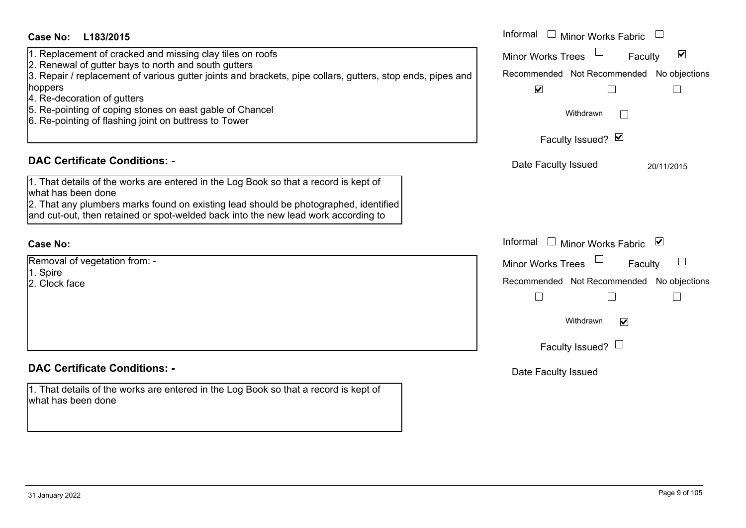| Case No:<br>L183/2015                                                                                                                                                                                                                                                                                                            | Informal<br>Minor Works Fabric                                                                                                                            |
|----------------------------------------------------------------------------------------------------------------------------------------------------------------------------------------------------------------------------------------------------------------------------------------------------------------------------------|-----------------------------------------------------------------------------------------------------------------------------------------------------------|
| 1. Replacement of cracked and missing clay tiles on roofs<br>2. Renewal of gutter bays to north and south gutters<br>3. Repair / replacement of various gutter joints and brackets, pipe collars, gutters, stop ends, pipes and<br>hoppers<br>4. Re-decoration of gutters                                                        | $\blacktriangledown$<br>Minor Works Trees<br>Faculty<br>Recommended Not Recommended No objections<br>$\blacktriangledown$                                 |
| 5. Re-pointing of coping stones on east gable of Chancel<br>6. Re-pointing of flashing joint on buttress to Tower                                                                                                                                                                                                                | Withdrawn                                                                                                                                                 |
|                                                                                                                                                                                                                                                                                                                                  | Faculty Issued? Ø                                                                                                                                         |
| <b>DAC Certificate Conditions: -</b><br>1. That details of the works are entered in the Log Book so that a record is kept of<br>what has been done<br>2. That any plumbers marks found on existing lead should be photographed, identified<br>and cut-out, then retained or spot-welded back into the new lead work according to | Date Faculty Issued<br>20/11/2015                                                                                                                         |
| <b>Case No:</b>                                                                                                                                                                                                                                                                                                                  | Informal<br>□ Minor Works Fabric $\vert \mathbf{v} \vert$                                                                                                 |
| Removal of vegetation from: -<br>1. Spire<br>2. Clock face                                                                                                                                                                                                                                                                       | <b>Minor Works Trees</b><br>Faculty<br>Recommended Not Recommended No objections<br>$\Box$<br>Withdrawn<br>$\blacktriangledown$<br>Faculty Issued? $\Box$ |
| <b>DAC Certificate Conditions: -</b>                                                                                                                                                                                                                                                                                             | Date Faculty Issued                                                                                                                                       |
| 1. That details of the works are entered in the Log Book so that a record is kept of<br>what has been done                                                                                                                                                                                                                       |                                                                                                                                                           |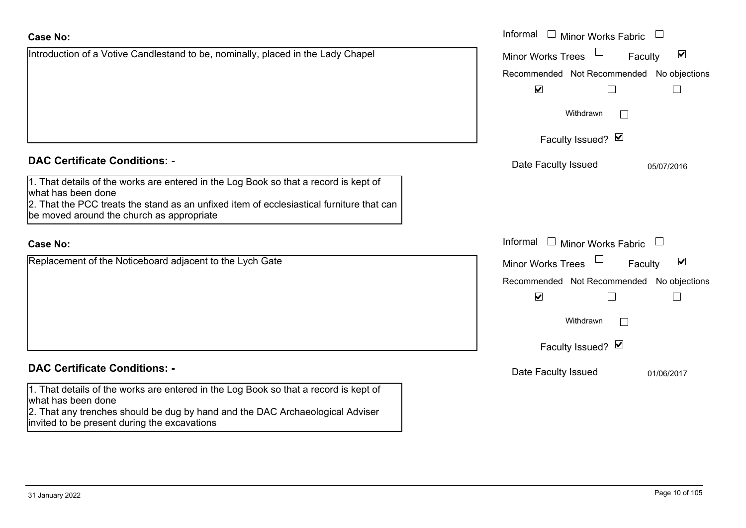| <b>Case No:</b>                                                                                                                                                                                                                                     | Informal<br>$\Box$ Minor Works Fabric                       |
|-----------------------------------------------------------------------------------------------------------------------------------------------------------------------------------------------------------------------------------------------------|-------------------------------------------------------------|
| Introduction of a Votive Candlestand to be, nominally, placed in the Lady Chapel                                                                                                                                                                    | $\blacktriangledown$<br><b>Minor Works Trees</b><br>Faculty |
|                                                                                                                                                                                                                                                     | Recommended Not Recommended No objections                   |
|                                                                                                                                                                                                                                                     | $\overline{\mathbf{v}}$                                     |
|                                                                                                                                                                                                                                                     | Withdrawn                                                   |
|                                                                                                                                                                                                                                                     | Faculty Issued? Ø                                           |
| <b>DAC Certificate Conditions: -</b>                                                                                                                                                                                                                | Date Faculty Issued<br>05/07/2016                           |
| 1. That details of the works are entered in the Log Book so that a record is kept of<br>what has been done<br>2. That the PCC treats the stand as an unfixed item of ecclesiastical furniture that can<br>be moved around the church as appropriate |                                                             |
| <b>Case No:</b>                                                                                                                                                                                                                                     | Informal<br>$\Box$ Minor Works Fabric                       |
| Replacement of the Noticeboard adjacent to the Lych Gate                                                                                                                                                                                            | $\blacktriangledown$<br><b>Minor Works Trees</b><br>Faculty |
|                                                                                                                                                                                                                                                     | Recommended Not Recommended No objections                   |
|                                                                                                                                                                                                                                                     | $\blacktriangledown$                                        |
|                                                                                                                                                                                                                                                     | Withdrawn<br>$\sim$                                         |
|                                                                                                                                                                                                                                                     | Faculty Issued? Ø                                           |
| <b>DAC Certificate Conditions: -</b>                                                                                                                                                                                                                | Date Faculty Issued<br>01/06/2017                           |
| 1. That details of the works are entered in the Log Book so that a record is kept of<br>what has been done<br>2. That any trenches should be dug by hand and the DAC Archaeological Adviser                                                         |                                                             |

invited to be present during the excavations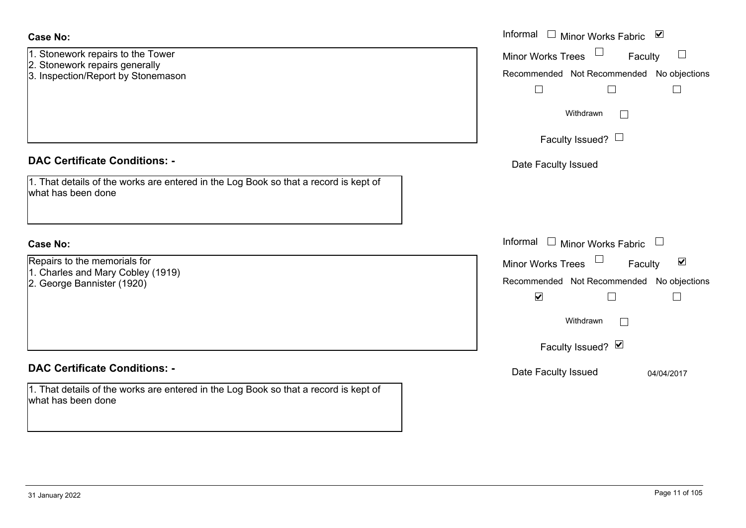| <b>Case No:</b>                                                                                                                                    | Informal □ Minor Works Fabric<br>$\blacktriangledown$                                                                                         |
|----------------------------------------------------------------------------------------------------------------------------------------------------|-----------------------------------------------------------------------------------------------------------------------------------------------|
| 1. Stonework repairs to the Tower<br>2. Stonework repairs generally<br>3. Inspection/Report by Stonemason                                          | $\Box$<br><b>Minor Works Trees</b><br>Faculty<br>Recommended Not Recommended No objections<br>$\perp$<br>$\mathbf{L}$                         |
|                                                                                                                                                    | Withdrawn<br>$\Box$<br>Faculty Issued? $\Box$                                                                                                 |
| <b>DAC Certificate Conditions: -</b>                                                                                                               | Date Faculty Issued                                                                                                                           |
| 1. That details of the works are entered in the Log Book so that a record is kept of<br>what has been done                                         |                                                                                                                                               |
| <b>Case No:</b>                                                                                                                                    | Informal □ Minor Works Fabric<br>$\begin{array}{c} \hline \end{array}$                                                                        |
| Repairs to the memorials for<br>1. Charles and Mary Cobley (1919)<br>2. George Bannister (1920)                                                    | Minor Works Trees<br>$\blacktriangledown$<br>Faculty<br>Recommended Not Recommended No objections<br>$\blacktriangledown$<br>$\Box$<br>$\Box$ |
|                                                                                                                                                    | Withdrawn<br>$\Box$                                                                                                                           |
|                                                                                                                                                    | Faculty Issued? Ø                                                                                                                             |
| <b>DAC Certificate Conditions: -</b><br>1. That details of the works are entered in the Log Book so that a record is kept of<br>what has been done | Date Faculty Issued<br>04/04/2017                                                                                                             |
|                                                                                                                                                    |                                                                                                                                               |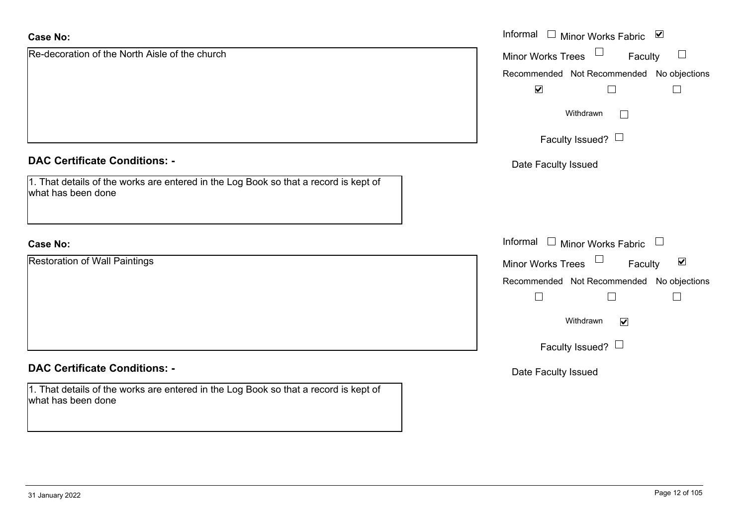| <b>Case No:</b>                                                                                            | Informal □ Minor Works Fabric ⊠                                                 |
|------------------------------------------------------------------------------------------------------------|---------------------------------------------------------------------------------|
| Re-decoration of the North Aisle of the church                                                             | Minor Works Trees<br>$\Box$<br>Faculty                                          |
|                                                                                                            | Recommended Not Recommended No objections                                       |
|                                                                                                            | $\blacktriangledown$<br>$\Box$                                                  |
|                                                                                                            | Withdrawn<br>$\Box$                                                             |
|                                                                                                            | Faculty Issued? $\Box$                                                          |
| <b>DAC Certificate Conditions: -</b>                                                                       | Date Faculty Issued                                                             |
| 1. That details of the works are entered in the Log Book so that a record is kept of<br>what has been done |                                                                                 |
| <b>Case No:</b>                                                                                            | Informal<br>$\Box$ Minor Works Fabric<br>$\begin{array}{c} \square \end{array}$ |
| <b>Restoration of Wall Paintings</b>                                                                       | Minor Works Trees<br>$\blacktriangledown$<br>Faculty                            |
|                                                                                                            | Recommended Not Recommended No objections                                       |
|                                                                                                            | $\Box$<br>$\Box$                                                                |
|                                                                                                            | Withdrawn<br>$\blacktriangledown$                                               |
|                                                                                                            | Faculty Issued? $\Box$                                                          |
| <b>DAC Certificate Conditions: -</b>                                                                       | Date Faculty Issued                                                             |
| 1. That details of the works are entered in the Log Book so that a record is kept of<br>what has been done |                                                                                 |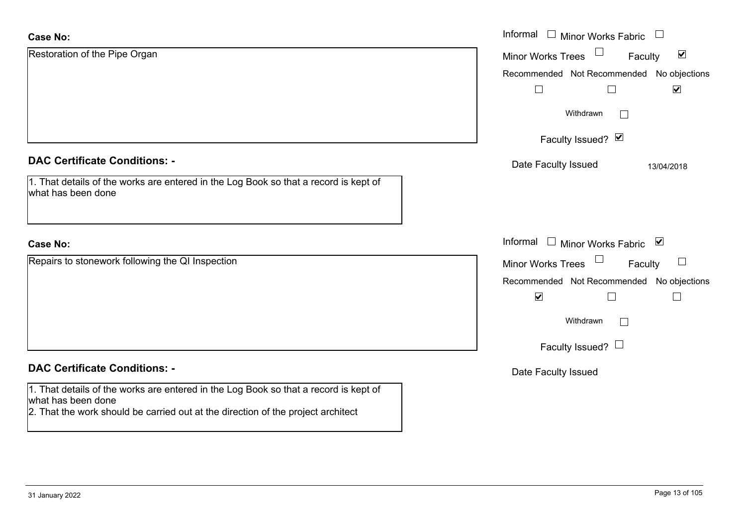| <b>Case No:</b>                                                                                                                                                                                | Informal □ Minor Works Fabric                                         |
|------------------------------------------------------------------------------------------------------------------------------------------------------------------------------------------------|-----------------------------------------------------------------------|
| Restoration of the Pipe Organ                                                                                                                                                                  | $\overline{\mathbf{v}}$<br>Minor Works Trees<br>Faculty               |
|                                                                                                                                                                                                | Recommended Not Recommended No objections                             |
|                                                                                                                                                                                                | $\blacktriangledown$<br>∟<br>$\Box$                                   |
|                                                                                                                                                                                                | Withdrawn<br>$\mathbf{L}$                                             |
|                                                                                                                                                                                                | Faculty Issued? Ø                                                     |
| <b>DAC Certificate Conditions: -</b>                                                                                                                                                           | Date Faculty Issued<br>13/04/2018                                     |
| 1. That details of the works are entered in the Log Book so that a record is kept of<br>what has been done                                                                                     |                                                                       |
|                                                                                                                                                                                                |                                                                       |
| <b>Case No:</b>                                                                                                                                                                                | Informal □ Minor Works Fabric ⊠                                       |
| Repairs to stonework following the QI Inspection                                                                                                                                               | $\Box$<br>Minor Works Trees<br>$\mathcal{L}_{\mathcal{A}}$<br>Faculty |
|                                                                                                                                                                                                | Recommended Not Recommended No objections                             |
|                                                                                                                                                                                                | $\blacktriangledown$<br>$\Box$<br>$\overline{\phantom{a}}$            |
|                                                                                                                                                                                                | Withdrawn                                                             |
|                                                                                                                                                                                                | Faculty Issued? $\Box$                                                |
| <b>DAC Certificate Conditions: -</b>                                                                                                                                                           | Date Faculty Issued                                                   |
| 1. That details of the works are entered in the Log Book so that a record is kept of<br>what has been done<br>2. That the work should be carried out at the direction of the project architect |                                                                       |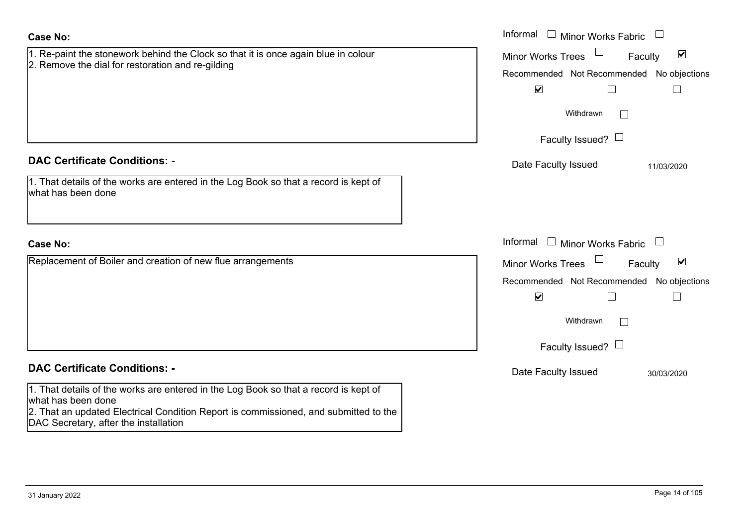| <b>Case No:</b>                                                                                                                                                                                                                             | Informal $\Box$ Minor Works Fabric $\Box$                                                                                                                                                         |
|---------------------------------------------------------------------------------------------------------------------------------------------------------------------------------------------------------------------------------------------|---------------------------------------------------------------------------------------------------------------------------------------------------------------------------------------------------|
| 1. Re-paint the stonework behind the Clock so that it is once again blue in colour<br>2. Remove the dial for restoration and re-gilding                                                                                                     | Minor Works Trees<br>$\blacktriangledown$<br>Faculty<br>Recommended Not Recommended No objections<br>$\blacktriangledown$<br>$\begin{array}{c} \hline \end{array}$<br>Withdrawn<br>$\mathbb{R}^n$ |
|                                                                                                                                                                                                                                             | Faculty Issued? $\Box$                                                                                                                                                                            |
| <b>DAC Certificate Conditions: -</b><br>1. That details of the works are entered in the Log Book so that a record is kept of<br>what has been done                                                                                          | Date Faculty Issued<br>11/03/2020                                                                                                                                                                 |
| <b>Case No:</b>                                                                                                                                                                                                                             | Informal<br>$\Box$ Minor Works Fabric<br>$\overline{\phantom{a}}$                                                                                                                                 |
| Replacement of Boiler and creation of new flue arrangements                                                                                                                                                                                 | Minor Works Trees<br>$\blacktriangledown$<br>Faculty<br>Recommended Not Recommended No objections<br>$\blacktriangledown$<br>$\Box$<br>$\mathbb{R}^n$<br>Withdrawn<br>Faculty Issued? $\Box$      |
| <b>DAC Certificate Conditions: -</b>                                                                                                                                                                                                        | Date Faculty Issued<br>30/03/2020                                                                                                                                                                 |
| 1. That details of the works are entered in the Log Book so that a record is kept of<br>what has been done<br>2. That an updated Electrical Condition Report is commissioned, and submitted to the<br>DAC Secretary, after the installation |                                                                                                                                                                                                   |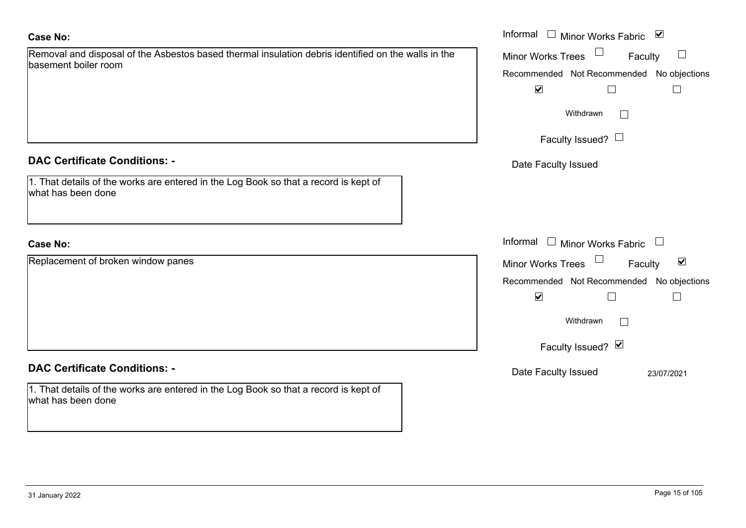| Removal and disposal of the Asbestos based thermal insulation debris identified on the walls in the |  |
|-----------------------------------------------------------------------------------------------------|--|
| basement boiler room                                                                                |  |

#### **DAC Certificate Conditions: -**

| 1. That details of the works are entered in the Log Book so that a record is kept of |  |
|--------------------------------------------------------------------------------------|--|
| what has been done                                                                   |  |

## **Case No:**

Replacement of broken window panes

#### **DAC Certificate Conditions: -**

|                    |  |  | 1. That details of the works are entered in the Log Book so that a record is kept of |
|--------------------|--|--|--------------------------------------------------------------------------------------|
| what has been done |  |  |                                                                                      |

|                                                                                             | Informal □ Minor Works Fabric<br>$\blacktriangledown$ |
|---------------------------------------------------------------------------------------------|-------------------------------------------------------|
| and disposal of the Asbestos based thermal insulation debris identified on the walls in the | <b>Minor Works Trees</b><br>Faculty                   |
| It boiler room                                                                              | Recommended Not Recommended No objections             |
|                                                                                             | $\blacktriangledown$                                  |
|                                                                                             | Withdrawn                                             |
|                                                                                             | Faculty Issued? $\Box$                                |
| rtificate Conditions: -                                                                     | Date Faculty Issued                                   |
| etails of the works are entered in the Log Book so that a record is kept of<br>been done    |                                                       |
|                                                                                             | Informal $\Box$ Minor Works Fabric $\Box$             |
| nent of broken window panes                                                                 | Minor Works Trees<br>$\blacktriangledown$<br>Faculty  |
|                                                                                             | Recommended Not Recommended No objections             |
|                                                                                             | $\blacktriangledown$                                  |
|                                                                                             | Withdrawn                                             |
|                                                                                             | Faculty Issued? Ø                                     |
| rtificate Conditions: -                                                                     | Date Faculty Issued<br>23/07/2021                     |
| etails of the works are entered in the Log Book so that a record is kept of<br>hoon dono    |                                                       |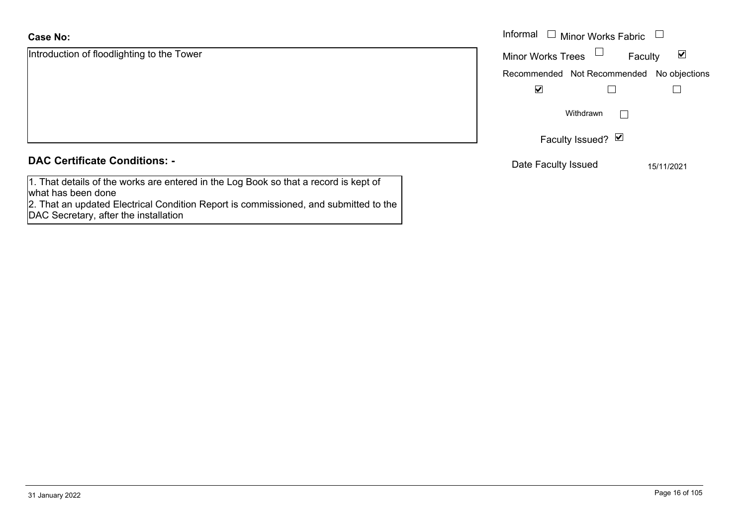Introduction of floodlighting to the Tower

#### **DAC Certificate Conditions: -**

1. That details of the works are entered in the Log Book so that a record is kept of what has been done

2. That an updated Electrical Condition Report is commissioned, and submitted to the DAC Secretary, after the installation

|                                   | Informal $\square$<br>$^{\rm !}$ Minor Works Fabric $\;\;\Box$ |  |
|-----------------------------------|----------------------------------------------------------------|--|
| ion of floodlighting to the Tower | <b>Minor Works Trees</b><br>$\blacktriangledown$<br>Faculty    |  |
|                                   | Recommended Not Recommended No objections                      |  |
|                                   | $\blacktriangledown$                                           |  |
|                                   | Withdrawn                                                      |  |
|                                   | Faculty Issued? Ø                                              |  |
| rtificate Conditions: -           | Date Faculty Issued<br>15/11/2021                              |  |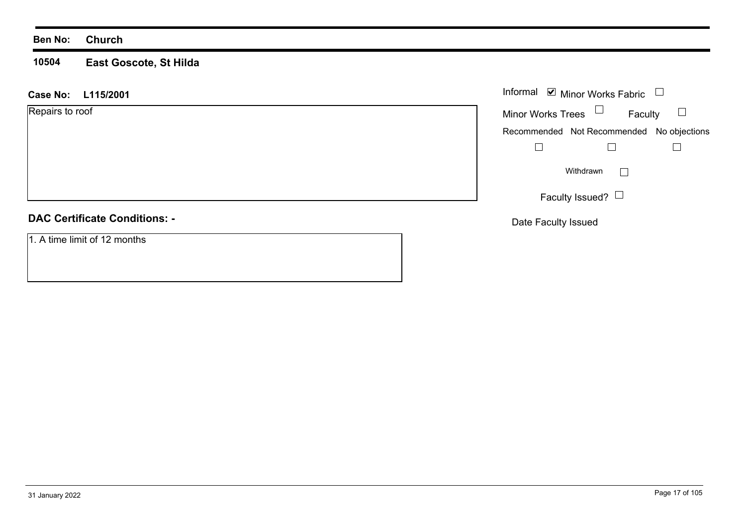#### **Ben No: Church**

#### **10504East Goscote, St Hilda**

#### **L115/2001 Case No:** Informal

Repairs to roof

#### **DAC Certificate Conditions: -**

1. A time limit of 12 months

|                          | Informal ■ Minor Works Fabric             |  |
|--------------------------|-------------------------------------------|--|
| <b>Minor Works Trees</b> | Faculty                                   |  |
|                          | Recommended Not Recommended No objections |  |
|                          |                                           |  |
|                          | Withdrawn                                 |  |
|                          | Faculty Issued?                           |  |

Date Faculty Issued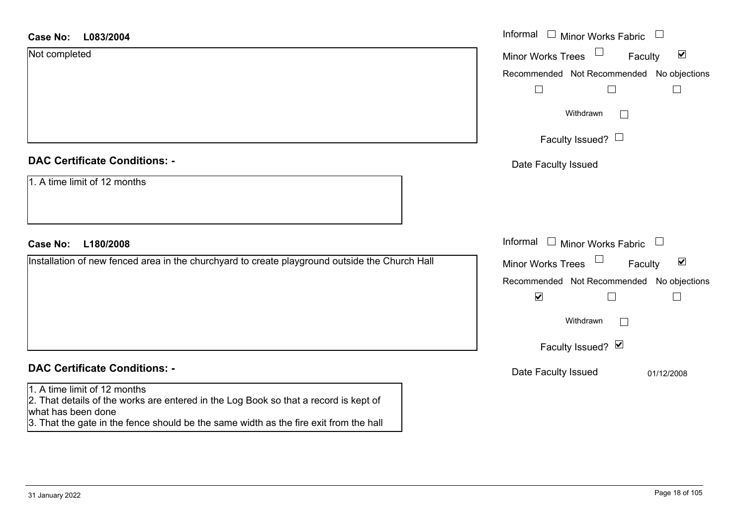| <b>Case No:</b><br>L083/2004                                                                                                               | Informal $\Box$ Minor Works Fabric $\Box$                   |
|--------------------------------------------------------------------------------------------------------------------------------------------|-------------------------------------------------------------|
| Not completed                                                                                                                              | Minor Works Trees<br>$\blacktriangledown$<br>Faculty        |
|                                                                                                                                            | Recommended Not Recommended No objections                   |
|                                                                                                                                            | $\Box$<br>$\Box$                                            |
|                                                                                                                                            | Withdrawn                                                   |
|                                                                                                                                            | Faculty Issued? $\Box$                                      |
| <b>DAC Certificate Conditions: -</b>                                                                                                       | Date Faculty Issued                                         |
| 1. A time limit of 12 months                                                                                                               |                                                             |
| <b>Case No:</b><br>L180/2008                                                                                                               | Informal $\Box$ Minor Works Fabric $\Box$                   |
| Installation of new fenced area in the churchyard to create playground outside the Church Hall                                             | Minor Works Trees $\Box$<br>$\blacktriangledown$<br>Faculty |
|                                                                                                                                            | Recommended Not Recommended No objections                   |
|                                                                                                                                            | $\blacktriangledown$<br>$\Box$<br>$\vert \ \ \vert$         |
|                                                                                                                                            | Withdrawn                                                   |
|                                                                                                                                            | Faculty Issued? Ø                                           |
| <b>DAC Certificate Conditions: -</b>                                                                                                       | Date Faculty Issued<br>01/12/2008                           |
| 1. A time limit of 12 months<br>2. That details of the works are entered in the Log Book so that a record is kept of<br>what has heen done |                                                             |

what has been done 3. That the gate in the fence should be the same width as the fire exit from the hall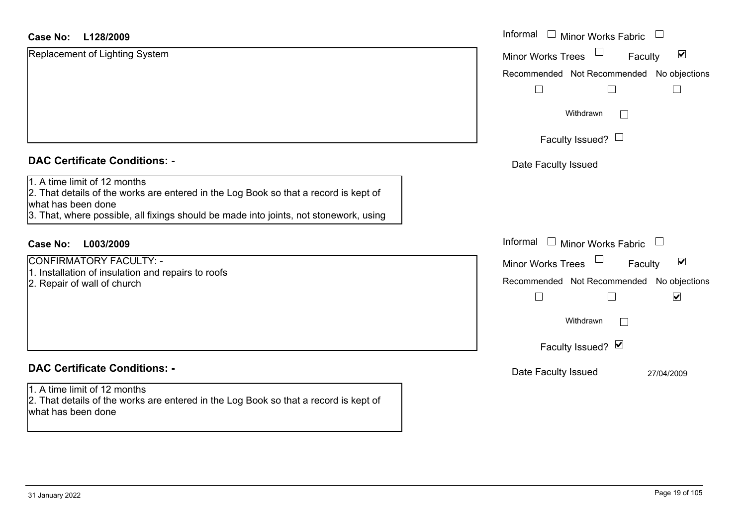| <b>Case No:</b><br>L128/2009                                                                                                                                                                                                        | Informal<br>$\Box$<br>Minor Works Fabric                       |
|-------------------------------------------------------------------------------------------------------------------------------------------------------------------------------------------------------------------------------------|----------------------------------------------------------------|
| Replacement of Lighting System                                                                                                                                                                                                      | $\blacktriangledown$<br><b>Minor Works Trees</b><br>Faculty    |
|                                                                                                                                                                                                                                     | Recommended Not Recommended No objections                      |
|                                                                                                                                                                                                                                     |                                                                |
|                                                                                                                                                                                                                                     | Withdrawn<br>$\mathcal{L}_{\mathcal{A}}$                       |
|                                                                                                                                                                                                                                     | Faculty Issued? $\Box$                                         |
| <b>DAC Certificate Conditions: -</b>                                                                                                                                                                                                | Date Faculty Issued                                            |
| 1. A time limit of 12 months<br>2. That details of the works are entered in the Log Book so that a record is kept of<br>what has been done<br>3. That, where possible, all fixings should be made into joints, not stonework, using |                                                                |
| <b>Case No:</b><br>L003/2009                                                                                                                                                                                                        | Informal<br>$\Box$ Minor Works Fabric<br>$\Box$                |
| <b>CONFIRMATORY FACULTY: -</b>                                                                                                                                                                                                      | $\Box$<br>$\blacktriangledown$<br>Minor Works Trees<br>Faculty |
| 1. Installation of insulation and repairs to roofs<br>2. Repair of wall of church                                                                                                                                                   | Recommended Not Recommended No objections                      |
|                                                                                                                                                                                                                                     | $\blacktriangledown$<br>$\mathbf{L}$                           |
|                                                                                                                                                                                                                                     | Withdrawn<br>$\Box$                                            |
|                                                                                                                                                                                                                                     | Faculty Issued? Ø                                              |
| <b>DAC Certificate Conditions: -</b>                                                                                                                                                                                                | Date Faculty Issued<br>27/04/2009                              |
| 1. A time limit of 12 months<br>2. That details of the works are entered in the Log Book so that a record is kept of<br>what has been done                                                                                          |                                                                |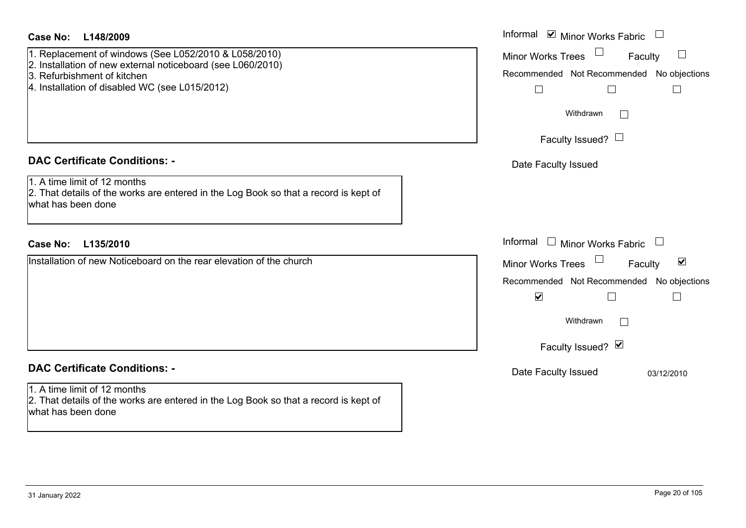| <b>Case No:</b><br>L148/2009                                                                                                                                                                          | Informal $\blacksquare$ Minor Works Fabric $\Box$                                                                                                                               |
|-------------------------------------------------------------------------------------------------------------------------------------------------------------------------------------------------------|---------------------------------------------------------------------------------------------------------------------------------------------------------------------------------|
| 1. Replacement of windows (See L052/2010 & L058/2010)<br>2. Installation of new external noticeboard (see L060/2010)<br>3. Refurbishment of kitchen<br>4. Installation of disabled WC (see L015/2012) | Minor Works Trees <sup>1</sup><br>Faculty<br>$\Box$<br>Recommended Not Recommended No objections<br>$\Box$<br>$\Box$<br>$\Box$<br>Withdrawn<br>$\Box$<br>Faculty Issued? $\Box$ |
| <b>DAC Certificate Conditions: -</b>                                                                                                                                                                  | Date Faculty Issued                                                                                                                                                             |
| 1. A time limit of 12 months<br>2. That details of the works are entered in the Log Book so that a record is kept of<br>what has been done                                                            |                                                                                                                                                                                 |
| <b>Case No:</b><br>L135/2010                                                                                                                                                                          | Informal $\Box$ Minor Works Fabric $\Box$                                                                                                                                       |
| Installation of new Noticeboard on the rear elevation of the church                                                                                                                                   | $\Box$<br>$\blacktriangledown$<br><b>Minor Works Trees</b><br>Faculty                                                                                                           |
|                                                                                                                                                                                                       | Recommended Not Recommended No objections<br>$\blacktriangledown$<br>$\Box$<br>$\overline{\phantom{a}}$                                                                         |
|                                                                                                                                                                                                       | Withdrawn<br>$\Box$                                                                                                                                                             |
|                                                                                                                                                                                                       | Faculty Issued? Ø                                                                                                                                                               |
| <b>DAC Certificate Conditions: -</b>                                                                                                                                                                  | Date Faculty Issued<br>03/12/2010                                                                                                                                               |
| 1. A time limit of 12 months<br>2. That details of the works are entered in the Log Book so that a record is kept of<br>what has been done                                                            |                                                                                                                                                                                 |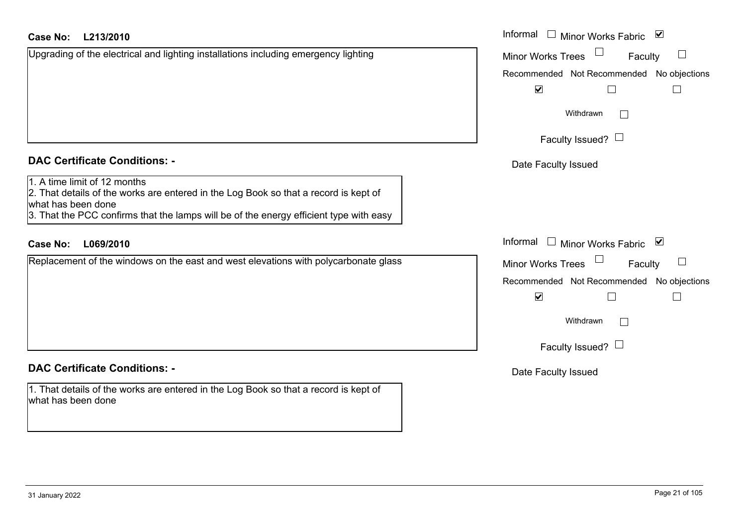#### **L213/2010Case No:** Informal

Upgrading of the electrical and lighting installations including emergency lighting

## **DAC Certificate Conditions: -**

#### 1. A time limit of 12 months

2. That details of the works are entered in the Log Book so that a record is kept of what has been done

3. That the PCC confirms that the lamps will be of the energy efficient type with easy

## **L069/2010Case No:** Informal

Replacement of the windows on the east and west elevations with polycarbonate glass

#### **DAC Certificate Conditions: -**

1. That details of the works are entered in the Log Book so that a record is kept of what has been done

| Informal<br>⊻<br><b>Minor Works Fabric</b>                        |
|-------------------------------------------------------------------|
| <b>Minor Works Trees</b><br>Faculty                               |
| Recommended Not Recommended No objections                         |
| $\blacktriangledown$                                              |
| Withdrawn                                                         |
| Faculty Issued?                                                   |
| Date Faculty Issued                                               |
|                                                                   |
|                                                                   |
|                                                                   |
| Informal<br>$\overline{\blacktriangledown}$<br>Minor Works Fabric |
| <b>Minor Works Trees</b><br>Faculty                               |
| Recommended Not Recommended No objections                         |
| $\blacktriangledown$                                              |
| Withdrawn                                                         |
| Faculty Issued?                                                   |
| Date Faculty Issued                                               |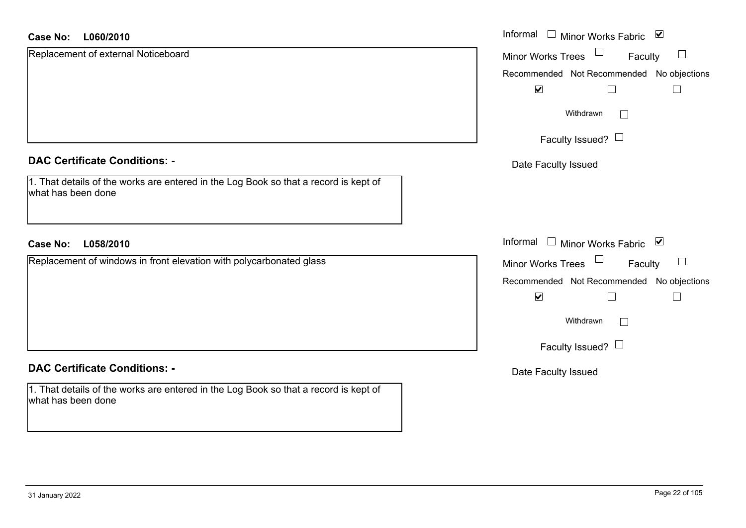| <b>Case No:</b><br>L060/2010                                                                               | Informal $\Box$ Minor Works Fabric<br>$\blacktriangledown$ |
|------------------------------------------------------------------------------------------------------------|------------------------------------------------------------|
| Replacement of external Noticeboard                                                                        | Minor Works Trees<br>Faculty<br>$\Box$                     |
|                                                                                                            | Recommended Not Recommended No objections                  |
|                                                                                                            | $\blacktriangledown$<br>$\Box$                             |
|                                                                                                            | Withdrawn<br>$\Box$                                        |
|                                                                                                            | Faculty Issued? $\Box$                                     |
| <b>DAC Certificate Conditions: -</b>                                                                       | Date Faculty Issued                                        |
| 1. That details of the works are entered in the Log Book so that a record is kept of<br>what has been done |                                                            |
| <b>Case No:</b><br>L058/2010                                                                               | Informal □ Minor Works Fabric ⊠                            |
| Replacement of windows in front elevation with polycarbonated glass                                        | Minor Works Trees<br>Faculty                               |
|                                                                                                            | Recommended Not Recommended No objections                  |
|                                                                                                            | $\blacktriangledown$<br>$\Box$<br>$\Box$                   |
|                                                                                                            | Withdrawn<br>$\Box$                                        |
|                                                                                                            | Faculty Issued? $\Box$                                     |
| <b>DAC Certificate Conditions: -</b>                                                                       | Date Faculty Issued                                        |
| 1. That details of the works are entered in the Log Book so that a record is kept of<br>what has been done |                                                            |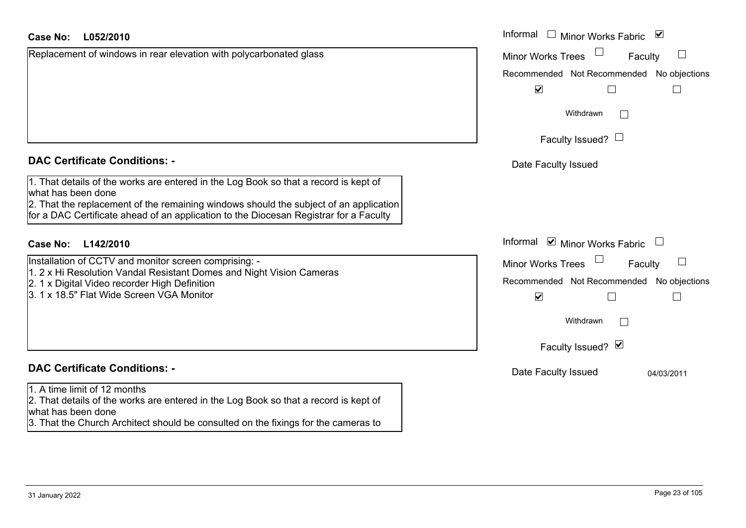| Case No: |  | L052/2010 |  |
|----------|--|-----------|--|
|----------|--|-----------|--|

Replacement of windows in rear elevation with polycarbonated glass

#### **DAC Certificate Conditions: -**

1. That details of the works are entered in the Log Book so that a record is kept of what has been done

2. That the replacement of the remaining windows should the subject of an application for a DAC Certificate ahead of an application to the Diocesan Registrar for a Faculty

#### **L142/2010Case No:** Informal

Installation of CCTV and monitor screen comprising: -1. 2 x Hi Resolution Vandal Resistant Domes and Night Vision Cameras

2. 1 x Digital Video recorder High Definition

3. 1 x 18.5" Flat Wide Screen VGA Monitor

#### **DAC Certificate Conditions: -**

1. A time limit of 12 months

2. That details of the works are entered in the Log Book so that a record is kept of what has been done

3. That the Church Architect should be consulted on the fixings for the cameras to

| L052/2010                                                                                                                                                    | Informal □ Minor Works Fabric<br>$\blacktriangledown$ |
|--------------------------------------------------------------------------------------------------------------------------------------------------------------|-------------------------------------------------------|
| nent of windows in rear elevation with polycarbonated glass                                                                                                  | <b>Minor Works Trees</b><br>$\Box$<br>Faculty         |
|                                                                                                                                                              | Recommended Not Recommended No objections             |
|                                                                                                                                                              | $\blacktriangledown$<br>$\vert \ \ \vert$             |
|                                                                                                                                                              | Withdrawn                                             |
|                                                                                                                                                              | Faculty Issued? $\Box$                                |
| rtificate Conditions: -                                                                                                                                      | Date Faculty Issued                                   |
| etails of the works are entered in the Log Book so that a record is kept of<br>been done                                                                     |                                                       |
| e replacement of the remaining windows should the subject of an application<br>C Certificate ahead of an application to the Diocesan Registrar for a Faculty |                                                       |
| L142/2010                                                                                                                                                    | Informal ☑ Minor Works Fabric                         |
| on of CCTV and monitor screen comprising: -<br>Resolution Vandal Resistant Domes and Night Vision Cameras<br>gital Video recorder High Definition            | Minor Works Trees<br>$\sqcup$<br>Faculty              |
|                                                                                                                                                              | Recommended Not Recommended No objections             |
| .5" Flat Wide Screen VGA Monitor                                                                                                                             | $\blacktriangledown$                                  |
|                                                                                                                                                              | Withdrawn                                             |
|                                                                                                                                                              | Faculty Issued? Ø                                     |
| rtificate Conditions: -                                                                                                                                      | Date Faculty Issued<br>04/03/2011                     |
| limit of 12 months                                                                                                                                           |                                                       |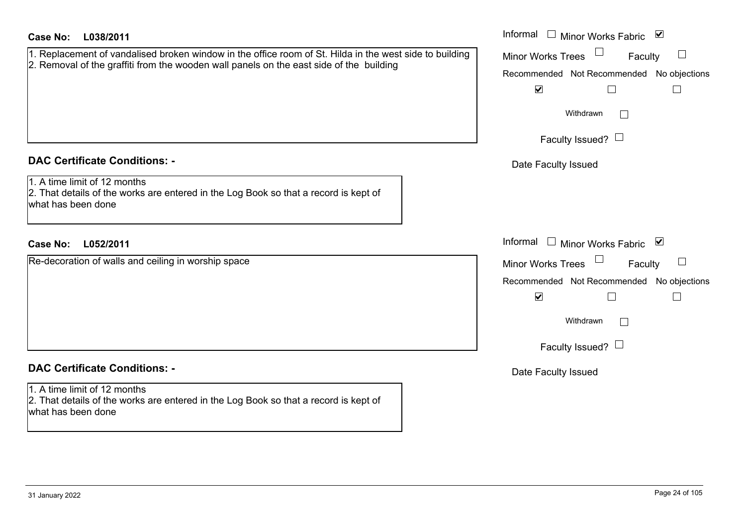| <b>Case No:</b><br>L038/2011                                                                                                               | Informal $\Box$ Minor Works Fabric $\Box$     |
|--------------------------------------------------------------------------------------------------------------------------------------------|-----------------------------------------------|
| 1. Replacement of vandalised broken window in the office room of St. Hilda in the west side to building                                    | Minor Works Trees<br>Faculty<br>$\Box$        |
| 2. Removal of the graffiti from the wooden wall panels on the east side of the building                                                    | Recommended Not Recommended No objections     |
|                                                                                                                                            | $\blacktriangledown$                          |
|                                                                                                                                            | Withdrawn                                     |
|                                                                                                                                            | Faculty Issued? $\Box$                        |
| <b>DAC Certificate Conditions: -</b>                                                                                                       | Date Faculty Issued                           |
| 1. A time limit of 12 months<br>2. That details of the works are entered in the Log Book so that a record is kept of<br>what has been done |                                               |
| L052/2011<br><b>Case No:</b>                                                                                                               | Informal<br>$\Box$ Minor Works Fabric $\Box$  |
| Re-decoration of walls and ceiling in worship space                                                                                        | <b>Minor Works Trees</b><br>Faculty<br>$\Box$ |
|                                                                                                                                            | Recommended Not Recommended No objections     |
|                                                                                                                                            | $\blacktriangledown$                          |
|                                                                                                                                            | Withdrawn                                     |
|                                                                                                                                            | Faculty Issued? $\Box$                        |
| <b>DAC Certificate Conditions: -</b>                                                                                                       | Date Faculty Issued                           |
| 1. A time limit of 12 months<br>2. That details of the works are entered in the Log Book so that a record is kept of<br>what has been done |                                               |
|                                                                                                                                            |                                               |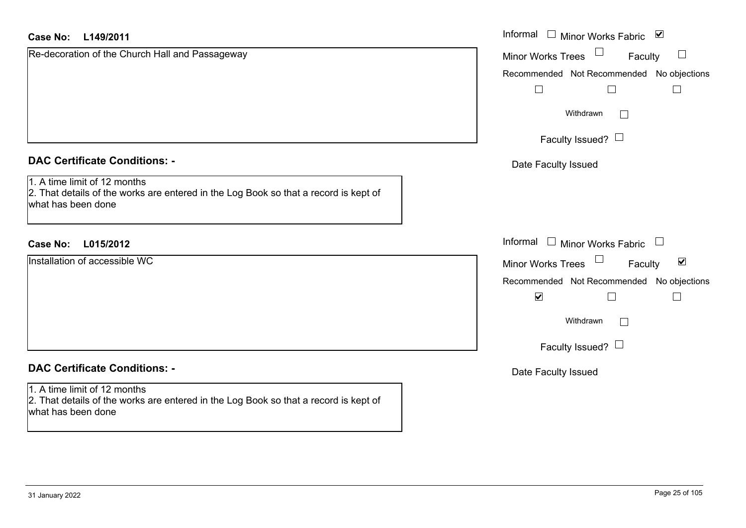| L149/2011<br><b>Case No:</b>                                                                                                               | Informal □ Minor Works Fabric ⊠                                             |
|--------------------------------------------------------------------------------------------------------------------------------------------|-----------------------------------------------------------------------------|
| Re-decoration of the Church Hall and Passageway                                                                                            | $\Box$<br><b>Minor Works Trees</b><br>Faculty                               |
|                                                                                                                                            | Recommended Not Recommended No objections                                   |
|                                                                                                                                            | $\Box$                                                                      |
|                                                                                                                                            | Withdrawn<br>$\Box$                                                         |
|                                                                                                                                            | Faculty Issued? $\Box$                                                      |
| <b>DAC Certificate Conditions: -</b>                                                                                                       | Date Faculty Issued                                                         |
| 1. A time limit of 12 months<br>2. That details of the works are entered in the Log Book so that a record is kept of<br>what has been done |                                                                             |
| <b>Case No:</b><br>L015/2012                                                                                                               | Informal $\Box$ Minor Works Fabric<br>$\begin{array}{c} \hline \end{array}$ |
| Installation of accessible WC                                                                                                              | Minor Works Trees<br>$\blacktriangledown$<br>Faculty                        |
|                                                                                                                                            | Recommended Not Recommended No objections                                   |
|                                                                                                                                            | $\blacktriangledown$<br>$\perp$                                             |
|                                                                                                                                            | Withdrawn<br>$\Box$                                                         |
|                                                                                                                                            | Faculty Issued? $\Box$                                                      |
| <b>DAC Certificate Conditions: -</b>                                                                                                       | Date Faculty Issued                                                         |
| 1. A time limit of 12 months<br>2. That details of the works are entered in the Log Book so that a record is kept of<br>what has been done |                                                                             |
|                                                                                                                                            |                                                                             |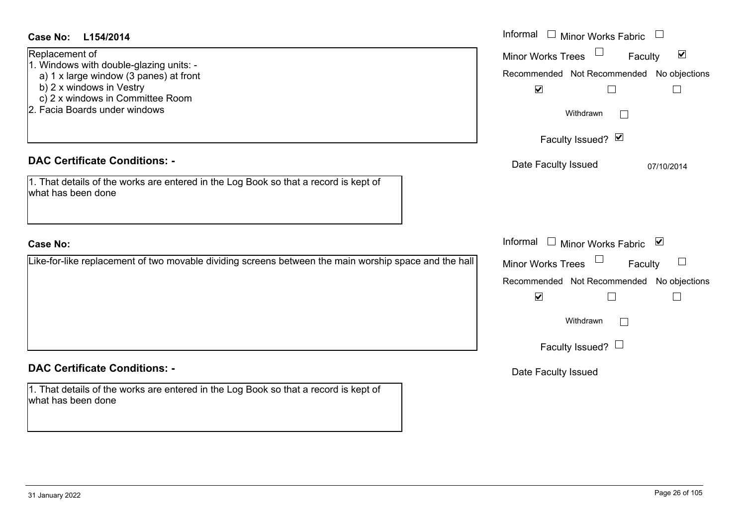| <b>Case No:</b><br>L154/2014                                                                                                                                                                         | Informal<br>$\Box$ Minor Works Fabric<br>$\mathcal{L}_{\mathcal{A}}$                                                                                                         |
|------------------------------------------------------------------------------------------------------------------------------------------------------------------------------------------------------|------------------------------------------------------------------------------------------------------------------------------------------------------------------------------|
| Replacement of<br>1. Windows with double-glazing units: -<br>a) 1 x large window (3 panes) at front<br>b) 2 x windows in Vestry<br>c) 2 x windows in Committee Room<br>2. Facia Boards under windows | Minor Works Trees $\Box$<br>$\blacktriangledown$<br>Faculty<br>Recommended Not Recommended No objections<br>$\blacktriangledown$<br>$\Box$<br>Withdrawn<br>Faculty Issued? Ø |
| <b>DAC Certificate Conditions: -</b>                                                                                                                                                                 | Date Faculty Issued<br>07/10/2014                                                                                                                                            |
| 1. That details of the works are entered in the Log Book so that a record is kept of<br>what has been done                                                                                           |                                                                                                                                                                              |
| <b>Case No:</b>                                                                                                                                                                                      | Informal<br>$\Box$ Minor Works Fabric $\Box$                                                                                                                                 |
| Like-for-like replacement of two movable dividing screens between the main worship space and the hall                                                                                                | Minor Works Trees $\Box$<br>Faculty                                                                                                                                          |
|                                                                                                                                                                                                      | Recommended Not Recommended No objections                                                                                                                                    |
|                                                                                                                                                                                                      | $\blacktriangledown$<br>$\Box$<br>$\Box$                                                                                                                                     |
|                                                                                                                                                                                                      | Withdrawn                                                                                                                                                                    |
|                                                                                                                                                                                                      | Faculty Issued? $\Box$                                                                                                                                                       |
| <b>DAC Certificate Conditions: -</b>                                                                                                                                                                 | Date Faculty Issued                                                                                                                                                          |
| 1. That details of the works are entered in the Log Book so that a record is kept of<br>what has been done                                                                                           |                                                                                                                                                                              |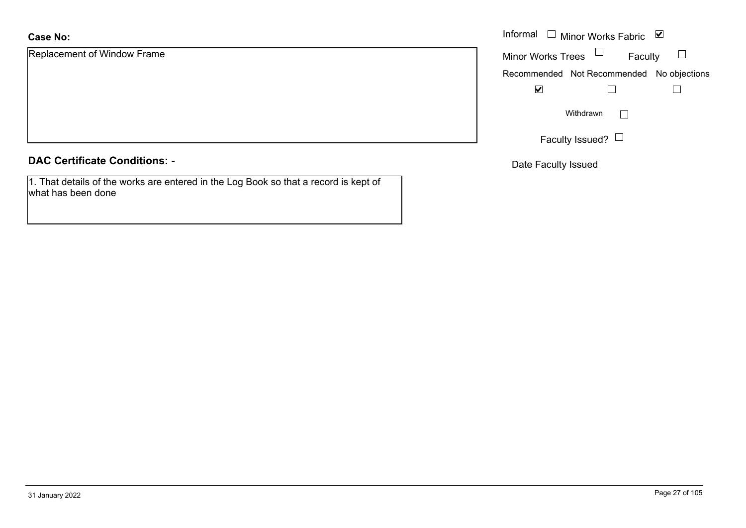Replacement of Window Frame

#### **DAC Certificate Conditions: -**

1. That details of the works are entered in the Log Book so that a record is kept of what has been done

|                      | Informal $\Box$ Minor Works Fabric $\Box$ |
|----------------------|-------------------------------------------|
| nent of Window Frame | Faculty<br>Minor Works Trees $\Box$       |
|                      | Recommended Not Recommended No objections |
|                      | $\blacktriangledown$                      |
|                      | Withdrawn                                 |
|                      | Faculty Issued? $\Box$                    |

Date Faculty Issued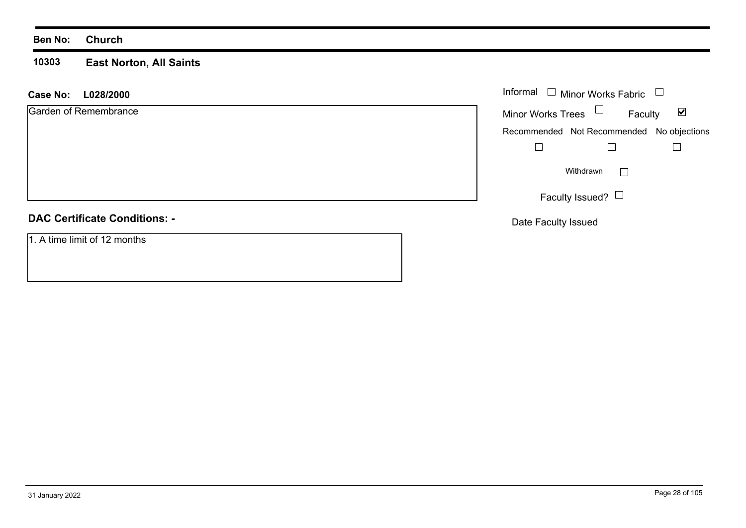#### **Ben No: Church**

#### **10303 East Norton, All Saints**

| <b>Case No:</b><br>L028/2000         | Informal $\Box$ Minor Works Fabric $\Box$                   |
|--------------------------------------|-------------------------------------------------------------|
| Garden of Remembrance                | Minor Works Trees $\Box$<br>$\blacktriangledown$<br>Faculty |
|                                      | Recommended Not Recommended No objections                   |
|                                      |                                                             |
|                                      | Withdrawn<br>$\mathbb{R}^n$                                 |
|                                      | Faculty Issued? $\Box$                                      |
| <b>DAC Certificate Conditions: -</b> | Date Faculty Issued                                         |
| 1. A time limit of 12 months         |                                                             |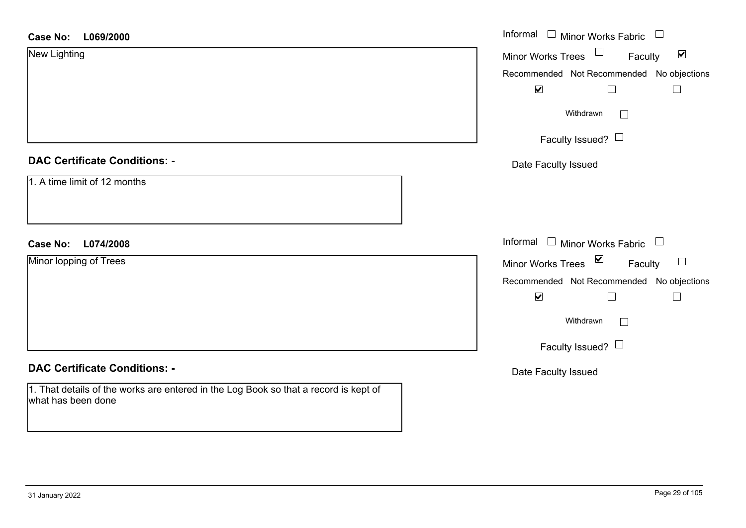| <b>Case No:</b><br>L069/2000                                                                               | Informal $\Box$ Minor Works Fabric $\Box$                   |
|------------------------------------------------------------------------------------------------------------|-------------------------------------------------------------|
| New Lighting                                                                                               | Minor Works Trees $\Box$<br>$\blacktriangledown$<br>Faculty |
|                                                                                                            | Recommended Not Recommended No objections                   |
|                                                                                                            | $\blacktriangledown$                                        |
|                                                                                                            | Withdrawn<br>$\Box$                                         |
|                                                                                                            | Faculty Issued? $\Box$                                      |
| <b>DAC Certificate Conditions: -</b>                                                                       | Date Faculty Issued                                         |
| 1. A time limit of 12 months                                                                               |                                                             |
|                                                                                                            |                                                             |
| L074/2008<br><b>Case No:</b>                                                                               | Informal $\Box$ Minor Works Fabric $\Box$                   |
| Minor lopping of Trees                                                                                     | Minor Works Trees $\Box$<br>$\Box$<br>Faculty               |
|                                                                                                            | Recommended Not Recommended No objections                   |
|                                                                                                            | $\blacktriangledown$                                        |
|                                                                                                            | Withdrawn<br>$\Box$                                         |
|                                                                                                            | Faculty Issued? $\Box$                                      |
| <b>DAC Certificate Conditions: -</b>                                                                       | Date Faculty Issued                                         |
| 1. That details of the works are entered in the Log Book so that a record is kept of<br>what has been done |                                                             |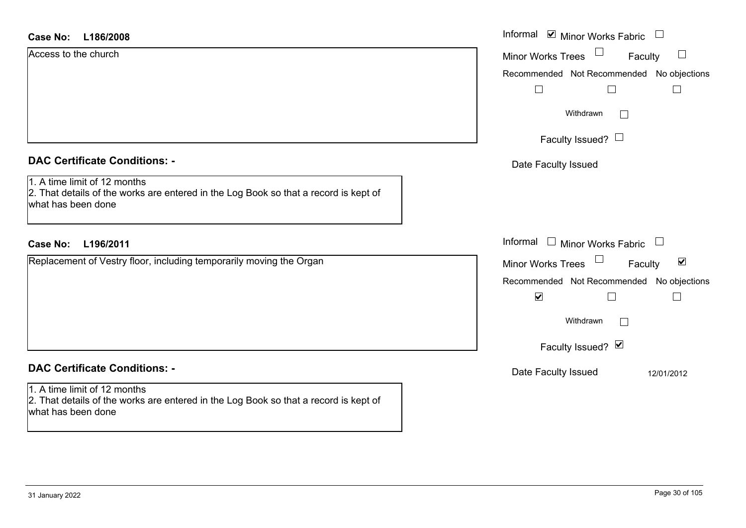#### **L186/2008Case No:**

| <b>Case No:</b><br>L186/2008                                                                                                               | Informal $\blacksquare$ Minor Works Fabric $\blacksquare$   |
|--------------------------------------------------------------------------------------------------------------------------------------------|-------------------------------------------------------------|
| Access to the church                                                                                                                       | <b>Minor Works Trees</b><br>$\Box$<br>Faculty               |
|                                                                                                                                            | Recommended Not Recommended No objections                   |
|                                                                                                                                            | $\Box$                                                      |
|                                                                                                                                            | Withdrawn<br>$\mathbb{R}^n$                                 |
|                                                                                                                                            | Faculty Issued? $\Box$                                      |
| <b>DAC Certificate Conditions: -</b>                                                                                                       | Date Faculty Issued                                         |
| 1. A time limit of 12 months<br>2. That details of the works are entered in the Log Book so that a record is kept of<br>what has been done |                                                             |
| L196/2011<br><b>Case No:</b>                                                                                                               | Informal $\Box$ Minor Works Fabric $\Box$                   |
| Replacement of Vestry floor, including temporarily moving the Organ                                                                        | $\blacktriangledown$<br><b>Minor Works Trees</b><br>Faculty |
|                                                                                                                                            | Recommended Not Recommended No objections                   |
|                                                                                                                                            | $\blacktriangledown$                                        |
|                                                                                                                                            | Withdrawn<br>$\Box$                                         |
|                                                                                                                                            | Faculty Issued? Ø                                           |
| <b>DAC Certificate Conditions: -</b>                                                                                                       | Date Faculty Issued<br>12/01/2012                           |
| 1. A time limit of 12 months<br>2. That details of the works are entered in the Log Book so that a record is kept of<br>what has been done |                                                             |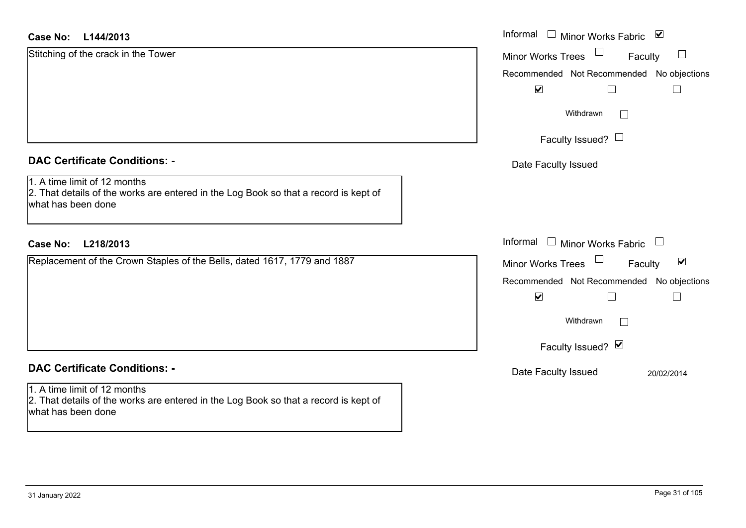| <b>Case No:</b><br>L144/2013                                                                                                                | Informal $\Box$ Minor Works Fabric $\Box$            |
|---------------------------------------------------------------------------------------------------------------------------------------------|------------------------------------------------------|
| Stitching of the crack in the Tower                                                                                                         | $\Box$<br>Minor Works Trees<br>Faculty               |
|                                                                                                                                             | Recommended Not Recommended No objections            |
|                                                                                                                                             | $\blacktriangledown$                                 |
|                                                                                                                                             | Withdrawn<br>$\mathbf{L}$                            |
|                                                                                                                                             | Faculty Issued? $\Box$                               |
| <b>DAC Certificate Conditions: -</b>                                                                                                        | Date Faculty Issued                                  |
| 1. A time limit of 12 months<br>2. That details of the works are entered in the Log Book so that a record is kept of<br>what has been done  |                                                      |
| L218/2013<br><b>Case No:</b>                                                                                                                | Informal $\Box$ Minor Works Fabric $\Box$            |
| Replacement of the Crown Staples of the Bells, dated 1617, 1779 and 1887                                                                    | $\blacktriangledown$<br>Minor Works Trees<br>Faculty |
|                                                                                                                                             | Recommended Not Recommended No objections            |
|                                                                                                                                             | $\blacktriangledown$<br>$\Box$                       |
|                                                                                                                                             | Withdrawn<br>$\mathbf{L}$                            |
|                                                                                                                                             | Faculty Issued? Ø                                    |
| <b>DAC Certificate Conditions: -</b>                                                                                                        | Date Faculty Issued<br>20/02/2014                    |
| 1. A time limit of 12 months<br>2. That details of the works are entered in the Log Book so that a record is kept of<br>lwhat has been done |                                                      |

 $\sim$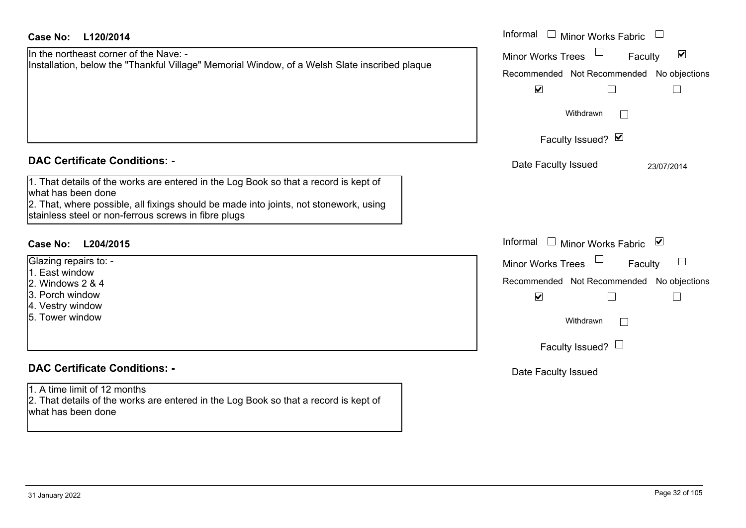| <b>Case No:</b><br>L120/2014                                                                                                                                                                                                                                | Informal $\Box$ Minor Works Fabric $\Box$                   |
|-------------------------------------------------------------------------------------------------------------------------------------------------------------------------------------------------------------------------------------------------------------|-------------------------------------------------------------|
| In the northeast corner of the Nave: -<br>Installation, below the "Thankful Village" Memorial Window, of a Welsh Slate inscribed plaque                                                                                                                     | $\blacktriangledown$<br><b>Minor Works Trees</b><br>Faculty |
|                                                                                                                                                                                                                                                             | Recommended Not Recommended No objections                   |
|                                                                                                                                                                                                                                                             | $\blacktriangledown$<br>$\Box$                              |
|                                                                                                                                                                                                                                                             | Withdrawn                                                   |
|                                                                                                                                                                                                                                                             | Faculty Issued? Ø                                           |
| <b>DAC Certificate Conditions: -</b>                                                                                                                                                                                                                        | Date Faculty Issued<br>23/07/2014                           |
| 1. That details of the works are entered in the Log Book so that a record is kept of<br>what has been done<br>2. That, where possible, all fixings should be made into joints, not stonework, using<br>stainless steel or non-ferrous screws in fibre plugs |                                                             |
| <b>Case No:</b><br>L204/2015                                                                                                                                                                                                                                | Informal<br>$\Box$ Minor Works Fabric $\Box$                |
| Glazing repairs to: -                                                                                                                                                                                                                                       | <b>Minor Works Trees</b><br>Faculty                         |
| 1. East window<br>2. Windows 2 & 4                                                                                                                                                                                                                          | Recommended Not Recommended No objections                   |
| 3. Porch window                                                                                                                                                                                                                                             | $\blacktriangledown$                                        |
| 4. Vestry window<br>5. Tower window                                                                                                                                                                                                                         | Withdrawn                                                   |
|                                                                                                                                                                                                                                                             |                                                             |
|                                                                                                                                                                                                                                                             | Faculty Issued? $\Box$                                      |
| <b>DAC Certificate Conditions: -</b>                                                                                                                                                                                                                        | Date Faculty Issued                                         |
| 1. A time limit of 12 months<br>2. That details of the works are entered in the Log Book so that a record is kept of<br>what has been done                                                                                                                  |                                                             |
|                                                                                                                                                                                                                                                             |                                                             |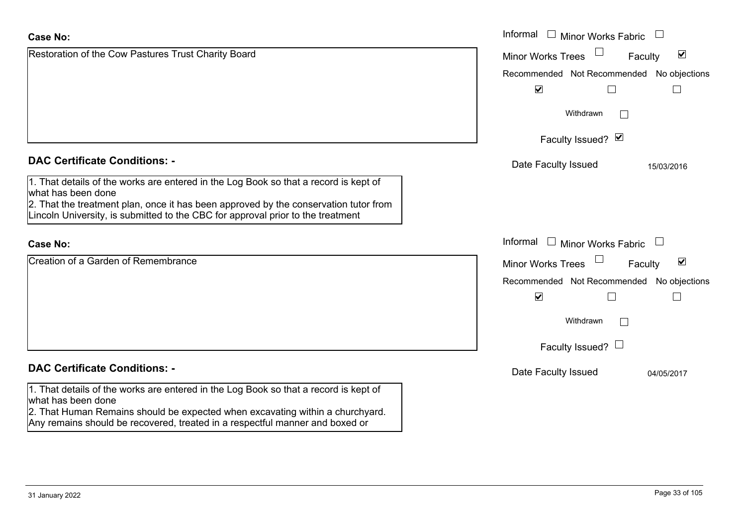| <b>Case No:</b>                                                                                                                                                                                                                                                                       | Informal $\Box$ Minor Works Fabric                          |  |  |
|---------------------------------------------------------------------------------------------------------------------------------------------------------------------------------------------------------------------------------------------------------------------------------------|-------------------------------------------------------------|--|--|
| Restoration of the Cow Pastures Trust Charity Board                                                                                                                                                                                                                                   | $\blacktriangledown$<br><b>Minor Works Trees</b><br>Faculty |  |  |
|                                                                                                                                                                                                                                                                                       | Recommended Not Recommended No objections                   |  |  |
|                                                                                                                                                                                                                                                                                       | $\blacktriangledown$<br>П<br>$\vert \ \ \vert$              |  |  |
|                                                                                                                                                                                                                                                                                       | Withdrawn                                                   |  |  |
|                                                                                                                                                                                                                                                                                       | Faculty Issued? Ø                                           |  |  |
| <b>DAC Certificate Conditions: -</b>                                                                                                                                                                                                                                                  | Date Faculty Issued<br>15/03/2016                           |  |  |
| 1. That details of the works are entered in the Log Book so that a record is kept of<br>what has been done<br>2. That the treatment plan, once it has been approved by the conservation tutor from<br>Lincoln University, is submitted to the CBC for approval prior to the treatment |                                                             |  |  |
| <b>Case No:</b>                                                                                                                                                                                                                                                                       | Informal<br>$\Box$ Minor Works Fabric                       |  |  |
| Creation of a Garden of Remembrance                                                                                                                                                                                                                                                   | $\blacktriangledown$<br><b>Minor Works Trees</b><br>Faculty |  |  |
|                                                                                                                                                                                                                                                                                       | Recommended Not Recommended No objections                   |  |  |
|                                                                                                                                                                                                                                                                                       | $\blacktriangledown$<br>$\vert \ \ \vert$<br>$\mathbb{R}^n$ |  |  |
|                                                                                                                                                                                                                                                                                       | Withdrawn                                                   |  |  |
|                                                                                                                                                                                                                                                                                       | Faculty Issued? $\Box$                                      |  |  |
| <b>DAC Certificate Conditions: -</b>                                                                                                                                                                                                                                                  | Date Faculty Issued<br>04/05/2017                           |  |  |
| 1. That details of the works are entered in the Log Book so that a record is kept of<br>what has been done<br>2. That Human Remains should be expected when excavating within a churchyard.                                                                                           |                                                             |  |  |
| Any remains should be recovered, treated in a respectful manner and boxed or                                                                                                                                                                                                          |                                                             |  |  |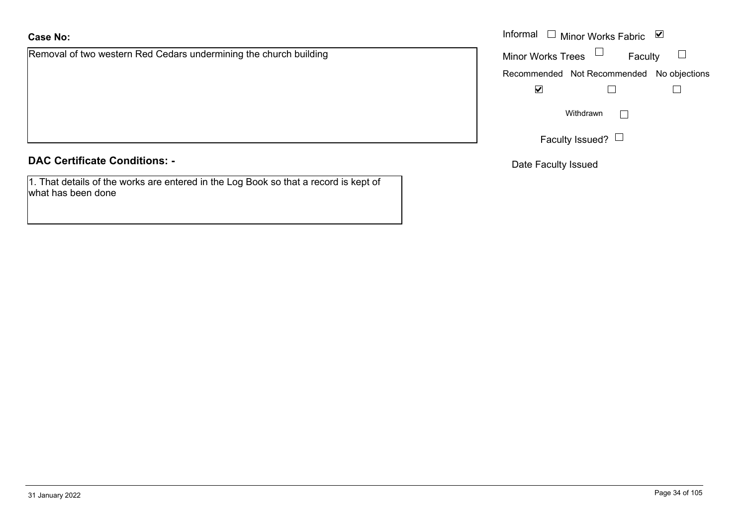Removal of two western Red Cedars undermining the church building

#### **DAC Certificate Conditions: -**

1. That details of the works are entered in the Log Book so that a record is kept of what has been done

|                                                           |                   | Informal $\Box$ Minor Works Fabric $\Box$ |  |
|-----------------------------------------------------------|-------------------|-------------------------------------------|--|
| of two western Red Cedars undermining the church building | Minor Works Trees | Faculty                                   |  |
|                                                           |                   | Recommended Not Recommended No objections |  |
|                                                           | ⊻                 |                                           |  |
|                                                           |                   | Withdrawn                                 |  |
|                                                           |                   | Faculty Issued? $\Box$                    |  |

Date Faculty Issued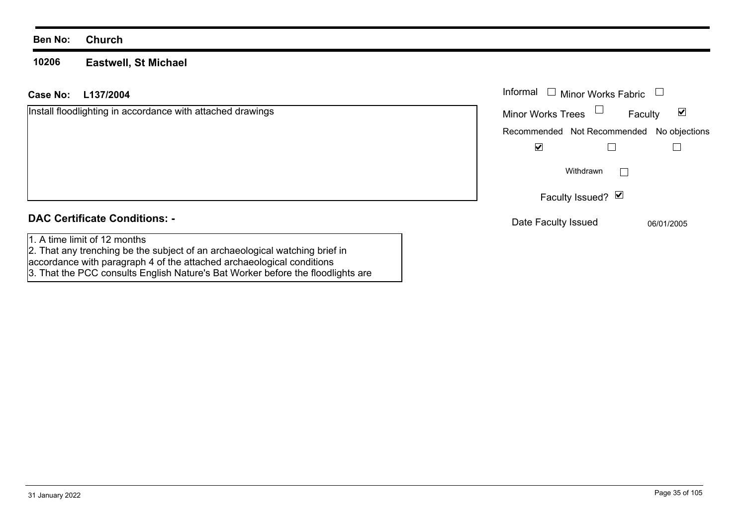#### **Ben No: Church**

**10206Eastwell, St Michael**

accordance with paragraph 4 of the attached archaeological conditions

3. That the PCC consults English Nature's Bat Worker before the floodlights are

#### **L137/2004Case No:** Informal

| Install floodlighting in accordance with attached drawings                                                  | ⊻<br><b>Minor Works Trees</b><br>Faculty  |
|-------------------------------------------------------------------------------------------------------------|-------------------------------------------|
|                                                                                                             | Recommended Not Recommended No objections |
|                                                                                                             | ⊻                                         |
|                                                                                                             | Withdrawn                                 |
|                                                                                                             | Faculty Issued? $\vert \mathbf{v} \vert$  |
| <b>DAC Certificate Conditions: -</b>                                                                        | Date Faculty Issued<br>06/01/2005         |
| 1. A time limit of 12 months<br>2. That any trenching be the subject of an archaeological watching brief in |                                           |

Minor Works Fabric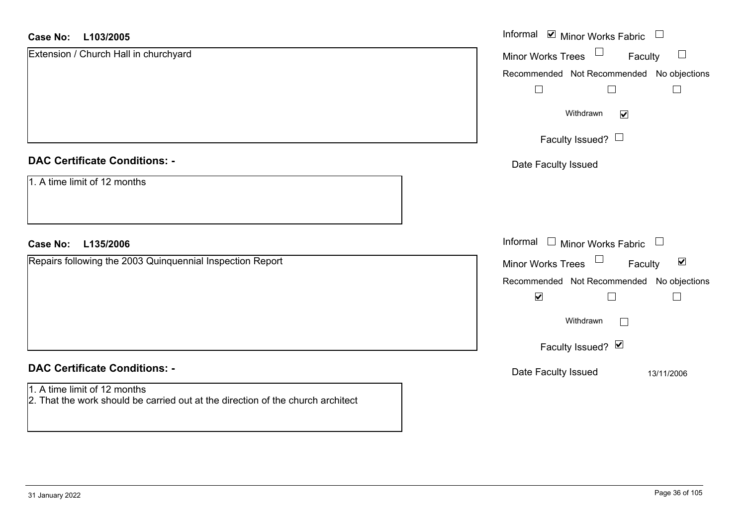#### **L103/2005Case No:**

| <b>Case No:</b><br>L103/2005                                                                                    | Informal $\blacksquare$ Minor Works Fabric $\blacksquare$ |
|-----------------------------------------------------------------------------------------------------------------|-----------------------------------------------------------|
| Extension / Church Hall in churchyard                                                                           | Minor Works Trees<br>Faculty<br>$\Box$                    |
|                                                                                                                 | Recommended Not Recommended No objections                 |
|                                                                                                                 | $\Box$                                                    |
|                                                                                                                 | Withdrawn<br>$\blacktriangledown$                         |
|                                                                                                                 | Faculty Issued? $\Box$                                    |
| <b>DAC Certificate Conditions: -</b>                                                                            | Date Faculty Issued                                       |
| 1. A time limit of 12 months                                                                                    |                                                           |
| <b>Case No:</b><br>L135/2006                                                                                    | Informal<br>$\Box$ Minor Works Fabric $\Box$              |
| Repairs following the 2003 Quinquennial Inspection Report                                                       | Minor Works Trees<br>$\blacktriangledown$<br>Faculty      |
|                                                                                                                 | Recommended Not Recommended No objections                 |
|                                                                                                                 | $\blacktriangledown$                                      |
|                                                                                                                 | Withdrawn<br>$\Box$                                       |
|                                                                                                                 | Faculty Issued? Ø                                         |
| <b>DAC Certificate Conditions: -</b>                                                                            | Date Faculty Issued<br>13/11/2006                         |
| 1. A time limit of 12 months<br>2. That the work should be carried out at the direction of the church architect |                                                           |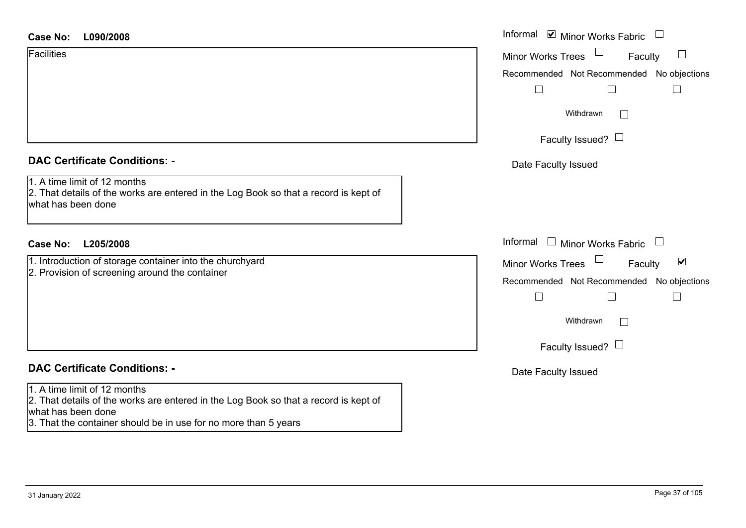| Case No: |  | L090/2008 |
|----------|--|-----------|
|----------|--|-----------|

| Facilities |  |
|------------|--|
|            |  |
|            |  |

# **DAC Certificate Conditions: -**

| 1. A time limit of 12 months |  |  |  |  |  |  |  |
|------------------------------|--|--|--|--|--|--|--|
|------------------------------|--|--|--|--|--|--|--|

2. That details of the works are entered in the Log Book so that a record is kept of what has been done

# **L205/2008Case No:** Informal

1. Introduction of storage container into the churchyard 2. Provision of screening around the container

# **DAC Certificate Conditions: -**

#### 1. A time limit of 12 months

2. That details of the works are entered in the Log Book so that a record is kept of what has been done

3. That the container should be in use for no more than 5 years

| L090/2008                                                                                                      | Informal ☑ Minor Works Fabric                        |
|----------------------------------------------------------------------------------------------------------------|------------------------------------------------------|
|                                                                                                                | Minor Works Trees<br>$\Box$<br>Faculty               |
|                                                                                                                | Recommended Not Recommended No objections            |
|                                                                                                                | $\Box$<br>$\Box$                                     |
|                                                                                                                | Withdrawn                                            |
|                                                                                                                | Faculty Issued? $\Box$                               |
| rtificate Conditions: -                                                                                        | Date Faculty Issued                                  |
| limit of 12 months<br>etails of the works are entered in the Log Book so that a record is kept of<br>been done |                                                      |
| L205/2008                                                                                                      | Informal<br>$\Box$ Minor Works Fabric                |
| uction of storage container into the churchyard                                                                | $\blacktriangledown$<br>Minor Works Trees<br>Faculty |
| ion of screening around the container                                                                          | Recommended Not Recommended No objections            |
|                                                                                                                | $\Box$                                               |
|                                                                                                                | Withdrawn<br>П                                       |
|                                                                                                                | Faculty Issued? $\Box$                               |
| rtificate Conditions: -                                                                                        | Date Faculty Issued                                  |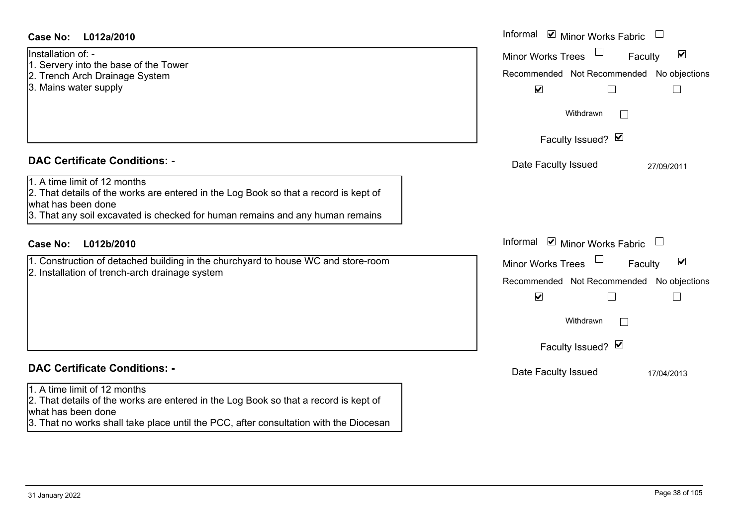| <b>Case No:</b><br>L012a/2010                                                                                                                                                                                               | Informal Ø Minor Works Fabric U                                                                                                                                               |
|-----------------------------------------------------------------------------------------------------------------------------------------------------------------------------------------------------------------------------|-------------------------------------------------------------------------------------------------------------------------------------------------------------------------------|
| Installation of: -<br>1. Servery into the base of the Tower<br>2. Trench Arch Drainage System<br>3. Mains water supply                                                                                                      | $\blacktriangledown$<br><b>Minor Works Trees</b><br>Faculty<br>Recommended Not Recommended No objections<br>$\blacktriangledown$<br>Withdrawn                                 |
|                                                                                                                                                                                                                             | Faculty Issued? Ø                                                                                                                                                             |
| <b>DAC Certificate Conditions: -</b>                                                                                                                                                                                        | Date Faculty Issued<br>27/09/2011                                                                                                                                             |
| 1. A time limit of 12 months<br>2. That details of the works are entered in the Log Book so that a record is kept of<br>what has been done<br>3. That any soil excavated is checked for human remains and any human remains |                                                                                                                                                                               |
| <b>Case No:</b><br>L012b/2010                                                                                                                                                                                               | Informal ☑ Minor Works Fabric                                                                                                                                                 |
| 1. Construction of detached building in the churchyard to house WC and store-room<br>2. Installation of trench-arch drainage system                                                                                         | $\blacktriangledown$<br><b>Minor Works Trees</b><br>Faculty<br>Recommended Not Recommended No objections<br>$\blacktriangleright$<br>Withdrawn<br>$\Box$<br>Faculty Issued? Ø |
| <b>DAC Certificate Conditions: -</b>                                                                                                                                                                                        | Date Faculty Issued<br>17/04/2013                                                                                                                                             |
| 1. A time limit of 12 months<br>2. That details of the works are entered in the Log Book so that a record is kept of<br>what has been done                                                                                  |                                                                                                                                                                               |

3. That no works shall take place until the PCC, after consultation with the Diocesan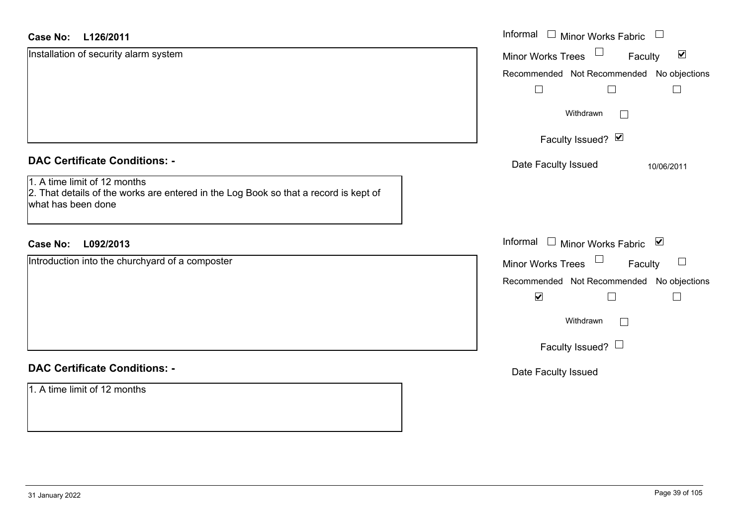| <b>Case No:</b><br>L126/2011                                                                                                               | Informal<br>$\Box$ Minor Works Fabric                                    |
|--------------------------------------------------------------------------------------------------------------------------------------------|--------------------------------------------------------------------------|
| Installation of security alarm system                                                                                                      | $\Box$<br>$\blacktriangledown$<br>Minor Works Trees<br>Faculty           |
|                                                                                                                                            | Recommended Not Recommended No objections                                |
|                                                                                                                                            |                                                                          |
|                                                                                                                                            | Withdrawn<br>$\mathbf{L}$                                                |
|                                                                                                                                            | Faculty Issued? Ø                                                        |
| <b>DAC Certificate Conditions: -</b>                                                                                                       | Date Faculty Issued<br>10/06/2011                                        |
| 1. A time limit of 12 months<br>2. That details of the works are entered in the Log Book so that a record is kept of<br>what has been done |                                                                          |
| L092/2013<br><b>Case No:</b>                                                                                                               | Informal<br>$\Box$ Minor Works Fabric $\lvert \blacktriangleleft \rvert$ |
| Introduction into the churchyard of a composter                                                                                            | Minor Works Trees<br>Faculty                                             |
|                                                                                                                                            | Recommended Not Recommended No objections                                |
|                                                                                                                                            | $\blacktriangledown$<br>$\Box$<br>$\Box$                                 |
|                                                                                                                                            | Withdrawn<br>$\Box$                                                      |
|                                                                                                                                            | Faculty Issued? $\Box$                                                   |
| <b>DAC Certificate Conditions: -</b>                                                                                                       | Date Faculty Issued                                                      |
| 1. A time limit of 12 months                                                                                                               |                                                                          |
|                                                                                                                                            |                                                                          |
|                                                                                                                                            |                                                                          |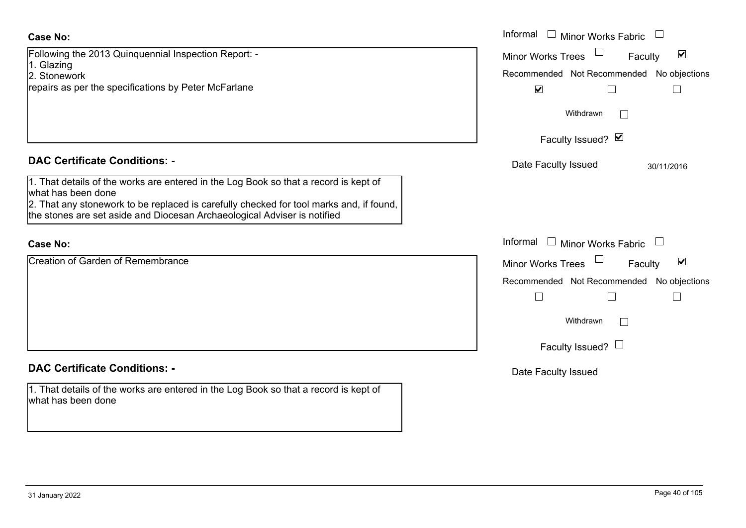| Case No:                                                                                                      | Informal<br>$\perp$<br>Minor Works Fabric                   |
|---------------------------------------------------------------------------------------------------------------|-------------------------------------------------------------|
| Following the 2013 Quinquennial Inspection Report: -                                                          | $\blacktriangledown$<br><b>Minor Works Trees</b><br>Faculty |
| 1. Glazing<br>2. Stonework                                                                                    | Recommended Not Recommended No objections                   |
| repairs as per the specifications by Peter McFarlane                                                          | $\blacktriangledown$<br>⊔<br>$\Box$                         |
|                                                                                                               | Withdrawn<br>$\mathbb{R}^n$                                 |
|                                                                                                               | Faculty Issued? Ø                                           |
| <b>DAC Certificate Conditions: -</b>                                                                          | Date Faculty Issued<br>30/11/2016                           |
| 1. That details of the works are entered in the Log Book so that a record is kept of                          |                                                             |
| what has been done<br>2. That any stonework to be replaced is carefully checked for tool marks and, if found, |                                                             |
| the stones are set aside and Diocesan Archaeological Adviser is notified                                      |                                                             |
|                                                                                                               |                                                             |
| <b>Case No:</b>                                                                                               | Informal<br>Minor Works Fabric                              |
| Creation of Garden of Remembrance                                                                             | $\blacktriangledown$<br><b>Minor Works Trees</b><br>Faculty |
|                                                                                                               | Recommended Not Recommended<br>No objections                |
|                                                                                                               | $\Box$                                                      |
|                                                                                                               | Withdrawn                                                   |
|                                                                                                               | Faculty Issued? $\Box$                                      |
| <b>DAC Certificate Conditions: -</b>                                                                          | Date Faculty Issued                                         |
| 1. That details of the works are entered in the Log Book so that a record is kept of<br>what has been done    |                                                             |
|                                                                                                               |                                                             |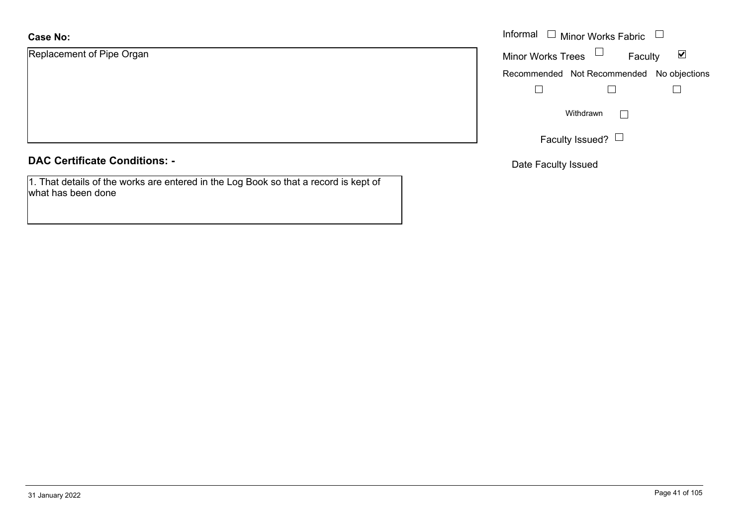# **Case No:**

Replacement of Pipe Organ

## **DAC Certificate Conditions: -**

1. That details of the works are entered in the Log Book so that a record is kept of what has been done

|                    | Informal $\Box$ Minor Works Fabric $\Box$                   |
|--------------------|-------------------------------------------------------------|
| nent of Pipe Organ | Minor Works Trees $\Box$<br>Faculty<br>$\blacktriangledown$ |
|                    | Recommended Not Recommended No objections                   |
|                    |                                                             |
|                    | Withdrawn                                                   |
|                    | Faculty Issued? $\Box$                                      |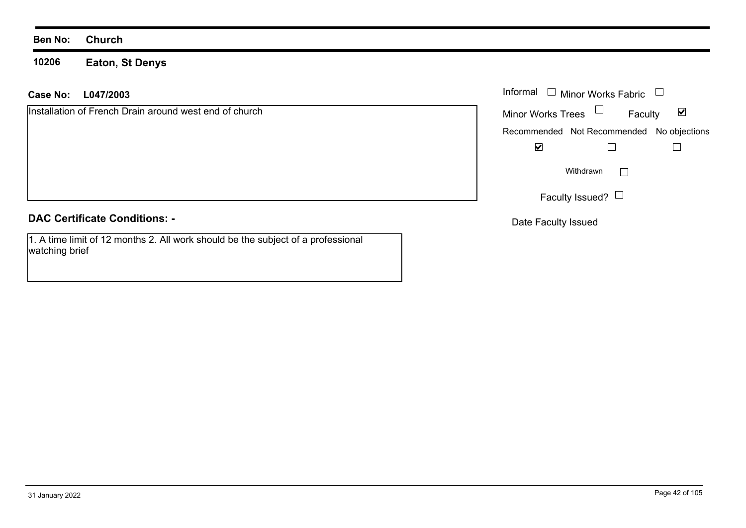**10206Eaton, St Denys**

## **L047/2003 Case No:** Informal

Installation of French Drain around west end of church

# **DAC Certificate Conditions: -**

1. A time limit of 12 months 2. All work should be the subject of a professional watching brief

| Informal $\;\;\Box\;$ Minor Works Fabric  |                        |         |  |
|-------------------------------------------|------------------------|---------|--|
| Minor Works Trees                         |                        | Faculty |  |
| Recommended Not Recommended No objections |                        |         |  |
|                                           |                        |         |  |
|                                           | Withdrawn              |         |  |
|                                           | Faculty Issued? $\Box$ |         |  |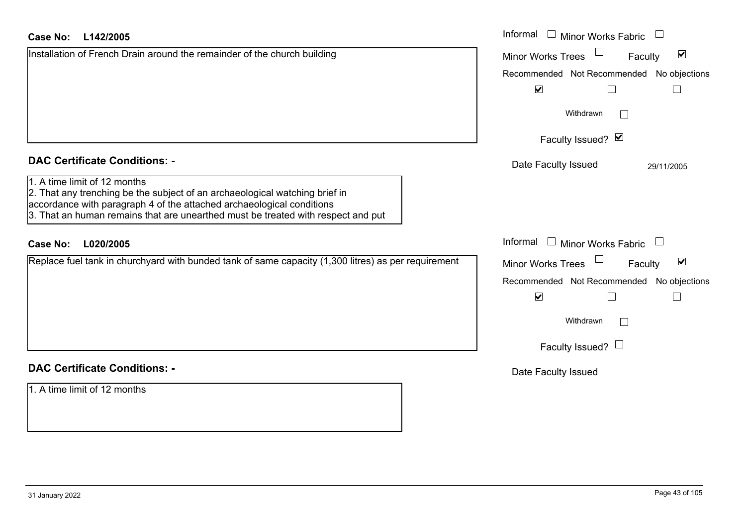| <b>Case No:</b><br>L142/2005                                                                                                                                                                                                                                             | Informal $\Box$ Minor Works Fabric $\Box$                   |
|--------------------------------------------------------------------------------------------------------------------------------------------------------------------------------------------------------------------------------------------------------------------------|-------------------------------------------------------------|
| Installation of French Drain around the remainder of the church building                                                                                                                                                                                                 | $\blacktriangledown$<br><b>Minor Works Trees</b><br>Faculty |
|                                                                                                                                                                                                                                                                          | Recommended Not Recommended No objections                   |
|                                                                                                                                                                                                                                                                          | $\blacktriangledown$<br>$\Box$<br>$\overline{\phantom{a}}$  |
|                                                                                                                                                                                                                                                                          | Withdrawn<br>$\sim$                                         |
|                                                                                                                                                                                                                                                                          | Faculty Issued? Ø                                           |
| <b>DAC Certificate Conditions: -</b>                                                                                                                                                                                                                                     | Date Faculty Issued<br>29/11/2005                           |
| 1. A time limit of 12 months<br>2. That any trenching be the subject of an archaeological watching brief in<br>accordance with paragraph 4 of the attached archaeological conditions<br>3. That an human remains that are unearthed must be treated with respect and put |                                                             |
| L020/2005<br><b>Case No:</b>                                                                                                                                                                                                                                             | Informal $\Box$ Minor Works Fabric $\Box$                   |
| Replace fuel tank in churchyard with bunded tank of same capacity (1,300 litres) as per requirement                                                                                                                                                                      | $\blacktriangledown$<br>Minor Works Trees<br>Faculty        |
|                                                                                                                                                                                                                                                                          | Recommended Not Recommended No objections                   |
|                                                                                                                                                                                                                                                                          | $\blacktriangledown$<br>$\overline{\phantom{a}}$<br>$\Box$  |
|                                                                                                                                                                                                                                                                          | Withdrawn<br>$\mathbb{R}^n$                                 |
|                                                                                                                                                                                                                                                                          | Faculty Issued? $\Box$                                      |
| <b>DAC Certificate Conditions: -</b>                                                                                                                                                                                                                                     | Date Faculty Issued                                         |
| 1. A time limit of 12 months                                                                                                                                                                                                                                             |                                                             |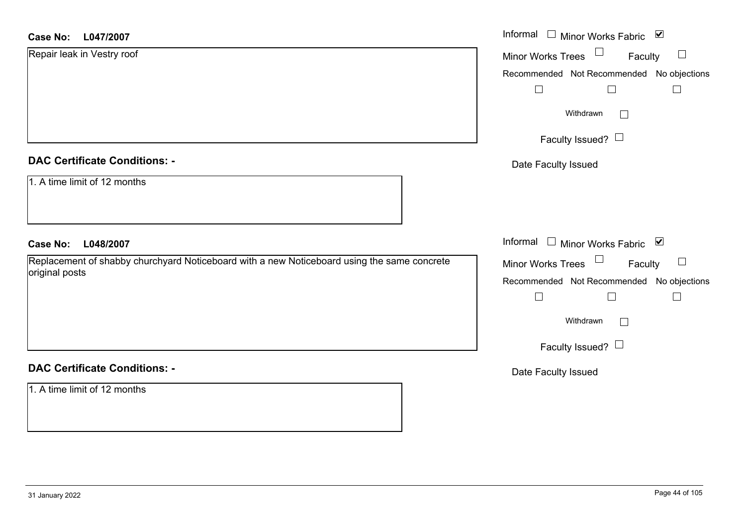#### **L047/2007Case No:**

| L047/2007<br><b>Case No:</b>                                                                | Informal □ Minor Works Fabric ☑                  |
|---------------------------------------------------------------------------------------------|--------------------------------------------------|
| Repair leak in Vestry roof                                                                  | $\Box$<br>Minor Works Trees<br>Faculty<br>$\Box$ |
|                                                                                             | Recommended Not Recommended No objections        |
|                                                                                             | $\Box$<br>$\Box$<br>$\Box$                       |
|                                                                                             | Withdrawn<br>$\mathcal{L}^{\mathcal{A}}$         |
|                                                                                             | Faculty Issued? $\Box$                           |
| <b>DAC Certificate Conditions: -</b>                                                        | Date Faculty Issued                              |
| 1. A time limit of 12 months                                                                |                                                  |
| L048/2007<br><b>Case No:</b>                                                                | Informal □ Minor Works Fabric ⊠                  |
| Replacement of shabby churchyard Noticeboard with a new Noticeboard using the same concrete | Minor Works Trees $\Box$<br>$\Box$<br>Faculty    |
| original posts                                                                              | Recommended Not Recommended No objections        |
|                                                                                             | $\Box$<br>$\Box$<br>$\mathbb{L}$                 |
|                                                                                             | Withdrawn<br>$\Box$                              |
|                                                                                             | Faculty Issued?                                  |
| <b>DAC Certificate Conditions: -</b>                                                        | Date Faculty Issued                              |
| 1. A time limit of 12 months                                                                |                                                  |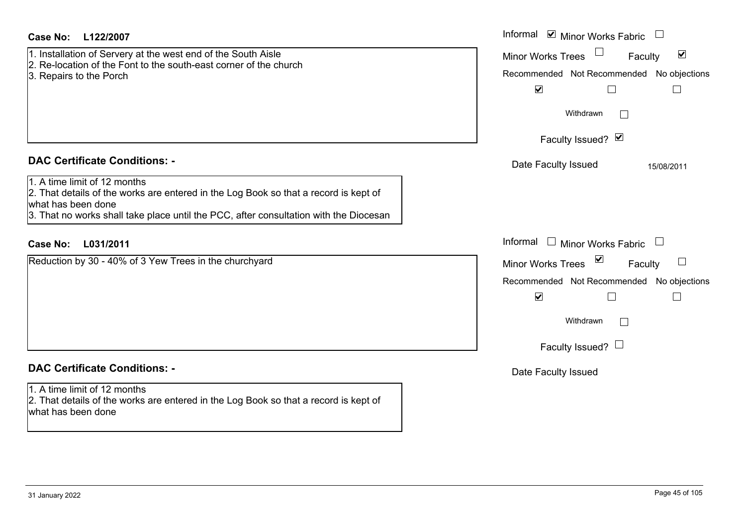| <b>Case No:</b><br>L122/2007                                                                                                                                                                                                        | Informal ⊠ Minor Works Fabric □                                                                                                     |
|-------------------------------------------------------------------------------------------------------------------------------------------------------------------------------------------------------------------------------------|-------------------------------------------------------------------------------------------------------------------------------------|
| 1. Installation of Servery at the west end of the South Aisle<br>2. Re-location of the Font to the south-east corner of the church<br>3. Repairs to the Porch                                                                       | $\blacktriangledown$<br>Minor Works Trees<br>Faculty<br>Recommended Not Recommended No objections<br>$\blacktriangledown$<br>$\Box$ |
|                                                                                                                                                                                                                                     | Withdrawn                                                                                                                           |
|                                                                                                                                                                                                                                     | Faculty Issued? Ø                                                                                                                   |
| <b>DAC Certificate Conditions: -</b>                                                                                                                                                                                                | Date Faculty Issued<br>15/08/2011                                                                                                   |
| 1. A time limit of 12 months<br>2. That details of the works are entered in the Log Book so that a record is kept of<br>what has been done<br>3. That no works shall take place until the PCC, after consultation with the Diocesan |                                                                                                                                     |
| L031/2011<br><b>Case No:</b>                                                                                                                                                                                                        | Informal $\Box$ Minor Works Fabric                                                                                                  |
| Reduction by 30 - 40% of 3 Yew Trees in the churchyard                                                                                                                                                                              | ⊻<br><b>Minor Works Trees</b><br>Faculty                                                                                            |
|                                                                                                                                                                                                                                     | Recommended Not Recommended No objections                                                                                           |
|                                                                                                                                                                                                                                     | $\blacktriangledown$<br>$\Box$<br>$\overline{\phantom{a}}$                                                                          |
|                                                                                                                                                                                                                                     | Withdrawn                                                                                                                           |
|                                                                                                                                                                                                                                     | Faculty Issued? $\Box$                                                                                                              |
| <b>DAC Certificate Conditions: -</b>                                                                                                                                                                                                | Date Faculty Issued                                                                                                                 |
| 1. A time limit of 12 months<br>2. That details of the works are entered in the Log Book so that a record is kept of                                                                                                                |                                                                                                                                     |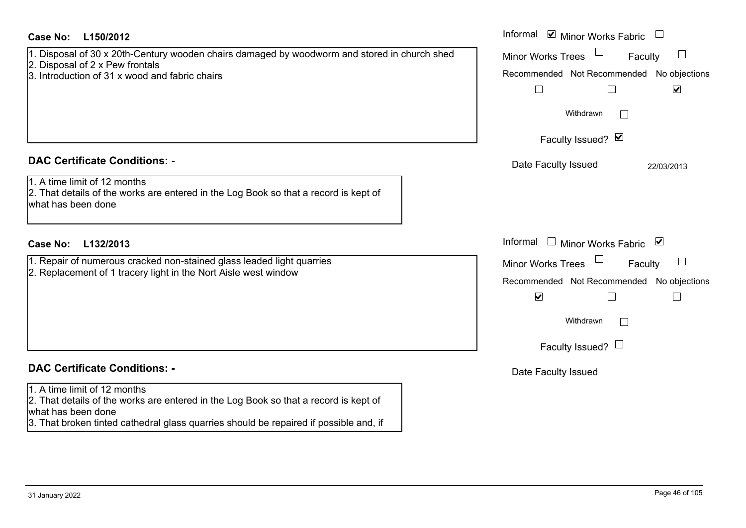| Case No:<br>L150/2012                                                                                                                                                             | Informal ☑ Minor Works Fabric                                                       |
|-----------------------------------------------------------------------------------------------------------------------------------------------------------------------------------|-------------------------------------------------------------------------------------|
| 1. Disposal of 30 x 20th-Century wooden chairs damaged by woodworm and stored in church shed<br>2. Disposal of 2 x Pew frontals<br>3. Introduction of 31 x wood and fabric chairs | <b>Minor Works Trees</b><br>Faculty<br>Recommended Not Recommended<br>No objections |
|                                                                                                                                                                                   | $\Box$<br>$\blacktriangledown$                                                      |
|                                                                                                                                                                                   | Withdrawn                                                                           |
|                                                                                                                                                                                   | Faculty Issued? Ø                                                                   |
| <b>DAC Certificate Conditions: -</b>                                                                                                                                              | Date Faculty Issued<br>22/03/2013                                                   |
| 1. A time limit of 12 months<br>2. That details of the works are entered in the Log Book so that a record is kept of<br>what has been done                                        |                                                                                     |
| L132/2013<br><b>Case No:</b>                                                                                                                                                      | Informal<br>$\Box$ Minor Works Fabric $\Box$                                        |
| 1. Repair of numerous cracked non-stained glass leaded light quarries<br>2. Replacement of 1 tracery light in the Nort Aisle west window                                          | <b>Minor Works Trees</b><br>Faculty                                                 |
|                                                                                                                                                                                   | Recommended Not Recommended<br>No objections                                        |
|                                                                                                                                                                                   | $\blacktriangledown$                                                                |
|                                                                                                                                                                                   | Withdrawn                                                                           |
|                                                                                                                                                                                   | Faculty Issued? $\Box$                                                              |
| <b>DAC Certificate Conditions: -</b>                                                                                                                                              | Date Faculty Issued                                                                 |
| 1. A time limit of 12 months<br>2. That details of the works are entered in the Log Book so that a record is kept of<br>what has been done                                        |                                                                                     |
| 3. That broken tinted cathedral glass quarries should be repaired if possible and, if                                                                                             |                                                                                     |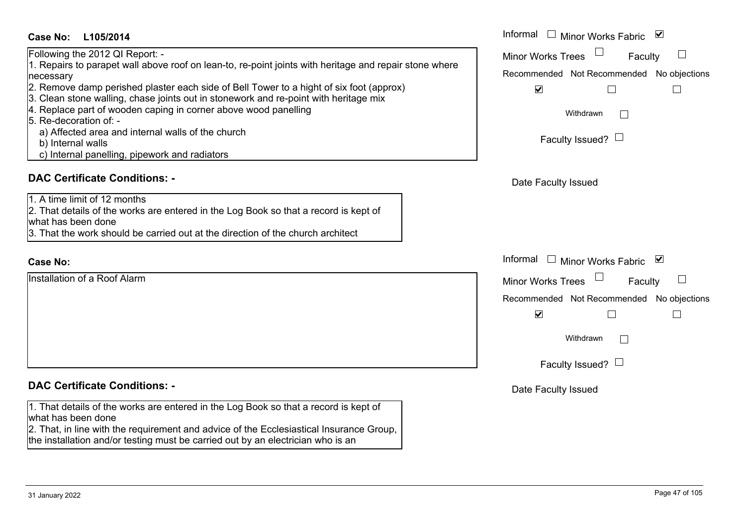#### Informal  $\Box$  Minor Works Fabric  $\Box$ **L105/2014Case No:** Informal Following the 2012 QI Report: - Minor Works Trees<sup>1</sup> Faculty  $\Box$ 1. Repairs to parapet wall above roof on lean-to, re-point joints with heritage and repair stone where necessary Recommended Not Recommended No objections 2. Remove damp perished plaster each side of Bell Tower to a hight of six foot (approx)  $\overline{\mathbf{v}}$  $\Box$  $\Box$ 3. Clean stone walling, chase joints out in stonework and re-point with heritage mix 4. Replace part of wooden caping in corner above wood panelling Withdrawn $\Box$ 5. Re-decoration of: a) Affected area and internal walls of the church Faculty Issued?  $\Box$  b) Internal walls c) Internal panelling, pipework and radiators **DAC Certificate Conditions: -**Date Faculty Issued 1. A time limit of 12 months2. That details of the works are entered in the Log Book so that a record is kept of what has been done3. That the work should be carried out at the direction of the church architectInformal  $\Box$  Minor Works Fabric  $\Box$  Informal **Case No:**Installation of a Roof Alarm $\Box$ Faculty Minor Works Trees Recommended Not Recommended No objections  $\overline{\mathbf{v}}$  $\Box$  $\Box$ **Withdrawn**  $\Box$ Faculty Issued?  $\Box$ **DAC Certificate Conditions: -**Date Faculty Issued 1. That details of the works are entered in the Log Book so that a record is kept of what has been done2. That, in line with the requirement and advice of the Ecclesiastical Insurance Group,

the installation and/or testing must be carried out by an electrician who is an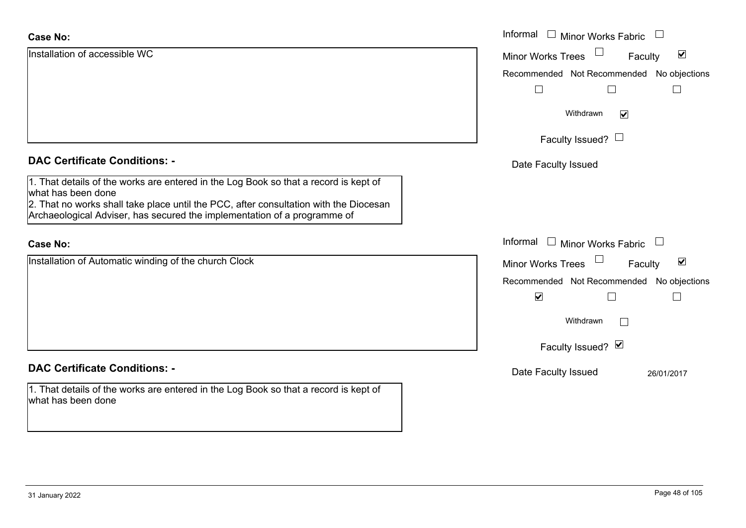| <b>Case No:</b>                                                                                                                                                                                     | Informal □ Minor Works Fabric □                                |
|-----------------------------------------------------------------------------------------------------------------------------------------------------------------------------------------------------|----------------------------------------------------------------|
| Installation of accessible WC                                                                                                                                                                       | $\blacktriangledown$<br><b>Minor Works Trees</b><br>Faculty    |
|                                                                                                                                                                                                     | Recommended Not Recommended No objections                      |
|                                                                                                                                                                                                     | $\Box$<br>$\Box$                                               |
|                                                                                                                                                                                                     | Withdrawn<br>$\blacktriangledown$                              |
|                                                                                                                                                                                                     | Faculty Issued? $\Box$                                         |
| <b>DAC Certificate Conditions: -</b>                                                                                                                                                                | Date Faculty Issued                                            |
| 1. That details of the works are entered in the Log Book so that a record is kept of<br>what has been done<br>2. That no works shall take place until the PCC, after consultation with the Diocesan |                                                                |
| Archaeological Adviser, has secured the implementation of a programme of                                                                                                                            |                                                                |
| <b>Case No:</b>                                                                                                                                                                                     | Informal $\Box$ Minor Works Fabric $\Box$                      |
| Installation of Automatic winding of the church Clock                                                                                                                                               | $\Box$<br>$\blacktriangledown$<br>Minor Works Trees<br>Faculty |
|                                                                                                                                                                                                     | Recommended Not Recommended No objections                      |
|                                                                                                                                                                                                     | $\blacktriangledown$                                           |
|                                                                                                                                                                                                     | Withdrawn                                                      |
|                                                                                                                                                                                                     | Faculty Issued? Ø                                              |
| <b>DAC Certificate Conditions: -</b>                                                                                                                                                                | Date Faculty Issued<br>26/01/2017                              |
| 1. That details of the works are entered in the Log Book so that a record is kept of<br>what has been done                                                                                          |                                                                |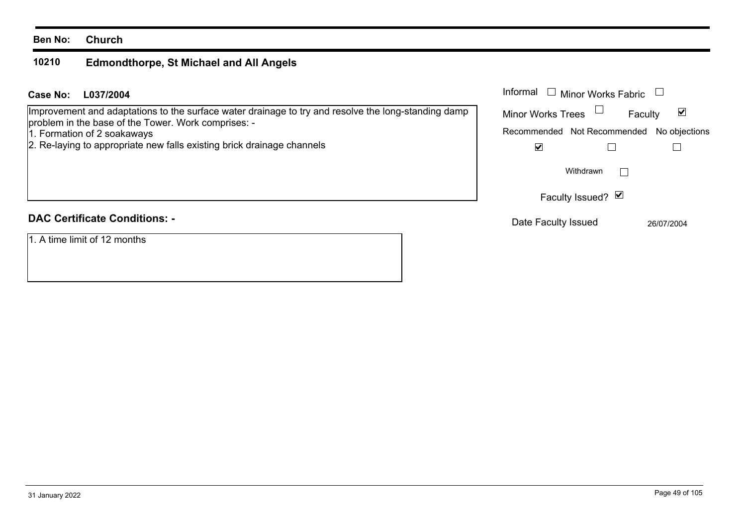#### **10210 Edmondthorpe, St Michael and All Angels**

| Case No: | L037/2004                                                                                                                                                  | Informal<br>Minor Works Fabric            |              |  |  |
|----------|------------------------------------------------------------------------------------------------------------------------------------------------------------|-------------------------------------------|--------------|--|--|
|          | Improvement and adaptations to the surface water drainage to try and resolve the long-standing damp<br>problem in the base of the Tower. Work comprises: - | <b>Minor Works Trees</b>                  | ⊻<br>Faculty |  |  |
|          | 1. Formation of 2 soakaways                                                                                                                                | Recommended Not Recommended No objections |              |  |  |
|          | 2. Re-laying to appropriate new falls existing brick drainage channels                                                                                     | ⊻                                         |              |  |  |
|          |                                                                                                                                                            | Withdrawn                                 |              |  |  |
|          |                                                                                                                                                            | Faculty Issued? Ø                         |              |  |  |
|          | <b>DAC Certificate Conditions: -</b>                                                                                                                       | Date Faculty Issued                       | 26/07/2004   |  |  |
|          | 1. A time limit of 12 months                                                                                                                               |                                           |              |  |  |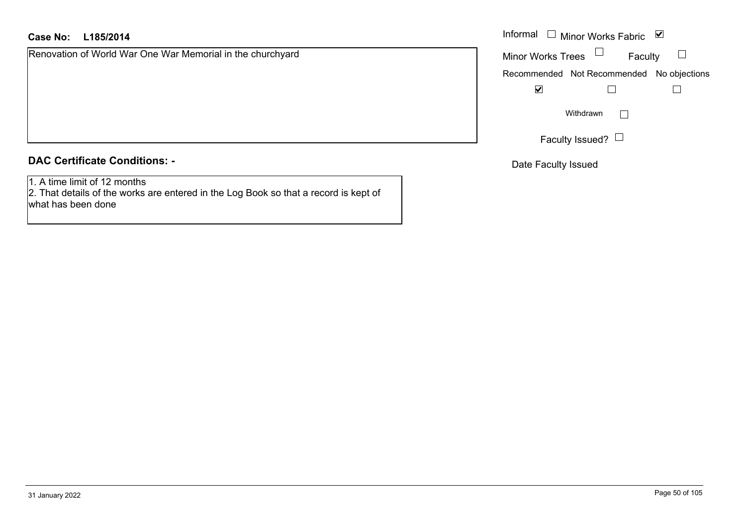## **L185/2014Case No:** Informal

Renovation of World War One War Memorial in the churchyard

#### **DAC Certificate Conditions: -**

1. A time limit of 12 months

 2. That details of the works are entered in the Log Book so that a record is kept of what has been done

| Informal □ Minor Works Fabric<br>M |                                           |  |  |  |  |
|------------------------------------|-------------------------------------------|--|--|--|--|
| <b>Minor Works Trees</b>           | Faculty                                   |  |  |  |  |
|                                    | Recommended Not Recommended No objections |  |  |  |  |
|                                    |                                           |  |  |  |  |
|                                    | Withdrawn                                 |  |  |  |  |
|                                    | Faculty Issued?                           |  |  |  |  |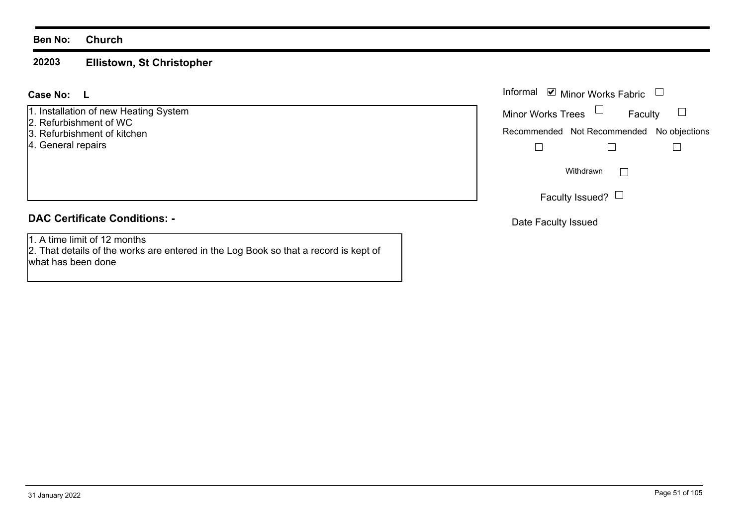#### **20203Ellistown, St Christopher**

#### **LCase No:**

1. Installation of new Heating System

- 2. Refurbishment of WC
- 3. Refurbishment of kitchen
- 4. General repairs

# **DAC Certificate Conditions: -**

1. A time limit of 12 months

2. That details of the works are entered in the Log Book so that a record is kept of what has been done

| : L                                          | Informal ⊠ Minor Works Fabric □           |  |  |  |
|----------------------------------------------|-------------------------------------------|--|--|--|
| ation of new Heating System<br>ishment of WC | Faculty<br>Minor Works Trees $\Box$       |  |  |  |
| ishment of kitchen                           | Recommended Not Recommended No objections |  |  |  |
| al repairs                                   |                                           |  |  |  |
|                                              | Withdrawn                                 |  |  |  |
|                                              | Faculty Issued? $\Box$                    |  |  |  |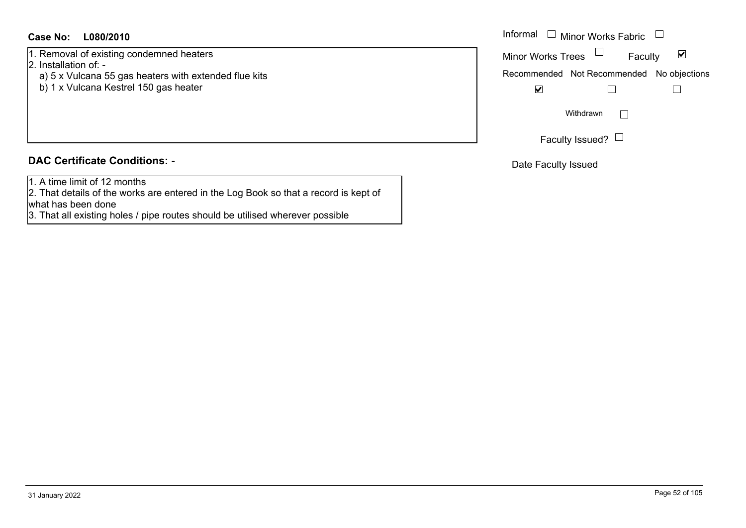## **L080/2010Case No:** Informal

1. Removal of existing condemned heaters

2. Installation of: -

- a) 5 x Vulcana 55 gas heaters with extended flue kits
- b) 1 x Vulcana Kestrel 150 gas heater

# **DAC Certificate Conditions: -**

1. A time limit of 12 months

2. That details of the works are entered in the Log Book so that a record is kept of what has been done

3. That all existing holes / pipe routes should be utilised wherever possible

| Informal $\Box$ Minor Works Fabric |                                           |  |  |  |  |
|------------------------------------|-------------------------------------------|--|--|--|--|
| <b>Minor Works Trees</b>           | Faculty                                   |  |  |  |  |
|                                    | Recommended Not Recommended No objections |  |  |  |  |
|                                    |                                           |  |  |  |  |
| Withdrawn                          |                                           |  |  |  |  |
|                                    | Faculty Issued?                           |  |  |  |  |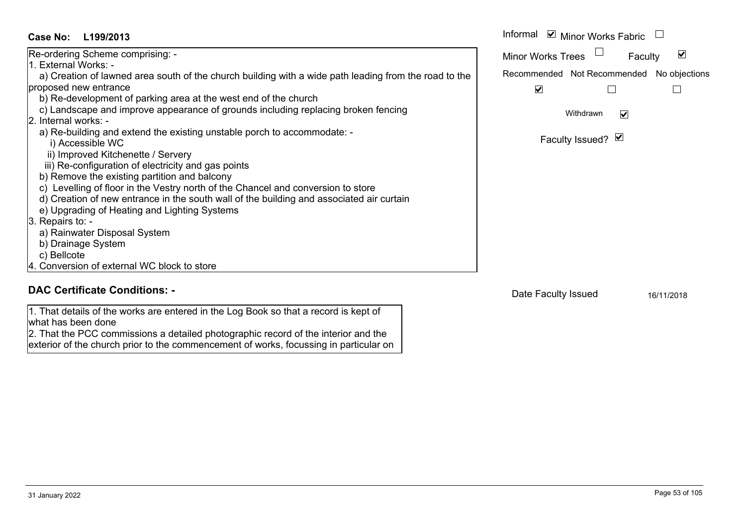| 1. External Works: -                                                                                  |                      |                                           |            |
|-------------------------------------------------------------------------------------------------------|----------------------|-------------------------------------------|------------|
| a) Creation of lawned area south of the church building with a wide path leading from the road to the |                      | Recommended Not Recommended No objections |            |
| proposed new entrance                                                                                 | $\blacktriangledown$ |                                           |            |
| b) Re-development of parking area at the west end of the church                                       |                      |                                           |            |
| c) Landscape and improve appearance of grounds including replacing broken fencing                     |                      | Withdrawn<br>$\triangledown$              |            |
| 2. Internal works: -                                                                                  |                      |                                           |            |
| a) Re-building and extend the existing unstable porch to accommodate: -                               |                      |                                           |            |
| i) Accessible WC                                                                                      |                      | Faculty Issued? Ø                         |            |
| ii) Improved Kitchenette / Servery                                                                    |                      |                                           |            |
| iii) Re-configuration of electricity and gas points                                                   |                      |                                           |            |
| b) Remove the existing partition and balcony                                                          |                      |                                           |            |
| c) Levelling of floor in the Vestry north of the Chancel and conversion to store                      |                      |                                           |            |
| d) Creation of new entrance in the south wall of the building and associated air curtain              |                      |                                           |            |
| e) Upgrading of Heating and Lighting Systems                                                          |                      |                                           |            |
| 3. Repairs to: -                                                                                      |                      |                                           |            |
| a) Rainwater Disposal System                                                                          |                      |                                           |            |
| b) Drainage System                                                                                    |                      |                                           |            |
| c) Bellcote                                                                                           |                      |                                           |            |
| 4. Conversion of external WC block to store                                                           |                      |                                           |            |
|                                                                                                       |                      |                                           |            |
| <b>DAC Certificate Conditions: -</b>                                                                  | Date Faculty Issued  |                                           | 16/11/2018 |
| 1. That details of the works are entered in the Log Book so that a record is kept of                  |                      |                                           |            |
| what has been done                                                                                    |                      |                                           |            |
| 2. That the PCC commissions a detailed photographic record of the interior and the                    |                      |                                           |            |
| exterior of the church prior to the commencement of works, focussing in particular on                 |                      |                                           |            |
|                                                                                                       |                      |                                           |            |

## **L199/2013 Case No:** Informal

Re-ordering Scheme comprising: -

Faculty

 $\blacktriangledown$ 

Minor Works Fabric

Minor Works Trees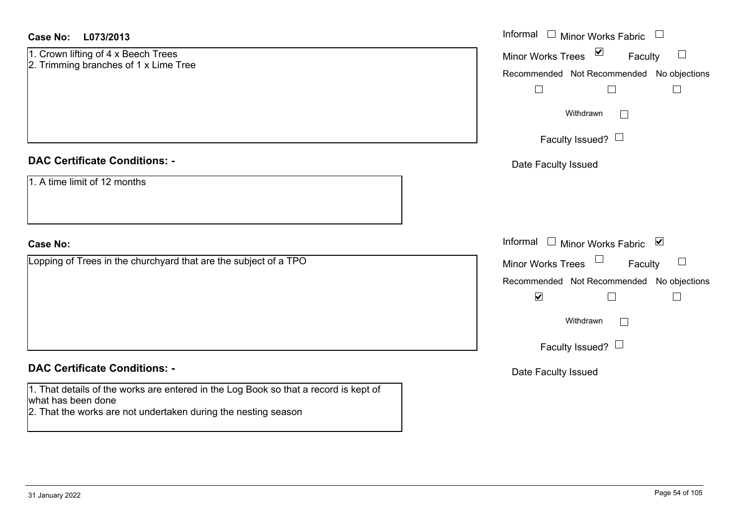| <b>Case No:</b><br>L073/2013                                                                               | Informal $\Box$ Minor Works Fabric $\Box$                                         |
|------------------------------------------------------------------------------------------------------------|-----------------------------------------------------------------------------------|
| 1. Crown lifting of 4 x Beech Trees<br>2. Trimming branches of 1 x Lime Tree                               | Minor Works Trees ⊠<br>$\Box$<br>Faculty                                          |
|                                                                                                            | Recommended Not Recommended No objections<br>$\Box$<br>$\Box$<br>$\Box$           |
|                                                                                                            | Withdrawn                                                                         |
|                                                                                                            | Faculty Issued? $\Box$                                                            |
| <b>DAC Certificate Conditions: -</b>                                                                       | Date Faculty Issued                                                               |
| 1. A time limit of 12 months                                                                               |                                                                                   |
| <b>Case No:</b>                                                                                            | Informal<br>□ Minor Works Fabric $\vert \mathbf{v} \vert$                         |
| Lopping of Trees in the churchyard that are the subject of a TPO                                           | Minor Works Trees<br>Faculty<br>$\Box$                                            |
|                                                                                                            | Recommended Not Recommended No objections<br>$\blacktriangledown$<br>$\mathsf{L}$ |
|                                                                                                            | Withdrawn                                                                         |
|                                                                                                            | Faculty Issued? L                                                                 |
| <b>DAC Certificate Conditions: -</b>                                                                       | Date Faculty Issued                                                               |
| 1. That details of the works are entered in the Log Book so that a record is kept of<br>what has been done |                                                                                   |

2. That the works are not undertaken during the nesting season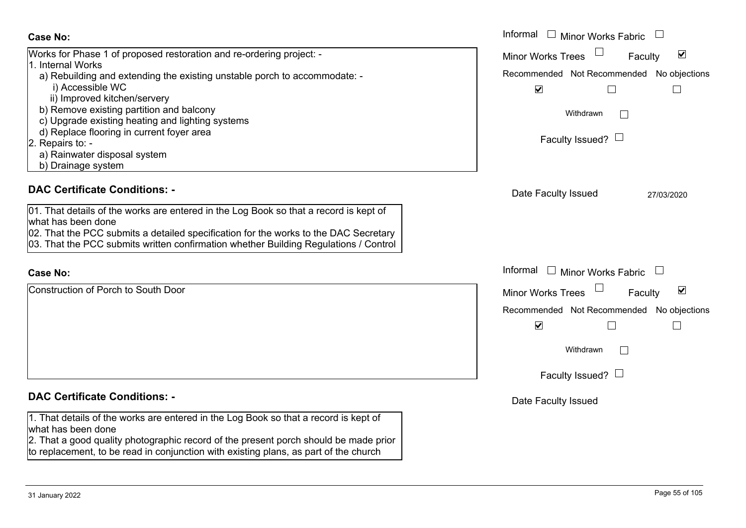| <b>Case No:</b>                                                                                                                                                                                                                                                                                                                                                                                                                                   | Informal $\Box$ Minor Works Fabric                                                                                                                                               |
|---------------------------------------------------------------------------------------------------------------------------------------------------------------------------------------------------------------------------------------------------------------------------------------------------------------------------------------------------------------------------------------------------------------------------------------------------|----------------------------------------------------------------------------------------------------------------------------------------------------------------------------------|
| Works for Phase 1 of proposed restoration and re-ordering project: -<br>1. Internal Works<br>a) Rebuilding and extending the existing unstable porch to accommodate: -<br>i) Accessible WC<br>ii) Improved kitchen/servery<br>b) Remove existing partition and balcony<br>c) Upgrade existing heating and lighting systems<br>d) Replace flooring in current foyer area<br>2. Repairs to: -<br>a) Rainwater disposal system<br>b) Drainage system | $\blacktriangledown$<br>Minor Works Trees<br>Faculty<br>Recommended Not Recommended No objections<br>$\blacktriangledown$<br>Withdrawn<br>Faculty Issued? $\Box$                 |
| <b>DAC Certificate Conditions: -</b><br>01. That details of the works are entered in the Log Book so that a record is kept of<br>what has been done<br>02. That the PCC submits a detailed specification for the works to the DAC Secretary<br>03. That the PCC submits written confirmation whether Building Regulations / Control                                                                                                               | Date Faculty Issued<br>27/03/2020                                                                                                                                                |
| <b>Case No:</b>                                                                                                                                                                                                                                                                                                                                                                                                                                   | Informal<br>$\Box$ Minor Works Fabric                                                                                                                                            |
| Construction of Porch to South Door                                                                                                                                                                                                                                                                                                                                                                                                               | $\blacktriangledown$<br>Minor Works Trees<br>Faculty<br>Recommended Not Recommended No objections<br>$\blacktriangledown$<br>$\mathbf{L}$<br>Withdrawn<br>Faculty Issued? $\Box$ |
| <b>DAC Certificate Conditions: -</b><br>1. That details of the works are entered in the Log Book so that a record is kept of<br>what has been done<br>2. That a good quality photographic record of the present porch should be made prior<br>to replacement, to be read in conjunction with existing plans, as part of the church                                                                                                                | Date Faculty Issued                                                                                                                                                              |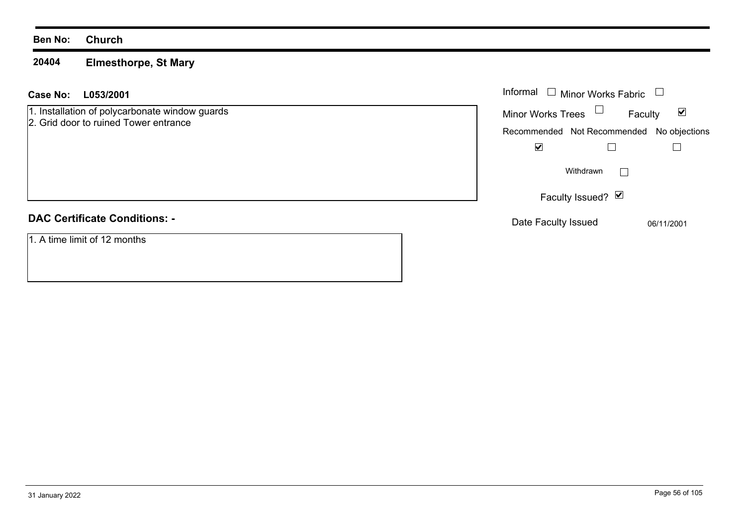#### **20404Elmesthorpe, St Mary**

| <b>Case No:</b> | L053/2001 | Informal |
|-----------------|-----------|----------|
|                 |           |          |

1. Installation of polycarbonate window guards

2. Grid door to ruined Tower entrance

# **DAC Certificate Conditions: -**

1. A time limit of 12 months

| Informal<br><b>Minor Works Fabric</b>     |            |  |  |  |
|-------------------------------------------|------------|--|--|--|
| <b>Minor Works Trees</b><br>Faculty       | M          |  |  |  |
| Recommended Not Recommended No objections |            |  |  |  |
|                                           |            |  |  |  |
| Withdrawn                                 |            |  |  |  |
| Faculty Issued? Ø                         |            |  |  |  |
| Date Faculty Issued                       | 06/11/2001 |  |  |  |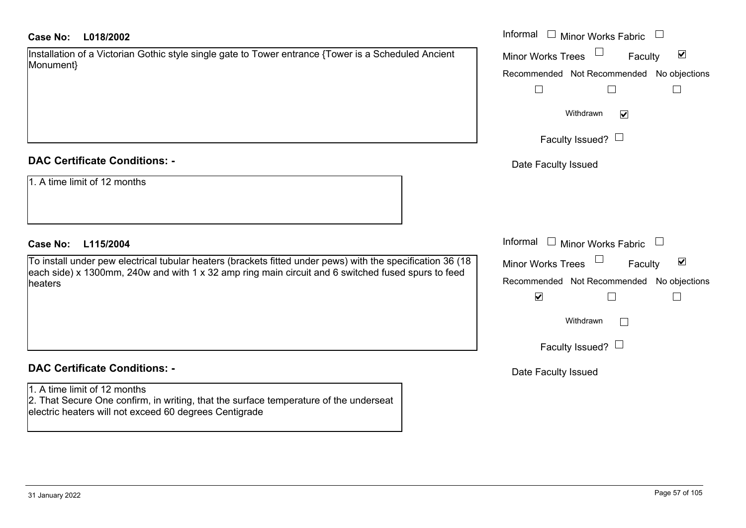|           |  |  | Installation of a Victorian Gothic style single gate to Tower entrance {Tower is a Scheduled Ancient |  |
|-----------|--|--|------------------------------------------------------------------------------------------------------|--|
| Monument} |  |  |                                                                                                      |  |

#### **DAC Certificate Conditions: -**

|  |  |  |  |  | 1. A time limit of 12 months |
|--|--|--|--|--|------------------------------|
|--|--|--|--|--|------------------------------|

# **DAC Certificate Conditions: -**

## 1. A time limit of 12 months

2. That Secure One confirm, in writing, that the surface temperature of the underseat electric heaters will not exceed 60 degrees Centigrade

| <b>Case No:</b><br>L018/2002                                                                                  | Informal $\Box$ Minor Works Fabric                   |
|---------------------------------------------------------------------------------------------------------------|------------------------------------------------------|
| Installation of a Victorian Gothic style single gate to Tower entrance {Tower is a Scheduled Ancient          | $\blacktriangledown$<br>Minor Works Trees<br>Faculty |
| Monument}                                                                                                     | Recommended Not Recommended No objections            |
|                                                                                                               | $\Box$                                               |
|                                                                                                               | Withdrawn<br>$\overline{\mathbf{v}}$                 |
|                                                                                                               | Faculty Issued? $\Box$                               |
| <b>DAC Certificate Conditions: -</b>                                                                          | Date Faculty Issued                                  |
| 1. A time limit of 12 months                                                                                  |                                                      |
| <b>Case No:</b><br>L115/2004                                                                                  | Informal<br>$\Box$ Minor Works Fabric                |
| To install under pew electrical tubular heaters (brackets fitted under pews) with the specification 36 (18    | $\blacktriangledown$<br>Minor Works Trees<br>Faculty |
| each side) x 1300mm, 240w and with 1 x 32 amp ring main circuit and 6 switched fused spurs to feed<br>heaters | Recommended Not Recommended No objections            |
|                                                                                                               | $\blacktriangledown$                                 |
|                                                                                                               | Withdrawn                                            |
|                                                                                                               | Faculty Issued? $\Box$                               |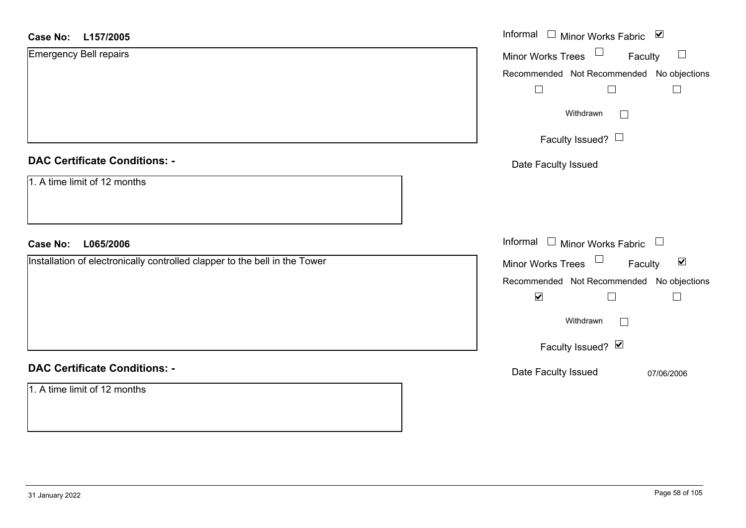| L157/2005<br><b>Case No:</b>                                               | Informal □ Minor Works Fabric ⊠                      |
|----------------------------------------------------------------------------|------------------------------------------------------|
| Emergency Bell repairs                                                     | $\Box$<br>$\Box$<br>Minor Works Trees<br>Faculty     |
|                                                                            | Recommended Not Recommended No objections            |
|                                                                            | $\Box$<br>$\Box$<br>$\overline{\phantom{a}}$         |
|                                                                            | Withdrawn<br>$\Box$                                  |
|                                                                            | Faculty Issued?                                      |
| <b>DAC Certificate Conditions: -</b>                                       | Date Faculty Issued                                  |
| 1. A time limit of 12 months                                               |                                                      |
| <b>Case No:</b><br>L065/2006                                               | Informal $\Box$ Minor Works Fabric $\Box$            |
| Installation of electronically controlled clapper to the bell in the Tower | Minor Works Trees<br>$\blacktriangledown$<br>Faculty |
|                                                                            | Recommended Not Recommended No objections            |
|                                                                            | $\blacktriangledown$<br>$\perp$                      |
|                                                                            | Withdrawn                                            |
|                                                                            | Faculty Issued? Ø                                    |
| <b>DAC Certificate Conditions: -</b>                                       | Date Faculty Issued<br>07/06/2006                    |
| 1. A time limit of 12 months                                               |                                                      |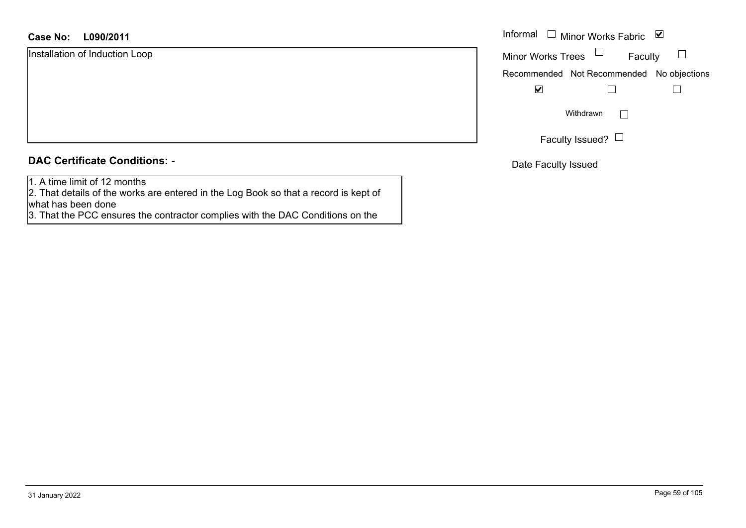## **L090/2011Case No:** Informal

Installation of Induction Loop

| <b>DAC Certificate Conditions: -</b> |  |
|--------------------------------------|--|
|--------------------------------------|--|

1. A time limit of 12 months

2. That details of the works are entered in the Log Book so that a record is kept of what has been done

3. That the PCC ensures the contractor complies with the DAC Conditions on the

| Informal                 | $\Box$ Minor Works Fabric                 | M |
|--------------------------|-------------------------------------------|---|
| <b>Minor Works Trees</b> | Faculty                                   |   |
|                          | Recommended Not Recommended No objections |   |
|                          |                                           |   |
|                          | Withdrawn                                 |   |
|                          | Faculty Issued?                           |   |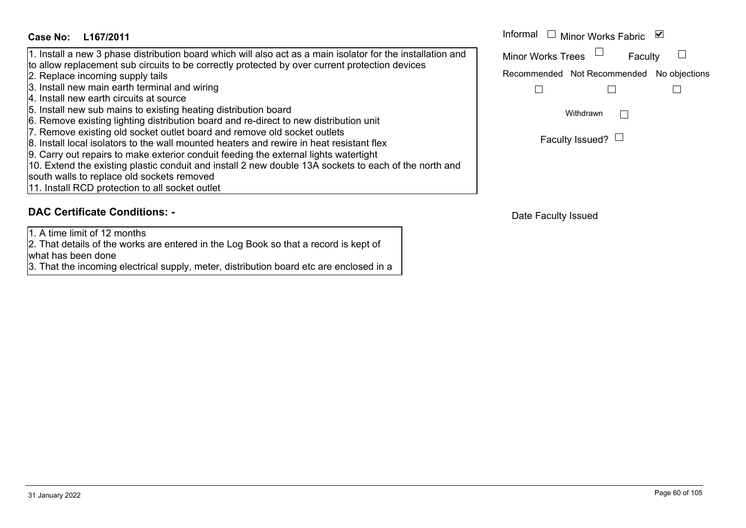| <b>Case No:</b><br>L167/2011                                                                                                                                         | Informal $\Box$ Minor Works Fabric        |
|----------------------------------------------------------------------------------------------------------------------------------------------------------------------|-------------------------------------------|
| 1. Install a new 3 phase distribution board which will also act as a main isolator for the installation and                                                          | <b>Minor Works Trees</b><br>Faculty       |
| to allow replacement sub circuits to be correctly protected by over current protection devices<br>2. Replace incoming supply tails                                   | Recommended Not Recommended No objections |
| 3. Install new main earth terminal and wiring                                                                                                                        |                                           |
| 4. Install new earth circuits at source                                                                                                                              |                                           |
| 5. Install new sub mains to existing heating distribution board                                                                                                      | Withdrawn                                 |
| 6. Remove existing lighting distribution board and re-direct to new distribution unit                                                                                |                                           |
| 7. Remove existing old socket outlet board and remove old socket outlets<br>8. Install local isolators to the wall mounted heaters and rewire in heat resistant flex | Faculty Issued? $\Box$                    |
| 9. Carry out repairs to make exterior conduit feeding the external lights watertight                                                                                 |                                           |
| 10. Extend the existing plastic conduit and install 2 new double 13A sockets to each of the north and                                                                |                                           |
| south walls to replace old sockets removed                                                                                                                           |                                           |
| [11. Install RCD protection to all socket outlet                                                                                                                     |                                           |

# **DAC Certificate Conditions: -**

1. A time limit of 12 months

 2. That details of the works are entered in the Log Book so that a record is kept of what has been done

3. That the incoming electrical supply, meter, distribution board etc are enclosed in a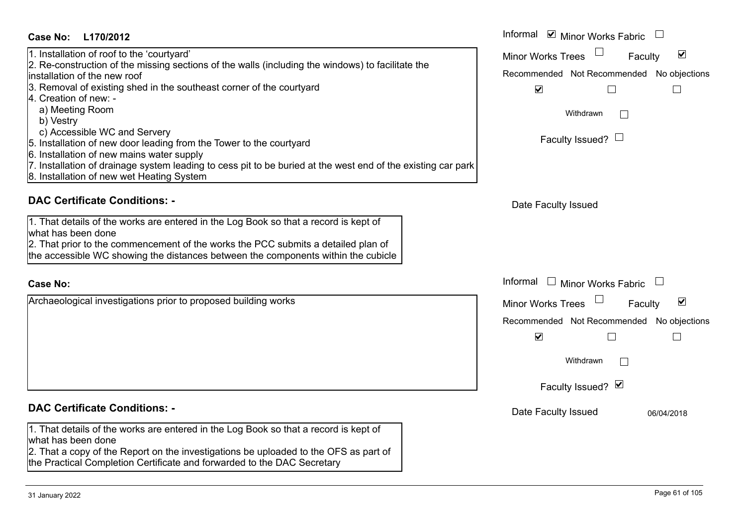| <b>Case No:</b><br>L170/2012                                                                                                                                                                                                                                                         | Informal ☑ Minor Works Fabric                                                                               |
|--------------------------------------------------------------------------------------------------------------------------------------------------------------------------------------------------------------------------------------------------------------------------------------|-------------------------------------------------------------------------------------------------------------|
| 1. Installation of roof to the 'courtyard'<br>2. Re-construction of the missing sections of the walls (including the windows) to facilitate the<br>installation of the new roof                                                                                                      | $\blacktriangledown$<br><b>Minor Works Trees</b><br>Faculty<br>Recommended Not Recommended<br>No objections |
| 3. Removal of existing shed in the southeast corner of the courtyard<br>4. Creation of new: -<br>a) Meeting Room                                                                                                                                                                     | $\blacktriangledown$<br>$\Box$<br>$\Box$                                                                    |
| b) Vestry<br>c) Accessible WC and Servery                                                                                                                                                                                                                                            | Withdrawn<br>Faculty Issued? $\Box$                                                                         |
| 5. Installation of new door leading from the Tower to the courtyard<br>6. Installation of new mains water supply<br>7. Installation of drainage system leading to cess pit to be buried at the west end of the existing car park<br>8. Installation of new wet Heating System        |                                                                                                             |
| <b>DAC Certificate Conditions: -</b>                                                                                                                                                                                                                                                 | Date Faculty Issued                                                                                         |
| 1. That details of the works are entered in the Log Book so that a record is kept of<br>what has been done<br>2. That prior to the commencement of the works the PCC submits a detailed plan of<br>the accessible WC showing the distances between the components within the cubicle |                                                                                                             |
| <b>Case No:</b>                                                                                                                                                                                                                                                                      | Informal □ Minor Works Fabric □                                                                             |
| Archaeological investigations prior to proposed building works                                                                                                                                                                                                                       | $\blacktriangledown$<br><b>Minor Works Trees</b><br>Faculty                                                 |
|                                                                                                                                                                                                                                                                                      | Recommended Not Recommended No objections                                                                   |
|                                                                                                                                                                                                                                                                                      | $\blacktriangledown$<br>$\mathcal{L}_{\mathcal{A}}$                                                         |
|                                                                                                                                                                                                                                                                                      | Withdrawn                                                                                                   |
|                                                                                                                                                                                                                                                                                      | Faculty Issued? V                                                                                           |
| <b>DAC Certificate Conditions: -</b>                                                                                                                                                                                                                                                 | Date Faculty Issued<br>06/04/2018                                                                           |
| 1. That details of the works are entered in the Log Book so that a record is kept of<br>what has been done<br>2. That a copy of the Report on the investigations be uploaded to the OFS as part of<br>the Practical Completion Certificate and forwarded to the DAC Secretary        |                                                                                                             |
|                                                                                                                                                                                                                                                                                      |                                                                                                             |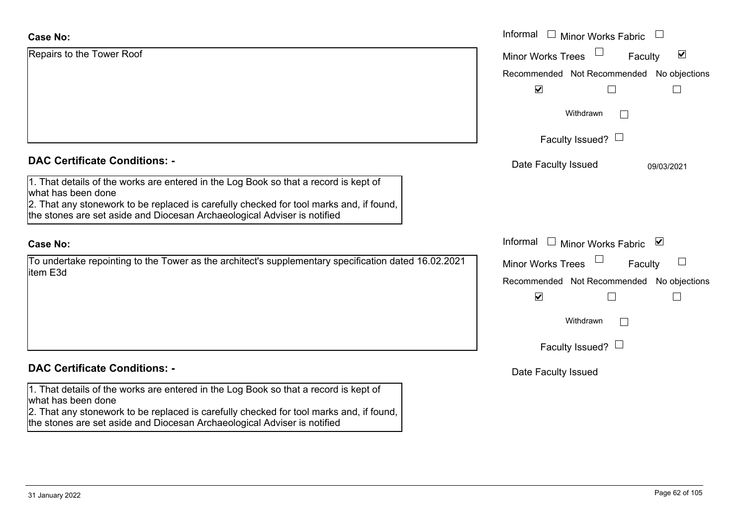| <b>Case No:</b>                                                                                                                                                     | Informal $\Box$ Minor Works Fabric                   |
|---------------------------------------------------------------------------------------------------------------------------------------------------------------------|------------------------------------------------------|
| Repairs to the Tower Roof                                                                                                                                           | $\blacktriangledown$<br>Minor Works Trees<br>Faculty |
|                                                                                                                                                                     | Recommended Not Recommended<br>No objections         |
|                                                                                                                                                                     | $\blacktriangledown$                                 |
|                                                                                                                                                                     | Withdrawn<br>$\mathbb{R}^n$                          |
|                                                                                                                                                                     | Faculty Issued? $\Box$                               |
| <b>DAC Certificate Conditions: -</b>                                                                                                                                | Date Faculty Issued<br>09/03/2021                    |
| 1. That details of the works are entered in the Log Book so that a record is kept of<br>what has been done                                                          |                                                      |
| 2. That any stonework to be replaced is carefully checked for tool marks and, if found,<br>the stones are set aside and Diocesan Archaeological Adviser is notified |                                                      |
| <b>Case No:</b>                                                                                                                                                     | Informal<br>$\Box$ Minor Works Fabric $\Box$         |
| To undertake repointing to the Tower as the architect's supplementary specification dated 16.02.2021<br>item E3d                                                    | <b>Minor Works Trees</b><br>$\sqcup$<br>Faculty      |
|                                                                                                                                                                     | Recommended Not Recommended No objections            |
|                                                                                                                                                                     | $\blacktriangledown$                                 |
|                                                                                                                                                                     | Withdrawn<br>$\mathbf{L}$                            |
|                                                                                                                                                                     | Faculty Issued? $\Box$                               |
| <b>DAC Certificate Conditions: -</b>                                                                                                                                | Date Faculty Issued                                  |
| 1. That details of the works are entered in the Log Book so that a record is kept of<br>what has been done                                                          |                                                      |
| 2. That any stonework to be replaced is carefully checked for tool marks and, if found,<br>the stones are set aside and Diocesan Archaeological Adviser is notified |                                                      |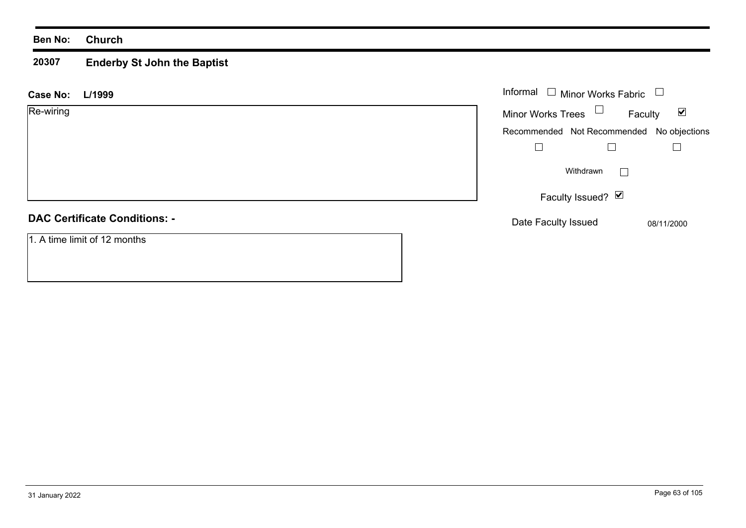#### **20307 Enderby St John the Baptist**

| L/1999<br><b>Case No:</b>            | Informal $\Box$ Minor Works Fabric $\Box$ |                          |                      |
|--------------------------------------|-------------------------------------------|--------------------------|----------------------|
| Re-wiring                            | Minor Works Trees $\Box$                  | Faculty                  | $\blacktriangledown$ |
|                                      | Recommended Not Recommended No objections |                          |                      |
|                                      |                                           |                          |                      |
|                                      | Withdrawn                                 | $\overline{\phantom{a}}$ |                      |
|                                      | Faculty Issued? Ø                         |                          |                      |
| <b>DAC Certificate Conditions: -</b> | Date Faculty Issued                       |                          | 08/11/2000           |
| 1. A time limit of 12 months         |                                           |                          |                      |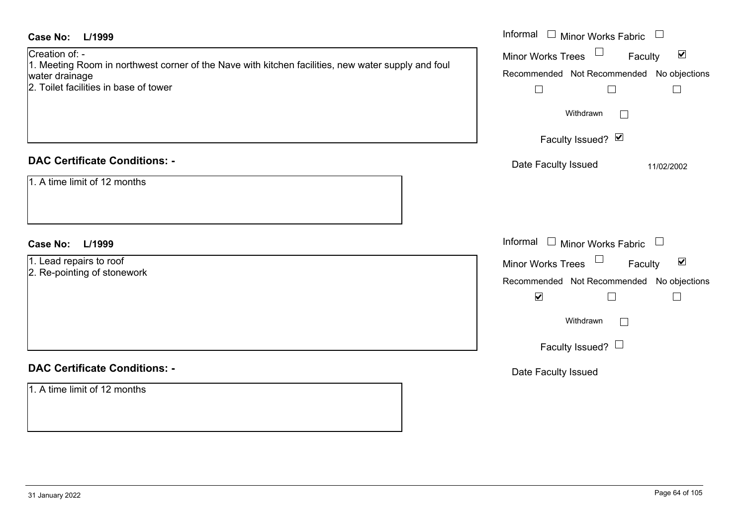| <b>Case No:</b><br>L/1999                                                                                                                                                       | Informal $\Box$ Minor Works Fabric $\Box$                                                                                                                                                      |
|---------------------------------------------------------------------------------------------------------------------------------------------------------------------------------|------------------------------------------------------------------------------------------------------------------------------------------------------------------------------------------------|
| Creation of: -<br>1. Meeting Room in northwest corner of the Nave with kitchen facilities, new water supply and foul<br>water drainage<br>2. Toilet facilities in base of tower | Minor Works Trees $\Box$<br>$\blacktriangledown$<br>Faculty<br>Recommended Not Recommended No objections<br>$\Box$<br>$\Box$<br>$\Box$                                                         |
|                                                                                                                                                                                 | Withdrawn<br>Faculty Issued? Ø                                                                                                                                                                 |
| <b>DAC Certificate Conditions: -</b>                                                                                                                                            | Date Faculty Issued<br>11/02/2002                                                                                                                                                              |
| 1. A time limit of 12 months                                                                                                                                                    |                                                                                                                                                                                                |
| L/1999<br><b>Case No:</b>                                                                                                                                                       | Informal<br>$\Box$ Minor Works Fabric $\;\Box$                                                                                                                                                 |
| 1. Lead repairs to roof<br>2. Re-pointing of stonework                                                                                                                          | Minor Works Trees<br>$\blacktriangledown$<br>Faculty<br>Recommended Not Recommended No objections<br>$\blacktriangledown$<br>$\Box$<br>$\Box$<br>Withdrawn<br>$\Box$<br>Faculty Issued? $\Box$ |
| <b>DAC Certificate Conditions: -</b>                                                                                                                                            | Date Faculty Issued                                                                                                                                                                            |
| 1. A time limit of 12 months                                                                                                                                                    |                                                                                                                                                                                                |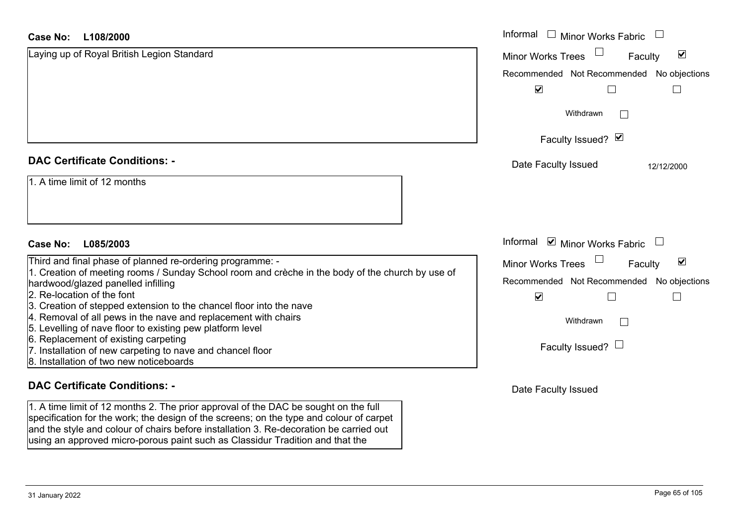#### **L108/2000Case No:**

| L108/2000<br>Case No:                                                                                                                                                                              | Informal □ Minor Works Fabric             |                                 |
|----------------------------------------------------------------------------------------------------------------------------------------------------------------------------------------------------|-------------------------------------------|---------------------------------|
| Laying up of Royal British Legion Standard                                                                                                                                                         | Minor Works Trees                         | $\blacktriangledown$<br>Faculty |
|                                                                                                                                                                                                    | Recommended Not Recommended No objections |                                 |
|                                                                                                                                                                                                    | $\blacktriangledown$                      |                                 |
|                                                                                                                                                                                                    | Withdrawn                                 |                                 |
|                                                                                                                                                                                                    | Faculty Issued? Ø                         |                                 |
| <b>DAC Certificate Conditions: -</b>                                                                                                                                                               | Date Faculty Issued                       | 12/12/2000                      |
| 1. A time limit of 12 months<br><b>Case No:</b><br>L085/2003                                                                                                                                       | Informal <b>v</b> Minor Works Fabric      |                                 |
| Third and final phase of planned re-ordering programme: -                                                                                                                                          | <b>Minor Works Trees</b>                  | $\blacktriangledown$<br>Faculty |
| 1. Creation of meeting rooms / Sunday School room and crèche in the body of the church by use of                                                                                                   |                                           |                                 |
| hardwood/glazed panelled infilling                                                                                                                                                                 | Recommended Not Recommended No objections |                                 |
| 2. Re-location of the font                                                                                                                                                                         | $\blacktriangledown$                      |                                 |
| 3. Creation of stepped extension to the chancel floor into the nave<br>4. Removal of all pews in the nave and replacement with chairs<br>5. Levelling of nave floor to existing pew platform level | Withdrawn<br>$\Box$                       |                                 |
| 6. Replacement of existing carpeting<br>7. Installation of new carpeting to nave and chancel floor<br>8. Installation of two new noticeboards                                                      | Faculty Issued? $\Box$                    |                                 |
| <b>DAC Certificate Conditions: -</b>                                                                                                                                                               | Date Faculty Issued                       |                                 |

1. A time limit of 12 months 2. The prior approval of the DAC be sought on the full specification for the work; the design of the screens; on the type and colour of carpet and the style and colour of chairs before installation 3. Re-decoration be carried out using an approved micro-porous paint such as Classidur Tradition and that the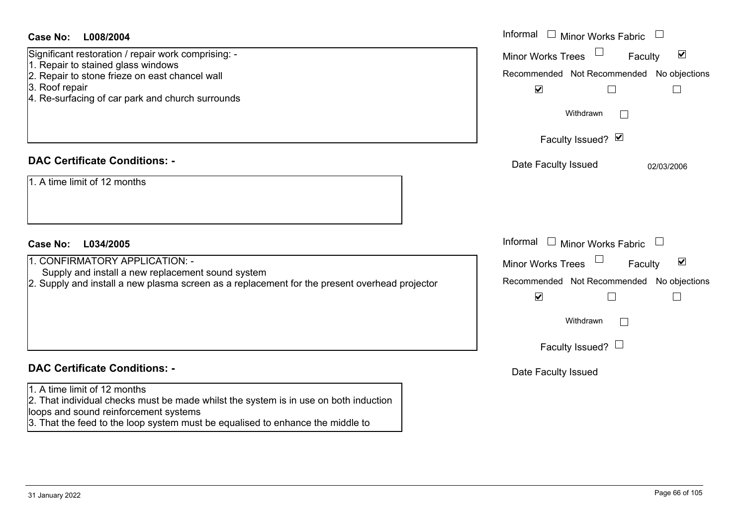| <b>Case No:</b><br>L008/2004                                                                                                                                                                                                                              | Informal<br>$\Box$ Minor Works Fabric                                                                                                                                                  |
|-----------------------------------------------------------------------------------------------------------------------------------------------------------------------------------------------------------------------------------------------------------|----------------------------------------------------------------------------------------------------------------------------------------------------------------------------------------|
| Significant restoration / repair work comprising: -<br>1. Repair to stained glass windows<br>2. Repair to stone frieze on east chancel wall<br>3. Roof repair<br>4. Re-surfacing of car park and church surrounds<br><b>DAC Certificate Conditions: -</b> | $\blacktriangledown$<br><b>Minor Works Trees</b><br>Faculty<br>Recommended Not Recommended No objections<br>$\blacktriangledown$<br>$\Box$<br>$\Box$<br>Withdrawn<br>Faculty Issued? Ø |
| 1. A time limit of 12 months                                                                                                                                                                                                                              | Date Faculty Issued<br>02/03/2006                                                                                                                                                      |
| <b>Case No:</b><br>L034/2005                                                                                                                                                                                                                              | Informal<br>$\Box$ Minor Works Fabric                                                                                                                                                  |
| 1. CONFIRMATORY APPLICATION: -<br>Supply and install a new replacement sound system<br>2. Supply and install a new plasma screen as a replacement for the present overhead projector                                                                      | $\blacktriangledown$<br><b>Minor Works Trees</b><br>Faculty<br>Recommended Not Recommended<br>No objections<br>$\blacktriangledown$<br>$\mathbb{R}^n$<br>$\Box$                        |
|                                                                                                                                                                                                                                                           | Withdrawn<br>Faculty Issued? $\Box$                                                                                                                                                    |
| <b>DAC Certificate Conditions: -</b>                                                                                                                                                                                                                      | Date Faculty Issued                                                                                                                                                                    |
| 1. A time limit of 12 months<br>2. That individual checks must be made whilst the system is in use on both induction<br>loops and sound reinforcement systems<br>3. That the feed to the loop system must be equalised to enhance the middle to           |                                                                                                                                                                                        |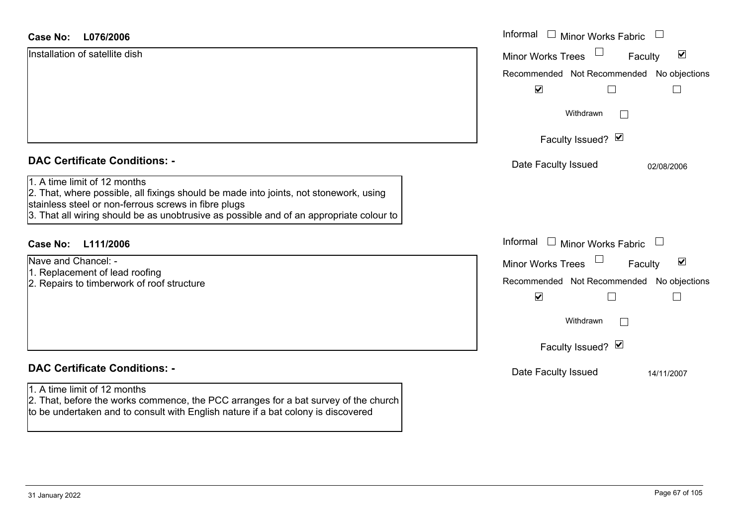#### **L076/2006Case No:**

| <b>Case No:</b><br>L076/2006                                                                                                                                                                                                                                             | Informal □ Minor Works Fabric                               |
|--------------------------------------------------------------------------------------------------------------------------------------------------------------------------------------------------------------------------------------------------------------------------|-------------------------------------------------------------|
| Installation of satellite dish                                                                                                                                                                                                                                           | $\blacktriangledown$<br><b>Minor Works Trees</b><br>Faculty |
|                                                                                                                                                                                                                                                                          | Recommended Not Recommended No objections                   |
|                                                                                                                                                                                                                                                                          | $\blacktriangledown$                                        |
|                                                                                                                                                                                                                                                                          | Withdrawn                                                   |
|                                                                                                                                                                                                                                                                          | Faculty Issued? Ø                                           |
| <b>DAC Certificate Conditions: -</b>                                                                                                                                                                                                                                     | Date Faculty Issued<br>02/08/2006                           |
| 1. A time limit of 12 months<br>2. That, where possible, all fixings should be made into joints, not stonework, using<br>stainless steel or non-ferrous screws in fibre plugs<br>3. That all wiring should be as unobtrusive as possible and of an appropriate colour to |                                                             |
| L111/2006<br><b>Case No:</b>                                                                                                                                                                                                                                             | Informal □ Minor Works Fabric                               |
| Nave and Chancel: -                                                                                                                                                                                                                                                      | $\blacktriangledown$<br><b>Minor Works Trees</b><br>Faculty |
| 1. Replacement of lead roofing<br>2. Repairs to timberwork of roof structure                                                                                                                                                                                             | Recommended Not Recommended No objections                   |
|                                                                                                                                                                                                                                                                          | $\blacktriangledown$                                        |
|                                                                                                                                                                                                                                                                          | Withdrawn                                                   |
|                                                                                                                                                                                                                                                                          | Faculty Issued? Ø                                           |
| <b>DAC Certificate Conditions: -</b>                                                                                                                                                                                                                                     | Date Faculty Issued<br>14/11/2007                           |
| 1. A time limit of 12 months<br>2. That, before the works commence, the PCC arranges for a bat survey of the church<br>to be undertaken and to consult with English nature if a bat colony is discovered                                                                 |                                                             |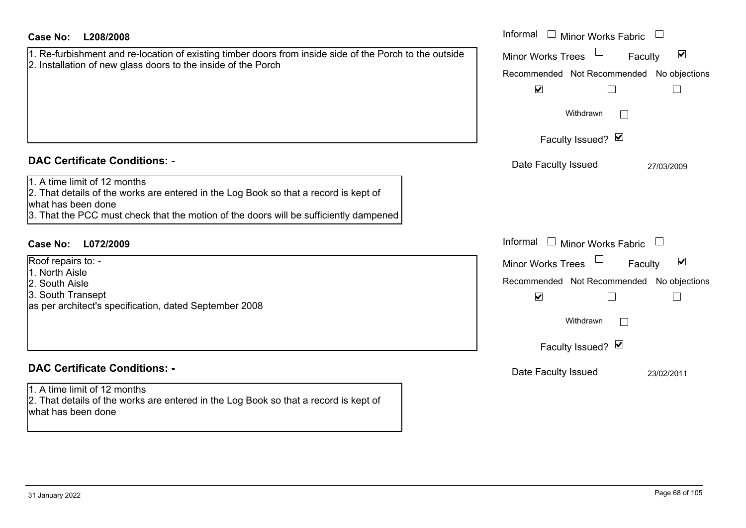| <b>Case No:</b><br>L208/2008                                                                                                                                                                                                        | Informal<br>$\Box$ Minor Works Fabric                                                                                                                                                       |
|-------------------------------------------------------------------------------------------------------------------------------------------------------------------------------------------------------------------------------------|---------------------------------------------------------------------------------------------------------------------------------------------------------------------------------------------|
| 1. Re-furbishment and re-location of existing timber doors from inside side of the Porch to the outside<br>2. Installation of new glass doors to the inside of the Porch                                                            | $\blacktriangledown$<br>Faculty<br><b>Minor Works Trees</b><br>Recommended Not Recommended<br>No objections<br>$\blacktriangledown$<br>$\Box$<br>Withdrawn                                  |
| <b>DAC Certificate Conditions: -</b>                                                                                                                                                                                                | Faculty Issued? Ø<br>Date Faculty Issued<br>27/03/2009                                                                                                                                      |
| 1. A time limit of 12 months<br>2. That details of the works are entered in the Log Book so that a record is kept of<br>what has been done<br>3. That the PCC must check that the motion of the doors will be sufficiently dampened |                                                                                                                                                                                             |
| <b>Case No:</b><br>L072/2009                                                                                                                                                                                                        | Informal<br>$\Box$ Minor Works Fabric<br>$\overline{\phantom{a}}$                                                                                                                           |
| Roof repairs to: -<br>1. North Aisle<br>2. South Aisle<br>3. South Transept<br>as per architect's specification, dated September 2008                                                                                               | $\blacktriangledown$<br><b>Minor Works Trees</b><br>Faculty<br>Recommended Not Recommended No objections<br>$\blacktriangledown$<br>$\Box$<br>⊔<br>Withdrawn<br>$\Box$<br>Faculty Issued? Ø |
| <b>DAC Certificate Conditions: -</b><br>1. A time limit of 12 months<br>2. That details of the works are entered in the Log Book so that a record is kept of<br>what has been done                                                  | Date Faculty Issued<br>23/02/2011                                                                                                                                                           |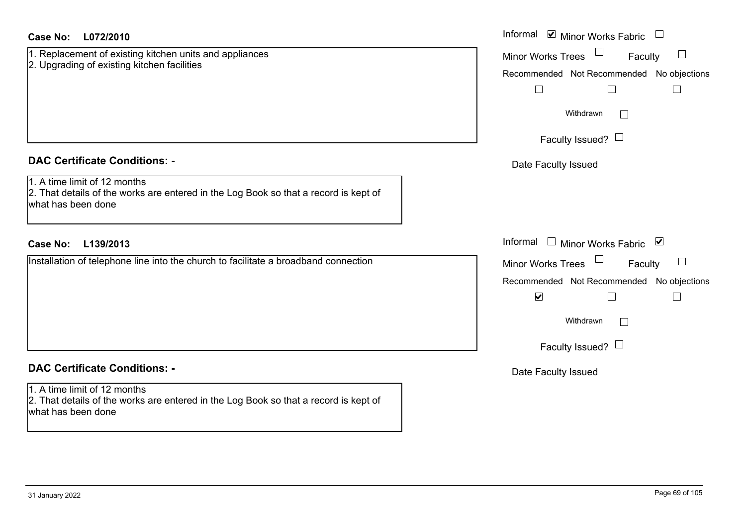| <b>Case No:</b> | L072/2010 |
|-----------------|-----------|
|-----------------|-----------|

1. Replacement of existing kitchen units and appliances 2. Upgrading of existing kitchen facilities

# **DAC Certificate Conditions: -**

# 1. A time limit of 12 months

2. That details of the works are entered in the Log Book so that a record is kept of what has been done

# **L139/2013Case No:** Informal

Installation of telephone line into the church to facilitate a broadband connection

# **DAC Certificate Conditions: -**

1. A time limit of 12 months 2. That details of the works are entered in the Log Book so that a record is kept of what has been done

| L072/2010                                                                                                      | Informal <b>v</b> Minor Works Fabric                                                  |
|----------------------------------------------------------------------------------------------------------------|---------------------------------------------------------------------------------------|
| cement of existing kitchen units and appliances<br>ding of existing kitchen facilities                         | Minor Works Trees<br>Faculty<br>$\sqcup$<br>Recommended Not Recommended No objections |
|                                                                                                                | Withdrawn<br>Faculty Issued? $\Box$                                                   |
|                                                                                                                |                                                                                       |
| rtificate Conditions: -                                                                                        | Date Faculty Issued                                                                   |
| limit of 12 months<br>etails of the works are entered in the Log Book so that a record is kept of<br>been done |                                                                                       |
| L139/2013                                                                                                      | Informal $\Box$ Minor Works Fabric<br>⊻                                               |
| on of telephone line into the church to facilitate a broadband connection                                      | Minor Works Trees<br>Faculty<br>$\Box$                                                |
|                                                                                                                | Recommended Not Recommended No objections<br>$\blacktriangledown$                     |
|                                                                                                                | Withdrawn                                                                             |
|                                                                                                                | Faculty Issued? $\Box$                                                                |
| rtificate Conditions: -                                                                                        | Date Faculty Issued                                                                   |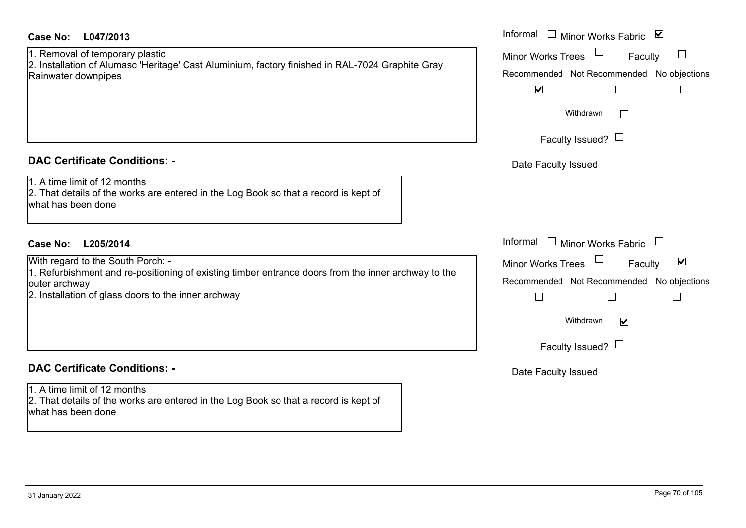#### 1. Removal of temporary plastic 2. Installation of Alumasc 'Heritage' Cast Aluminium, factory finished in RAL-7024 Graphite Gray Rainwater downpipes

## **DAC Certificate Conditions: -**

1. A time limit of 12 months

2. That details of the works are entered in the Log Book so that a record is kept of what has been done

# **L205/2014Case No:** Informal

With regard to the South Porch: - 1. Refurbishment and re-positioning of existing timber entrance doors from the inner archway to the outer archway 2. Installation of glass doors to the inner archway

# **DAC Certificate Conditions: -**

1. A time limit of 12 months2. That details of the works are entered in the Log Book so that a record is kept of what has been done

| L047/2013                                                                                                                                       | Informal<br>$\perp$<br>$\blacktriangledown$<br><b>Minor Works Fabric</b>                                           |
|-------------------------------------------------------------------------------------------------------------------------------------------------|--------------------------------------------------------------------------------------------------------------------|
| val of temporary plastic<br>ation of Alumasc 'Heritage' Cast Aluminium, factory finished in RAL-7024 Graphite Gray<br>er downpipes              | <b>Minor Works Trees</b><br>Faculty<br>$\Box$<br>Recommended Not Recommended No objections<br>$\blacktriangledown$ |
|                                                                                                                                                 | Withdrawn                                                                                                          |
|                                                                                                                                                 | Faculty Issued? $\Box$                                                                                             |
| rtificate Conditions: -                                                                                                                         | Date Faculty Issued                                                                                                |
| limit of 12 months<br>etails of the works are entered in the Log Book so that a record is kept of<br>been done                                  |                                                                                                                    |
| L205/2014                                                                                                                                       | Informal<br>$\mathbf{1}$<br><b>Minor Works Fabric</b>                                                              |
| ard to the South Porch: -                                                                                                                       | $\blacktriangledown$<br><b>Minor Works Trees</b><br>Faculty                                                        |
| ishment and re-positioning of existing timber entrance doors from the inner archway to the<br>hway<br>ation of glass doors to the inner archway | Recommended Not Recommended No objections                                                                          |
|                                                                                                                                                 | Withdrawn<br>$\blacktriangledown$                                                                                  |
|                                                                                                                                                 | Faculty Issued? $\Box$                                                                                             |
| rtificate Conditions: -                                                                                                                         | Date Faculty Issued                                                                                                |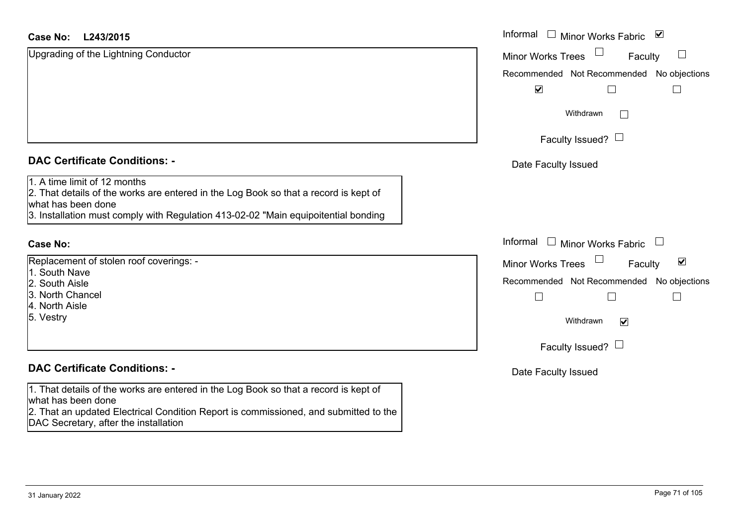| <b>Case No:</b><br>L243/2015                                                                                                                                                                                                     | Informal □ Minor Works Fabric<br>$\blacktriangledown$ |
|----------------------------------------------------------------------------------------------------------------------------------------------------------------------------------------------------------------------------------|-------------------------------------------------------|
| Upgrading of the Lightning Conductor                                                                                                                                                                                             | <b>Minor Works Trees</b><br>Faculty                   |
|                                                                                                                                                                                                                                  | No objections<br>Recommended Not Recommended          |
|                                                                                                                                                                                                                                  | $\blacktriangledown$                                  |
|                                                                                                                                                                                                                                  | Withdrawn<br>$\mathbf{L}$                             |
|                                                                                                                                                                                                                                  | Faculty Issued? $\Box$                                |
| <b>DAC Certificate Conditions: -</b>                                                                                                                                                                                             | Date Faculty Issued                                   |
| 1. A time limit of 12 months<br>2. That details of the works are entered in the Log Book so that a record is kept of<br>what has been done<br>3. Installation must comply with Regulation 413-02-02 "Main equipoitential bonding |                                                       |
| <b>Case No:</b>                                                                                                                                                                                                                  | Informal □ Minor Works Fabric                         |
| Replacement of stolen roof coverings: -                                                                                                                                                                                          | $\blacktriangledown$<br>Minor Works Trees<br>Faculty  |
| 1. South Nave<br>2. South Aisle                                                                                                                                                                                                  | No objections<br>Recommended Not Recommended          |
| 3. North Chancel                                                                                                                                                                                                                 | $\overline{\phantom{a}}$                              |
| 4. North Aisle<br>5. Vestry                                                                                                                                                                                                      | Withdrawn<br>$\blacktriangledown$                     |
|                                                                                                                                                                                                                                  | Faculty Issued? $\Box$                                |
| <b>DAC Certificate Conditions: -</b>                                                                                                                                                                                             | Date Faculty Issued                                   |
| 1. That details of the works are entered in the Log Book so that a record is kept of<br>what has been done                                                                                                                       |                                                       |
| 2. That an updated Electrical Condition Report is commissioned, and submitted to the                                                                                                                                             |                                                       |

DAC Secretary, after the installation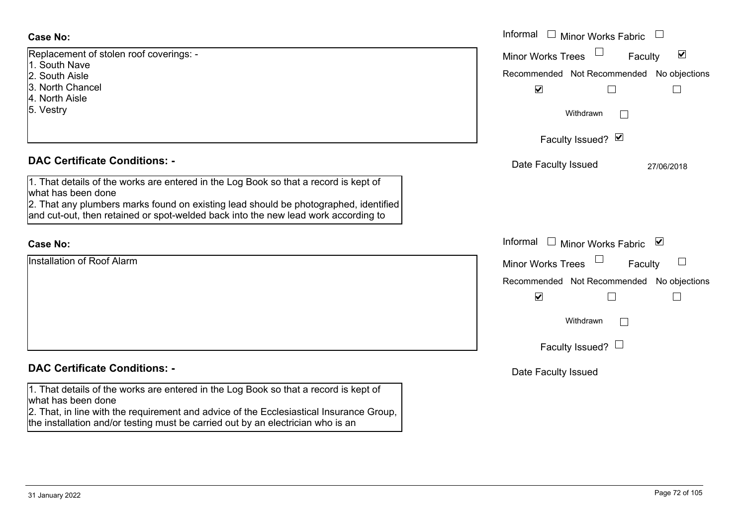| <b>Case No:</b>                                                                                                                                                            | Informal<br>Minor Works Fabric<br>$\Box$                    |
|----------------------------------------------------------------------------------------------------------------------------------------------------------------------------|-------------------------------------------------------------|
| Replacement of stolen roof coverings: -                                                                                                                                    | $\blacktriangledown$<br><b>Minor Works Trees</b><br>Faculty |
| 1. South Nave<br>2. South Aisle                                                                                                                                            | Recommended Not Recommended No objections                   |
| 3. North Chancel                                                                                                                                                           | $\blacktriangleright$                                       |
| 4. North Aisle                                                                                                                                                             |                                                             |
| 5. Vestry                                                                                                                                                                  | Withdrawn<br>$\Box$                                         |
|                                                                                                                                                                            | Faculty Issued? Ø                                           |
| <b>DAC Certificate Conditions: -</b>                                                                                                                                       | Date Faculty Issued<br>27/06/2018                           |
| 1. That details of the works are entered in the Log Book so that a record is kept of<br>what has been done                                                                 |                                                             |
| 2. That any plumbers marks found on existing lead should be photographed, identified<br>and cut-out, then retained or spot-welded back into the new lead work according to |                                                             |
| <b>Case No:</b>                                                                                                                                                            | Informal $\Box$ Minor Works Fabric<br>⊻                     |
| Installation of Roof Alarm                                                                                                                                                 | $\Box$<br><b>Minor Works Trees</b><br>Faculty               |
|                                                                                                                                                                            | Recommended Not Recommended No objections                   |
|                                                                                                                                                                            | $\blacktriangledown$                                        |
|                                                                                                                                                                            | Withdrawn<br>$\Box$                                         |
|                                                                                                                                                                            | Faculty Issued? $\Box$                                      |
| <b>DAC Certificate Conditions: -</b>                                                                                                                                       | Date Faculty Issued                                         |
| 1. That details of the works are entered in the Log Book so that a record is kept of<br>what has been done                                                                 |                                                             |
| 2. That, in line with the requirement and advice of the Ecclesiastical Insurance Group,<br>the installation and/or testing must be carried out by an electrician who is an |                                                             |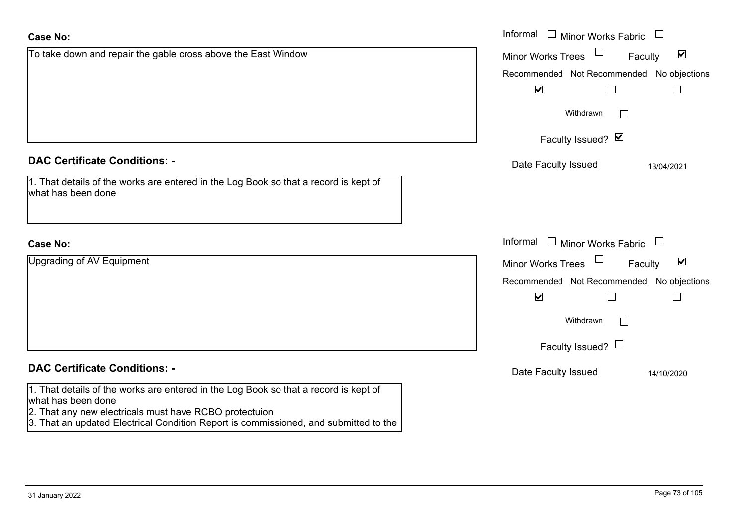| <b>Case No:</b>                                                                                                                                                      | Informal $\Box$ Minor Works Fabric $\Box$                   |
|----------------------------------------------------------------------------------------------------------------------------------------------------------------------|-------------------------------------------------------------|
| To take down and repair the gable cross above the East Window                                                                                                        | $\blacktriangledown$<br>Faculty<br><b>Minor Works Trees</b> |
|                                                                                                                                                                      | Recommended Not Recommended No objections                   |
|                                                                                                                                                                      | $\blacktriangledown$<br>⊔                                   |
|                                                                                                                                                                      | Withdrawn                                                   |
|                                                                                                                                                                      | Faculty Issued? Ø                                           |
| <b>DAC Certificate Conditions: -</b>                                                                                                                                 | Date Faculty Issued<br>13/04/2021                           |
| 1. That details of the works are entered in the Log Book so that a record is kept of<br>what has been done                                                           |                                                             |
| <b>Case No:</b>                                                                                                                                                      | Informal $\Box$ Minor Works Fabric $\Box$                   |
| <b>Upgrading of AV Equipment</b>                                                                                                                                     | Minor Works Trees<br>$\blacktriangledown$<br>Faculty        |
|                                                                                                                                                                      | Recommended Not Recommended No objections                   |
|                                                                                                                                                                      | $\blacktriangledown$<br>$\Box$<br>$\Box$                    |
|                                                                                                                                                                      | Withdrawn                                                   |
|                                                                                                                                                                      | Faculty Issued? $\Box$                                      |
| <b>DAC Certificate Conditions: -</b>                                                                                                                                 | Date Faculty Issued<br>14/10/2020                           |
| 1. That details of the works are entered in the Log Book so that a record is kept of<br>what has been done<br>2. That any new electricals must have RCBO protectuion |                                                             |

3. That an updated Electrical Condition Report is commissioned, and submitted to the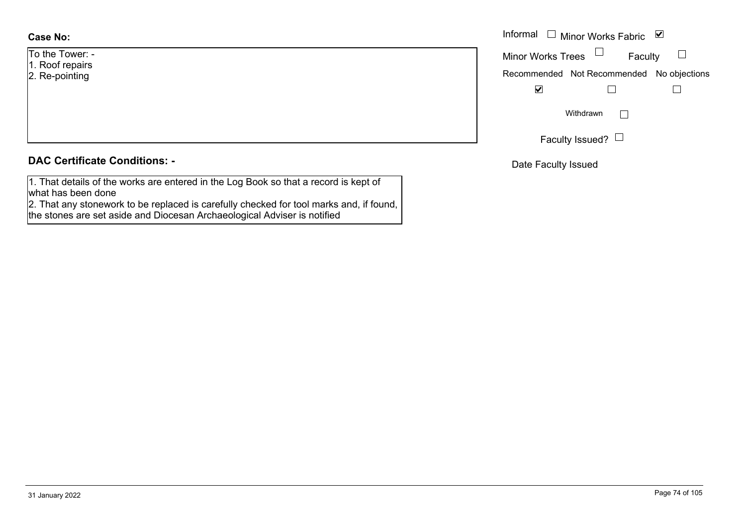# **Case No:**

- To the Tower: -1. Roof repairs
- 2. Re-pointing

# **DAC Certificate Conditions: -**

1. That details of the works are entered in the Log Book so that a record is kept of what has been done

2. That any stonework to be replaced is carefully checked for tool marks and, if found, the stones are set aside and Diocesan Archaeological Adviser is notified

|                  | Informal $\Box$ Minor Works Fabric $\Box$ |                                           |  |
|------------------|-------------------------------------------|-------------------------------------------|--|
| >wer: -          | Minor Works Trees $\Box$                  | Faculty                                   |  |
| epairs<br>inting |                                           | Recommended Not Recommended No objections |  |
|                  | ⊻                                         |                                           |  |
|                  | Withdrawn                                 |                                           |  |
|                  |                                           | Faculty Issued? $\Box$                    |  |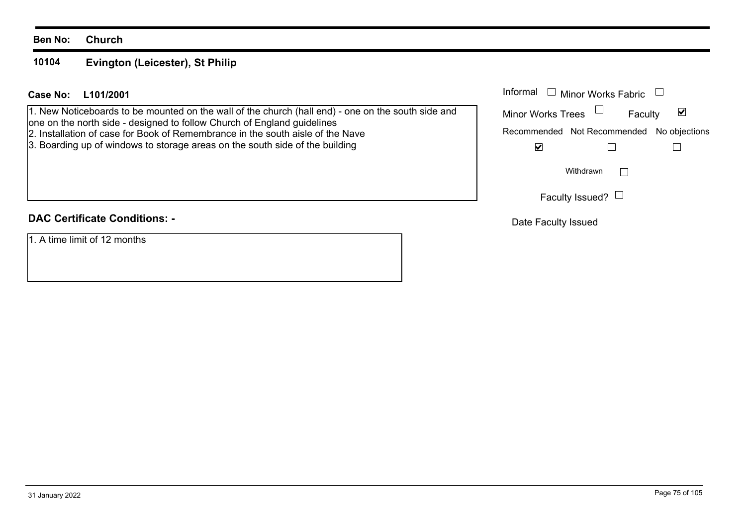## **Ben No: Church**

### **10104Evington (Leicester), St Philip**

# **L101/2001 Case No:** Informal

1. New Noticeboards to be mounted on the wall of the church (hall end) - one on the south side and one on the north side - designed to follow Church of England guidelines

2. Installation of case for Book of Remembrance in the south aisle of the Nave

3. Boarding up of windows to storage areas on the south side of the building

# **DAC Certificate Conditions: -**

1. A time limit of 12 months

| Informal<br><b>Minor Works Fabric</b> |                                           |   |  |
|---------------------------------------|-------------------------------------------|---|--|
| <b>Minor Works Trees</b>              | Faculty                                   | M |  |
|                                       | Recommended Not Recommended No objections |   |  |
|                                       |                                           |   |  |
|                                       | Withdrawn                                 |   |  |
|                                       | Faculty Issued?                           |   |  |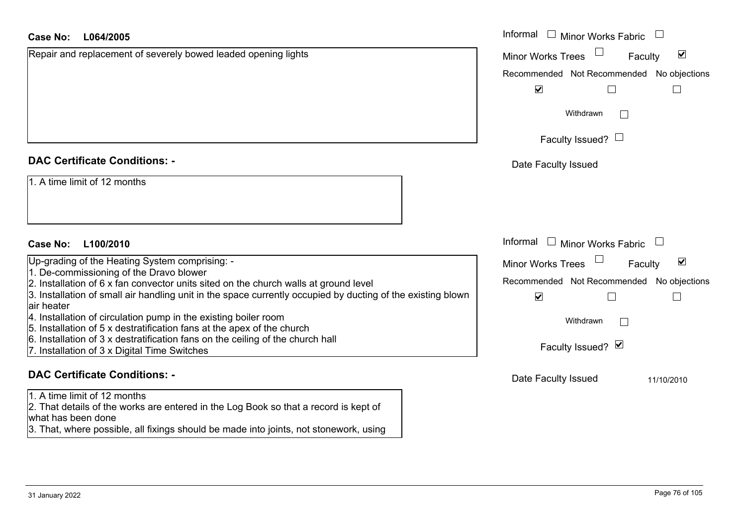| <b>Case No:</b><br>L064/2005                                                                                                                                                                                                        | Informal □ Minor Works Fabric                               |
|-------------------------------------------------------------------------------------------------------------------------------------------------------------------------------------------------------------------------------------|-------------------------------------------------------------|
| Repair and replacement of severely bowed leaded opening lights                                                                                                                                                                      | $\blacktriangledown$<br><b>Minor Works Trees</b><br>Faculty |
|                                                                                                                                                                                                                                     | Recommended Not Recommended No objections                   |
|                                                                                                                                                                                                                                     | $\blacktriangledown$<br>$\perp$                             |
|                                                                                                                                                                                                                                     | Withdrawn                                                   |
|                                                                                                                                                                                                                                     | Faculty Issued? $\Box$                                      |
| <b>DAC Certificate Conditions: -</b>                                                                                                                                                                                                | Date Faculty Issued                                         |
| 1. A time limit of 12 months                                                                                                                                                                                                        |                                                             |
| L100/2010<br><b>Case No:</b>                                                                                                                                                                                                        | Informal □ Minor Works Fabric                               |
| Up-grading of the Heating System comprising: -                                                                                                                                                                                      | $\blacktriangledown$<br><b>Minor Works Trees</b><br>Faculty |
| 1. De-commissioning of the Dravo blower<br>2. Installation of 6 x fan convector units sited on the church walls at ground level                                                                                                     | Recommended Not Recommended No objections                   |
| 3. Installation of small air handling unit in the space currently occupied by ducting of the existing blown                                                                                                                         | $\blacktriangledown$<br>$\Box$<br>$\overline{\phantom{a}}$  |
| air heater                                                                                                                                                                                                                          |                                                             |
| 4. Installation of circulation pump in the existing boiler room<br>5. Installation of 5 x destratification fans at the apex of the church                                                                                           | Withdrawn                                                   |
| 6. Installation of 3 x destratification fans on the ceiling of the church hall<br>7. Installation of 3 x Digital Time Switches                                                                                                      | Faculty Issued? Ø                                           |
| <b>DAC Certificate Conditions: -</b>                                                                                                                                                                                                | Date Faculty Issued<br>11/10/2010                           |
| 1. A time limit of 12 months<br>2. That details of the works are entered in the Log Book so that a record is kept of<br>what has been done<br>3. That, where possible, all fixings should be made into joints, not stonework, using |                                                             |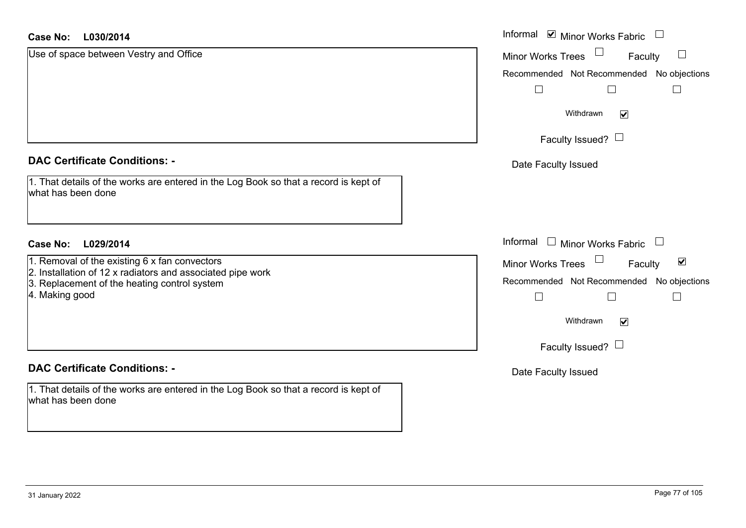| L030/2014<br><b>Case No:</b>                                                                                | Informal <b>☑</b> Minor Works Fabric                                        |
|-------------------------------------------------------------------------------------------------------------|-----------------------------------------------------------------------------|
| Use of space between Vestry and Office                                                                      | $\Box$<br><b>Minor Works Trees</b><br>Faculty                               |
|                                                                                                             | Recommended Not Recommended No objections                                   |
|                                                                                                             | $\Box$<br>П                                                                 |
|                                                                                                             | Withdrawn<br>$\blacktriangledown$                                           |
|                                                                                                             | Faculty Issued? $\Box$                                                      |
| <b>DAC Certificate Conditions: -</b>                                                                        | Date Faculty Issued                                                         |
| 1. That details of the works are entered in the Log Book so that a record is kept of<br>what has been done  |                                                                             |
| <b>Case No:</b><br>L029/2014                                                                                | Informal $\Box$ Minor Works Fabric<br>$\begin{array}{c} \hline \end{array}$ |
| 1. Removal of the existing 6 x fan convectors<br>2. Installation of 12 x radiators and associated pipe work | $\blacktriangledown$<br>Faculty<br><b>Minor Works Trees</b>                 |
| 3. Replacement of the heating control system                                                                | Recommended Not Recommended No objections                                   |
| 4. Making good                                                                                              |                                                                             |
|                                                                                                             | Withdrawn<br>$\blacktriangledown$                                           |
|                                                                                                             | Faculty Issued? $\Box$                                                      |
| <b>DAC Certificate Conditions: -</b>                                                                        | Date Faculty Issued                                                         |
| 1. That details of the works are entered in the Log Book so that a record is kept of<br>what has been done  |                                                                             |
|                                                                                                             |                                                                             |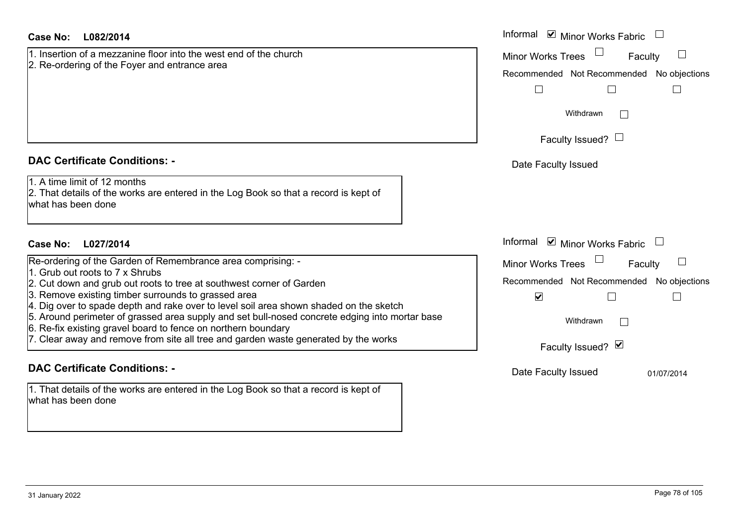| <b>DAC Certificate Conditions: -</b>                                                                       | Date Faculty Issued | 01/07/2014     |
|------------------------------------------------------------------------------------------------------------|---------------------|----------------|
| 1. That details of the works are entered in the Log Book so that a record is kept of<br>what has been done |                     |                |
|                                                                                                            |                     |                |
| 31 January 2022                                                                                            |                     | Page 78 of 105 |
|                                                                                                            |                     |                |

| Case No:<br>L082/2014                                                                                                                                                                                                                                                                                                                                                                                                                                                                                                                                                             | Informal $\blacksquare$ Minor Works Fabric $\blacksquare$                                                                |
|-----------------------------------------------------------------------------------------------------------------------------------------------------------------------------------------------------------------------------------------------------------------------------------------------------------------------------------------------------------------------------------------------------------------------------------------------------------------------------------------------------------------------------------------------------------------------------------|--------------------------------------------------------------------------------------------------------------------------|
| 1. Insertion of a mezzanine floor into the west end of the church<br>2. Re-ordering of the Foyer and entrance area                                                                                                                                                                                                                                                                                                                                                                                                                                                                | <b>Minor Works Trees</b><br>Faculty<br>Recommended Not Recommended No                                                    |
|                                                                                                                                                                                                                                                                                                                                                                                                                                                                                                                                                                                   | Withdrawn<br>Faculty Issued? $\Box$                                                                                      |
| <b>DAC Certificate Conditions: -</b>                                                                                                                                                                                                                                                                                                                                                                                                                                                                                                                                              | Date Faculty Issued                                                                                                      |
| 1. A time limit of 12 months<br>2. That details of the works are entered in the Log Book so that a record is kept of<br>what has been done                                                                                                                                                                                                                                                                                                                                                                                                                                        |                                                                                                                          |
| <b>Case No:</b><br>L027/2014                                                                                                                                                                                                                                                                                                                                                                                                                                                                                                                                                      | Informal $\blacksquare$ Minor Works Fabric $\blacksquare$                                                                |
| Re-ordering of the Garden of Remembrance area comprising: -<br>1. Grub out roots to 7 x Shrubs<br>2. Cut down and grub out roots to tree at southwest corner of Garden<br>3. Remove existing timber surrounds to grassed area<br>4. Dig over to spade depth and rake over to level soil area shown shaded on the sketch<br>5. Around perimeter of grassed area supply and set bull-nosed concrete edging into mortar base<br>6. Re-fix existing gravel board to fence on northern boundary<br>7. Clear away and remove from site all tree and garden waste generated by the works | Minor Works Trees<br>Faculty<br>Recommended Not Recommended No<br>$\blacktriangledown$<br>Withdrawn<br>Faculty Issued? Ø |

objections

 $\Box$ 

 $\Box$ 

objections

 $\Box$ 

 $\Box$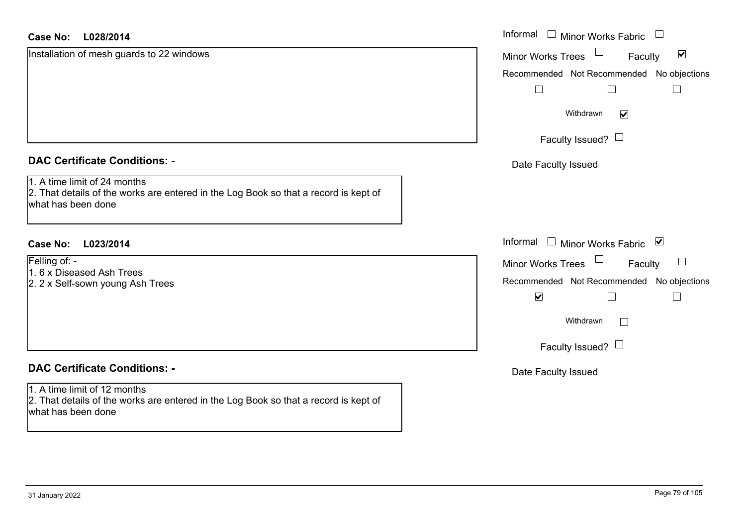| <b>Case No:</b><br>L028/2014                                                                                                               | Informal<br>Minor Works Fabric                                 |
|--------------------------------------------------------------------------------------------------------------------------------------------|----------------------------------------------------------------|
| Installation of mesh guards to 22 windows                                                                                                  | $\Box$<br>$\blacktriangledown$<br>Minor Works Trees<br>Faculty |
|                                                                                                                                            | Recommended Not Recommended No objections                      |
|                                                                                                                                            | $\Box$<br>$\Box$<br>$\Box$                                     |
|                                                                                                                                            | Withdrawn<br>$\blacktriangledown$                              |
|                                                                                                                                            | Faculty Issued? $\Box$                                         |
| <b>DAC Certificate Conditions: -</b>                                                                                                       | Date Faculty Issued                                            |
| 1. A time limit of 24 months<br>2. That details of the works are entered in the Log Book so that a record is kept of<br>what has been done |                                                                |
| <b>Case No:</b><br>L023/2014                                                                                                               | Informal □ Minor Works Fabric ⊠                                |
| Felling of: -                                                                                                                              | Minor Works Trees<br>$\Box$<br>Faculty                         |
| 1.6 x Diseased Ash Trees<br>2. 2 x Self-sown young Ash Trees                                                                               | Recommended Not Recommended No objections                      |
|                                                                                                                                            | $\blacktriangledown$<br>$\Box$                                 |
|                                                                                                                                            | Withdrawn<br>$\Box$                                            |
|                                                                                                                                            | Faculty Issued? $\Box$                                         |
| <b>DAC Certificate Conditions: -</b>                                                                                                       | Date Faculty Issued                                            |
| 1. A time limit of 12 months<br>2. That details of the works are entered in the Log Book so that a record is kept of<br>what has been done |                                                                |
|                                                                                                                                            |                                                                |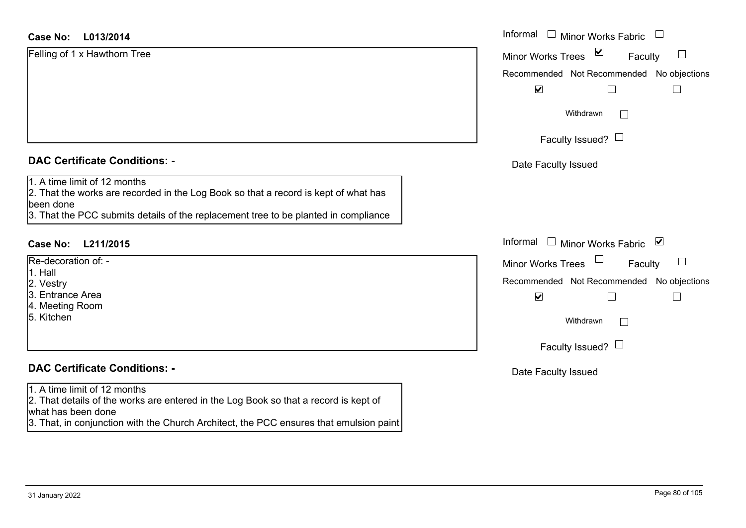# **L013/2014Case No:** Informal

Felling of 1 x Hawthorn Tree

**DAC Certificate Conditions: -**

1. A time limit of 12 months

2. That the works are recorded in the Log Book so that a record is kept of what has been done

3. That the PCC submits details of the replacement tree to be planted in compliance

# **L211/2015Case No:** Informal

Re-decoration of: -

- 1. Hall
- 2. Vestry
- 3. Entrance Area
- 4. Meeting Room
- 5. Kitchen

# **DAC Certificate Conditions: -**

### 1. A time limit of 12 months

2. That details of the works are entered in the Log Book so that a record is kept of what has been done

3. That, in conjunction with the Church Architect, the PCC ensures that emulsion paint

| Informal<br><b>Minor Works Fabric</b>      |
|--------------------------------------------|
| ⊻<br><b>Minor Works Trees</b><br>Faculty   |
| Recommended Not Recommended No objections  |
| $\overline{\mathbf{v}}$                    |
| Withdrawn                                  |
| Faculty Issued? $\Box$                     |
| Date Faculty Issued                        |
|                                            |
|                                            |
| Informal<br>⊻<br><b>Minor Works Fabric</b> |
| <b>Minor Works Trees</b><br>Faculty        |
| Recommended Not Recommended No objections  |
| $\blacktriangledown$                       |
| Withdrawn                                  |
| Faculty Issued?                            |
| Date Faculty Issued                        |
|                                            |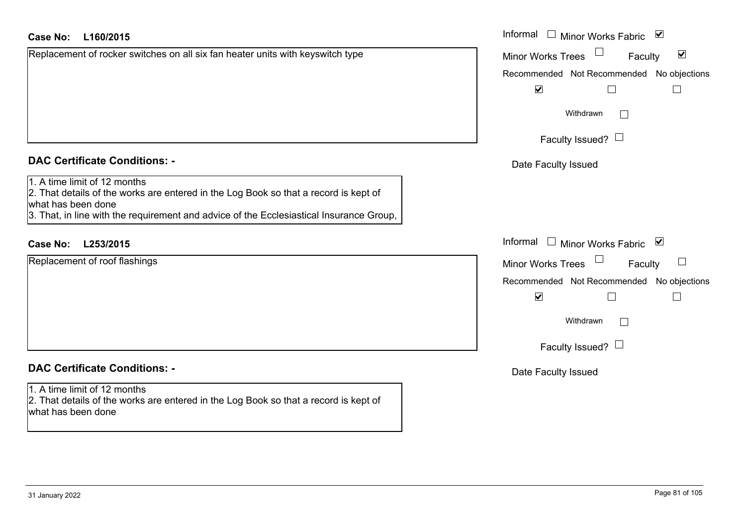# **L160/2015Case No:** Informal

Replacement of rocker switches on all six fan heater units with keyswitch type

# **DAC Certificate Conditions: -**

1. A time limit of 12 months

2. That details of the works are entered in the Log Book so that a record is kept of what has been done

3. That, in line with the requirement and advice of the Ecclesiastical Insurance Group,

# **L253/2015Case No:** Informal

Replacement of roof flashings

# **DAC Certificate Conditions: -**

1. A time limit of 12 months 2. That details of the works are entered in the Log Book so that a record is kept of what has been done

| Informal |                          | Minor Works Fabric                        | ⊻ |
|----------|--------------------------|-------------------------------------------|---|
|          | <b>Minor Works Trees</b> | Faculty                                   | ⊻ |
|          |                          | Recommended Not Recommended No objections |   |
|          | V                        |                                           |   |
|          | Withdrawn                |                                           |   |
|          | Faculty Issued? L        |                                           |   |
|          | Date Faculty Issued      |                                           |   |
|          |                          |                                           |   |
|          |                          |                                           |   |
| Informal |                          |                                           |   |
|          |                          | Minor Works Fabric                        | ⊻ |
|          | <b>Minor Works Trees</b> | Faculty                                   |   |
|          |                          | Recommended Not Recommended No objections |   |
|          | $\blacktriangledown$     |                                           |   |
|          | Withdrawn                |                                           |   |
|          | Faculty Issued?          |                                           |   |
|          | Date Faculty Issued      |                                           |   |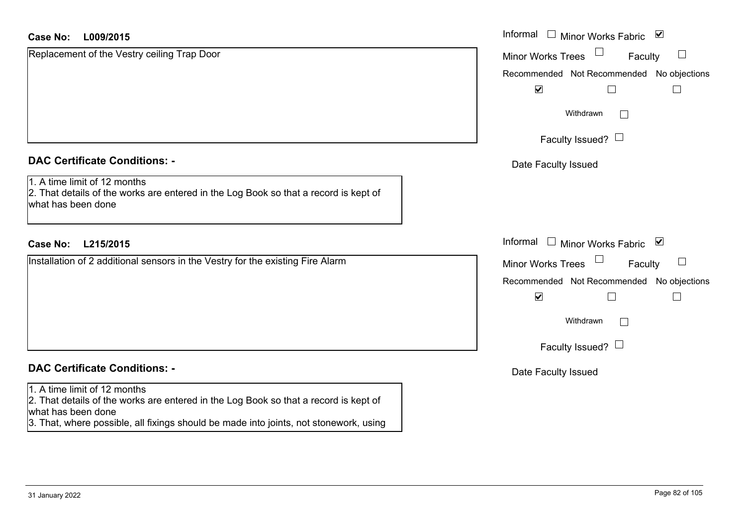| <b>Case No:</b><br>L009/2015                                                                                                               | Informal<br>□ Minor Works Fabric                |
|--------------------------------------------------------------------------------------------------------------------------------------------|-------------------------------------------------|
| Replacement of the Vestry ceiling Trap Door                                                                                                | <b>Minor Works Trees</b><br>$\Box$<br>Faculty   |
|                                                                                                                                            | Recommended Not Recommended No objections       |
|                                                                                                                                            | $\blacktriangledown$                            |
|                                                                                                                                            | Withdrawn<br>$\mathbb{R}^n$                     |
|                                                                                                                                            | Faculty Issued? $\Box$                          |
| <b>DAC Certificate Conditions: -</b>                                                                                                       | Date Faculty Issued                             |
| 1. A time limit of 12 months<br>2. That details of the works are entered in the Log Book so that a record is kept of<br>what has been done |                                                 |
| <b>Case No:</b><br>L215/2015                                                                                                               | Informal<br>$\Box$ Minor Works Fabric $\Box$    |
| Installation of 2 additional sensors in the Vestry for the existing Fire Alarm                                                             | $\sqcup$<br><b>Minor Works Trees</b><br>Faculty |
|                                                                                                                                            | Recommended Not Recommended No objections       |
|                                                                                                                                            | $\blacktriangledown$                            |
|                                                                                                                                            | Withdrawn<br>$\Box$                             |
|                                                                                                                                            | Faculty Issued? $\Box$                          |
| <b>DAC Certificate Conditions: -</b>                                                                                                       | Date Faculty Issued                             |
| 1. A time limit of 12 months<br>2. That details of the works are entered in the Log Book so that a record is kept of<br>what has been done |                                                 |
| 3. That, where possible, all fixings should be made into joints, not stonework, using                                                      |                                                 |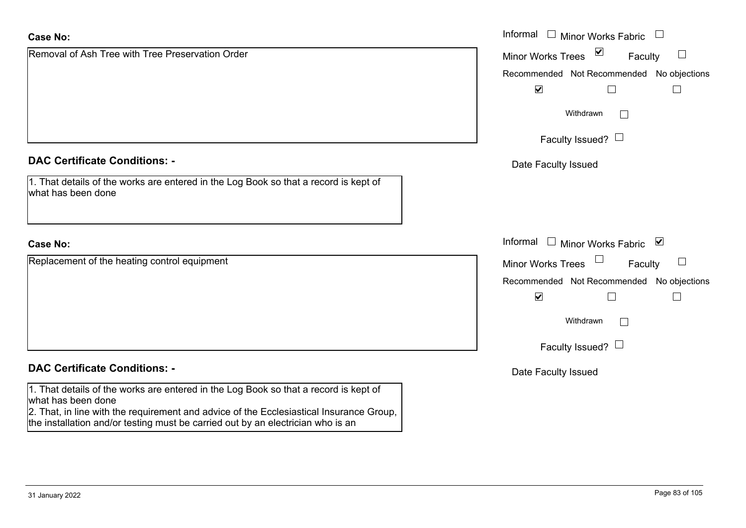| <b>Case No:</b>                                                                                                                                                                                       | Informal<br>$\Box$ Minor Works Fabric                             |
|-------------------------------------------------------------------------------------------------------------------------------------------------------------------------------------------------------|-------------------------------------------------------------------|
| Removal of Ash Tree with Tree Preservation Order                                                                                                                                                      | $\overline{\mathbf{v}}$<br>Minor Works Trees<br>$\Box$<br>Faculty |
|                                                                                                                                                                                                       | Recommended Not Recommended No objections                         |
|                                                                                                                                                                                                       | $\blacktriangledown$                                              |
|                                                                                                                                                                                                       | Withdrawn                                                         |
|                                                                                                                                                                                                       | Faculty Issued? $\Box$                                            |
| <b>DAC Certificate Conditions: -</b>                                                                                                                                                                  | Date Faculty Issued                                               |
| 1. That details of the works are entered in the Log Book so that a record is kept of<br>what has been done                                                                                            |                                                                   |
|                                                                                                                                                                                                       |                                                                   |
| <b>Case No:</b>                                                                                                                                                                                       | Informal □ Minor Works Fabric<br>⊻                                |
| Replacement of the heating control equipment                                                                                                                                                          | Minor Works Trees<br>Faculty                                      |
|                                                                                                                                                                                                       | Recommended Not Recommended No objections                         |
|                                                                                                                                                                                                       | $\blacktriangledown$                                              |
|                                                                                                                                                                                                       | Withdrawn<br>$\vert \ \ \vert$                                    |
|                                                                                                                                                                                                       | Faculty Issued? $\Box$                                            |
| <b>DAC Certificate Conditions: -</b>                                                                                                                                                                  | Date Faculty Issued                                               |
| 1. That details of the works are entered in the Log Book so that a record is kept of<br>what has been done<br>2. That, in line with the requirement and advice of the Ecclesiastical Insurance Group, |                                                                   |

the installation and/or testing must be carried out by an electrician who is an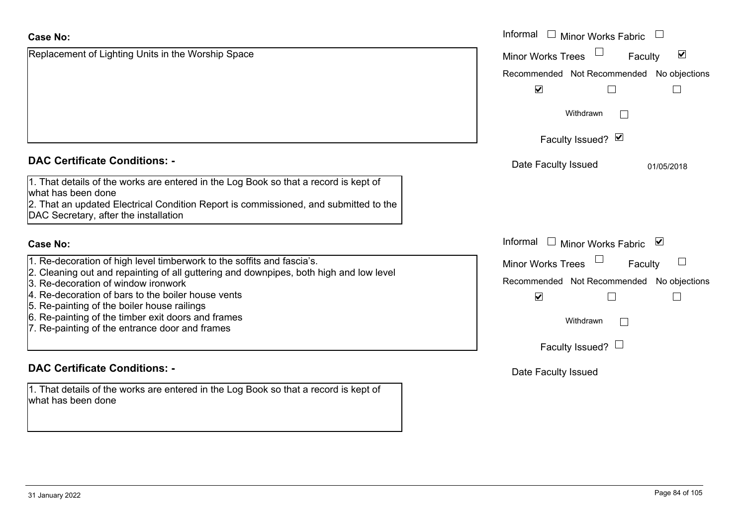| <b>Case No:</b>                                                                                                                                                                                                                             | Informal □ Minor Works Fabric                               |
|---------------------------------------------------------------------------------------------------------------------------------------------------------------------------------------------------------------------------------------------|-------------------------------------------------------------|
| Replacement of Lighting Units in the Worship Space                                                                                                                                                                                          | $\blacktriangledown$<br><b>Minor Works Trees</b><br>Faculty |
|                                                                                                                                                                                                                                             | Recommended Not Recommended<br>No objections                |
|                                                                                                                                                                                                                                             | $\blacktriangledown$<br>L                                   |
|                                                                                                                                                                                                                                             | Withdrawn                                                   |
|                                                                                                                                                                                                                                             | Faculty Issued? Ø                                           |
| <b>DAC Certificate Conditions: -</b>                                                                                                                                                                                                        | Date Faculty Issued<br>01/05/2018                           |
| 1. That details of the works are entered in the Log Book so that a record is kept of<br>what has been done<br>2. That an updated Electrical Condition Report is commissioned, and submitted to the<br>DAC Secretary, after the installation |                                                             |
| <b>Case No:</b>                                                                                                                                                                                                                             | Informal $\Box$ Minor Works Fabric<br>⊻                     |
| 1. Re-decoration of high level timberwork to the soffits and fascia's.                                                                                                                                                                      | Minor Works Trees<br>Faculty                                |
| 2. Cleaning out and repainting of all guttering and downpipes, both high and low level                                                                                                                                                      | Recommended Not Recommended<br>No objections                |
| Re-decoration of window ironwork<br>4. Re-decoration of bars to the boiler house vents                                                                                                                                                      |                                                             |
| 5. Re-painting of the boiler house railings                                                                                                                                                                                                 | $\blacktriangledown$                                        |
| 6. Re-painting of the timber exit doors and frames                                                                                                                                                                                          | Withdrawn                                                   |
| 7. Re-painting of the entrance door and frames                                                                                                                                                                                              |                                                             |
|                                                                                                                                                                                                                                             | Faculty Issued? $\Box$                                      |
| <b>DAC Certificate Conditions: -</b>                                                                                                                                                                                                        | Date Faculty Issued                                         |
| 1. That details of the works are entered in the Log Book so that a record is kept of<br>what has been done                                                                                                                                  |                                                             |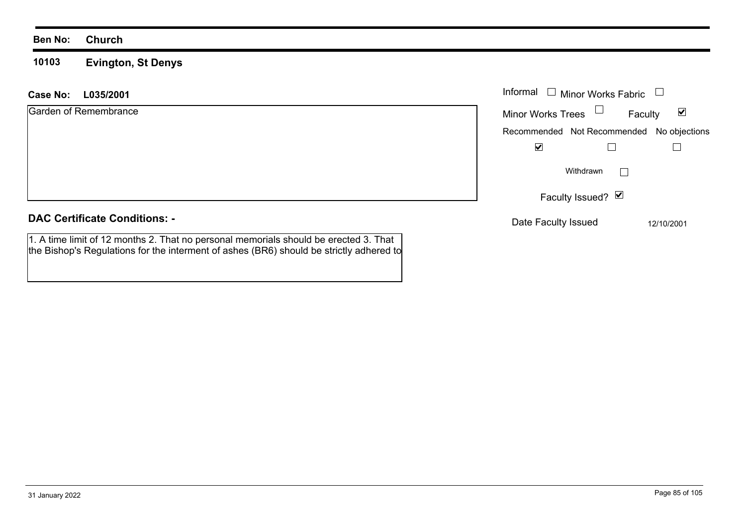### **Ben No: Church**

### **10103 Evington, St Denys**

| L035/2001<br>Case No:                                                                                                                                                           | Informal<br>$\Box$ Minor Works Fabric                       |
|---------------------------------------------------------------------------------------------------------------------------------------------------------------------------------|-------------------------------------------------------------|
| Garden of Remembrance                                                                                                                                                           | <b>Minor Works Trees</b><br>$\blacktriangledown$<br>Faculty |
|                                                                                                                                                                                 | Recommended Not Recommended No objections                   |
|                                                                                                                                                                                 | ⊻                                                           |
|                                                                                                                                                                                 | Withdrawn                                                   |
|                                                                                                                                                                                 | Faculty Issued? Ø                                           |
| <b>DAC Certificate Conditions: -</b>                                                                                                                                            | Date Faculty Issued<br>12/10/2001                           |
| 1. A time limit of 12 months 2. That no personal memorials should be erected 3. That<br>the Bishop's Regulations for the interment of ashes (BR6) should be strictly adhered to |                                                             |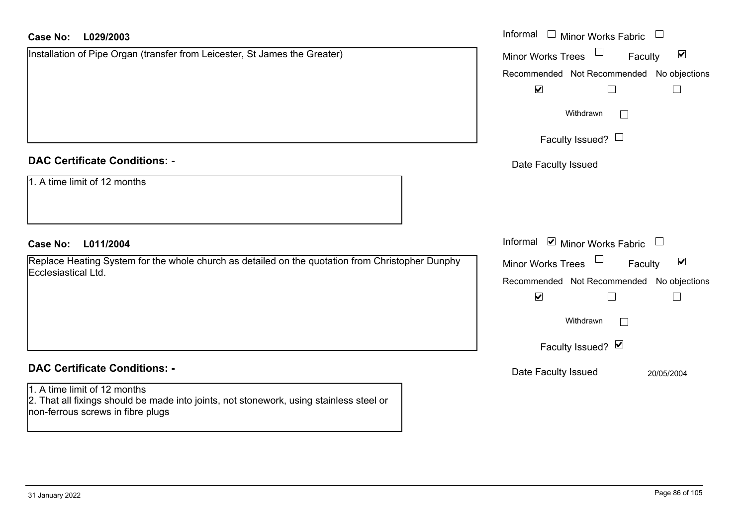| <b>Case No:</b><br>L029/2003                                                                                                                                 | Informal<br>$\Box$ Minor Works Fabric<br>$\begin{array}{c} \square \end{array}$ |
|--------------------------------------------------------------------------------------------------------------------------------------------------------------|---------------------------------------------------------------------------------|
| Installation of Pipe Organ (transfer from Leicester, St James the Greater)                                                                                   | $\blacktriangledown$<br><b>Minor Works Trees</b><br>Faculty                     |
|                                                                                                                                                              | Recommended Not Recommended No objections                                       |
|                                                                                                                                                              | $\blacktriangledown$<br>$\Box$<br>$\Box$                                        |
|                                                                                                                                                              | Withdrawn<br>$\Box$                                                             |
|                                                                                                                                                              | Faculty Issued? $\Box$                                                          |
| <b>DAC Certificate Conditions: -</b>                                                                                                                         | Date Faculty Issued                                                             |
| 1. A time limit of 12 months                                                                                                                                 |                                                                                 |
| L011/2004<br><b>Case No:</b>                                                                                                                                 | Informal $\blacksquare$ Minor Works Fabric $\blacksquare$                       |
| Replace Heating System for the whole church as detailed on the quotation from Christopher Dunphy<br>Ecclesiastical Ltd.                                      | $\blacktriangledown$<br><b>Minor Works Trees</b><br>Faculty                     |
|                                                                                                                                                              | Recommended Not Recommended No objections                                       |
|                                                                                                                                                              | $\blacktriangledown$<br>$\Box$<br>$\Box$                                        |
|                                                                                                                                                              | Withdrawn                                                                       |
|                                                                                                                                                              | Faculty Issued? Ø                                                               |
| <b>DAC Certificate Conditions: -</b>                                                                                                                         | Date Faculty Issued<br>20/05/2004                                               |
| 1. A time limit of 12 months<br>2. That all fixings should be made into joints, not stonework, using stainless steel or<br>non-ferrous screws in fibre plugs |                                                                                 |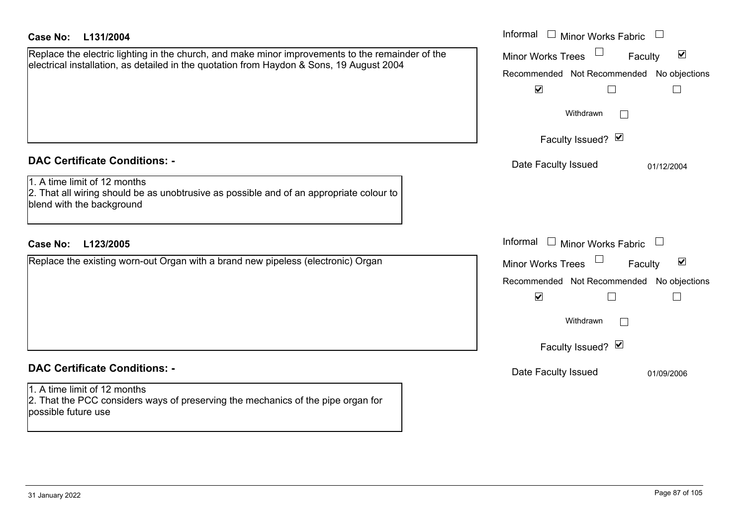| <b>Case No:</b><br>L131/2004                                                                                                                                                                 | Informal □ Minor Works Fabric                               |
|----------------------------------------------------------------------------------------------------------------------------------------------------------------------------------------------|-------------------------------------------------------------|
| Replace the electric lighting in the church, and make minor improvements to the remainder of the<br>electrical installation, as detailed in the quotation from Haydon & Sons, 19 August 2004 | $\blacktriangledown$<br><b>Minor Works Trees</b><br>Faculty |
|                                                                                                                                                                                              | Recommended Not Recommended No objections                   |
|                                                                                                                                                                                              | $\blacktriangledown$                                        |
|                                                                                                                                                                                              | Withdrawn                                                   |
|                                                                                                                                                                                              | Faculty Issued? Ø                                           |
| <b>DAC Certificate Conditions: -</b>                                                                                                                                                         | Date Faculty Issued<br>01/12/2004                           |
| 1. A time limit of 12 months<br>2. That all wiring should be as unobtrusive as possible and of an appropriate colour to<br>blend with the background                                         |                                                             |
| L123/2005<br><b>Case No:</b>                                                                                                                                                                 | Informal $\Box$ Minor Works Fabric                          |
| Replace the existing worn-out Organ with a brand new pipeless (electronic) Organ                                                                                                             | $\blacktriangledown$<br><b>Minor Works Trees</b><br>Faculty |
|                                                                                                                                                                                              | Recommended Not Recommended No objections                   |
|                                                                                                                                                                                              | $\blacktriangledown$                                        |
|                                                                                                                                                                                              | Withdrawn                                                   |
|                                                                                                                                                                                              | Faculty Issued? Ø                                           |
| <b>DAC Certificate Conditions: -</b>                                                                                                                                                         | Date Faculty Issued<br>01/09/2006                           |
| 1. A time limit of 12 months<br>2. That the PCC considers ways of preserving the mechanics of the pipe organ for<br>possible future use                                                      |                                                             |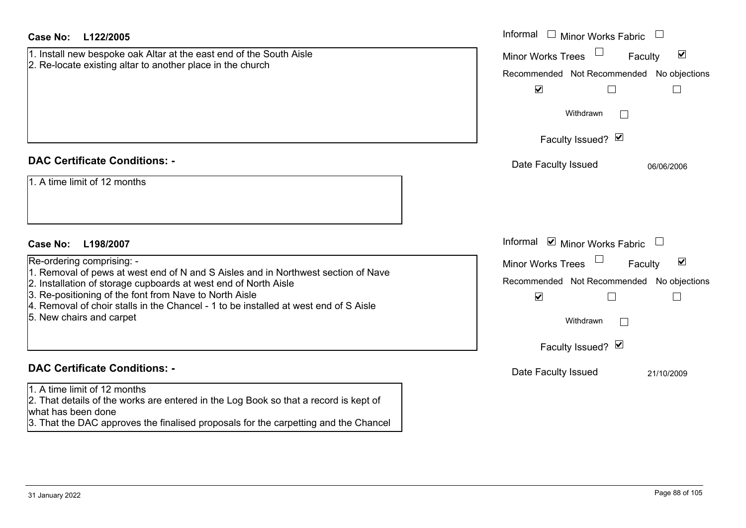| Case No:<br>L122/2005                                                                                                                                                                                                                                                                                                                                                                           | Informal $\Box$ Minor Works Fabric $\Box$                                                                                                                                                                                            |
|-------------------------------------------------------------------------------------------------------------------------------------------------------------------------------------------------------------------------------------------------------------------------------------------------------------------------------------------------------------------------------------------------|--------------------------------------------------------------------------------------------------------------------------------------------------------------------------------------------------------------------------------------|
| 1. Install new bespoke oak Altar at the east end of the South Aisle<br>2. Re-locate existing altar to another place in the church                                                                                                                                                                                                                                                               | $\blacktriangledown$<br><b>Minor Works Trees</b><br>Faculty<br>No objections<br>Recommended Not Recommended<br>$\blacktriangledown$<br>$\mathbb{R}^n$<br>$\mathbf{L}$<br>Withdrawn<br>Faculty Issued? Ø                              |
| <b>DAC Certificate Conditions: -</b><br>1. A time limit of 12 months                                                                                                                                                                                                                                                                                                                            | Date Faculty Issued<br>06/06/2006                                                                                                                                                                                                    |
| <b>Case No:</b><br>L198/2007<br>Re-ordering comprising: -<br>1. Removal of pews at west end of N and S Aisles and in Northwest section of Nave<br>2. Installation of storage cupboards at west end of North Aisle<br>3. Re-positioning of the font from Nave to North Aisle<br>4. Removal of choir stalls in the Chancel - 1 to be installed at west end of S Aisle<br>5. New chairs and carpet | Informal $\blacksquare$ Minor Works Fabric $\blacksquare$<br>$\blacktriangledown$<br><b>Minor Works Trees</b><br>Faculty<br>Recommended Not Recommended No objections<br>$\blacktriangledown$<br>П<br>Withdrawn<br>Faculty Issued? Ø |
| <b>DAC Certificate Conditions: -</b><br>1. A time limit of 12 months<br>2. That details of the works are entered in the Log Book so that a record is kept of<br>what has been done<br>3. That the DAC approves the finalised proposals for the carpetting and the Chancel                                                                                                                       | Date Faculty Issued<br>21/10/2009                                                                                                                                                                                                    |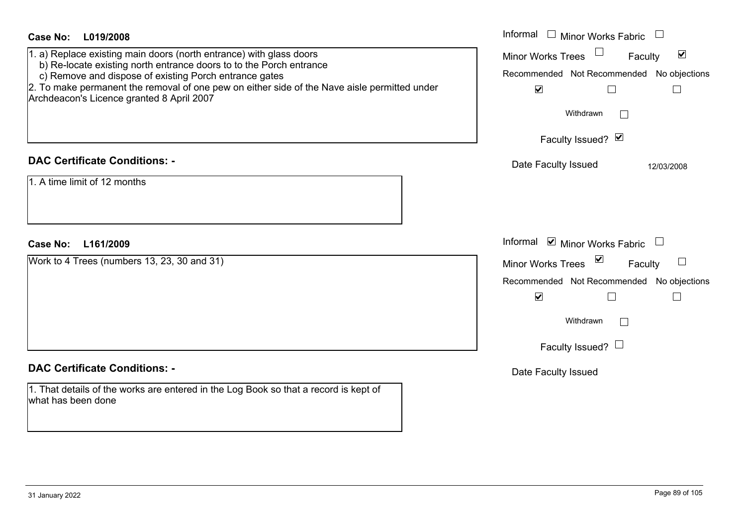| <b>Case No:</b><br>L019/2008<br>1. a) Replace existing main doors (north entrance) with glass doors<br>b) Re-locate existing north entrance doors to to the Porch entrance<br>c) Remove and dispose of existing Porch entrance gates<br>2. To make permanent the removal of one pew on either side of the Nave aisle permitted under<br>Archdeacon's Licence granted 8 April 2007 | Informal $\Box$ Minor Works Fabric $\Box$<br>$\Box$<br>$\blacktriangledown$<br><b>Minor Works Trees</b><br>Faculty<br>Recommended Not Recommended No objections<br>$\blacktriangledown$<br>$\Box$<br>$\Box$<br>Withdrawn<br>Faculty Issued? Ø |
|-----------------------------------------------------------------------------------------------------------------------------------------------------------------------------------------------------------------------------------------------------------------------------------------------------------------------------------------------------------------------------------|-----------------------------------------------------------------------------------------------------------------------------------------------------------------------------------------------------------------------------------------------|
| <b>DAC Certificate Conditions: -</b><br>1. A time limit of 12 months                                                                                                                                                                                                                                                                                                              | Date Faculty Issued<br>12/03/2008                                                                                                                                                                                                             |
| <b>Case No:</b><br>L161/2009                                                                                                                                                                                                                                                                                                                                                      | Informal<br>■ Minor Works Fabric $\Box$                                                                                                                                                                                                       |
| Work to 4 Trees (numbers 13, 23, 30 and 31)                                                                                                                                                                                                                                                                                                                                       | Minor Works Trees <b>■</b><br>Faculty                                                                                                                                                                                                         |
|                                                                                                                                                                                                                                                                                                                                                                                   | Recommended Not Recommended No objections                                                                                                                                                                                                     |
|                                                                                                                                                                                                                                                                                                                                                                                   | $\blacktriangledown$<br>$\Box$<br>$\Box$                                                                                                                                                                                                      |
|                                                                                                                                                                                                                                                                                                                                                                                   | Withdrawn                                                                                                                                                                                                                                     |
|                                                                                                                                                                                                                                                                                                                                                                                   | Faculty Issued? $\Box$                                                                                                                                                                                                                        |
| <b>DAC Certificate Conditions: -</b>                                                                                                                                                                                                                                                                                                                                              | Date Faculty Issued                                                                                                                                                                                                                           |
| 1. That details of the works are entered in the Log Book so that a record is kept of<br>what has been done                                                                                                                                                                                                                                                                        |                                                                                                                                                                                                                                               |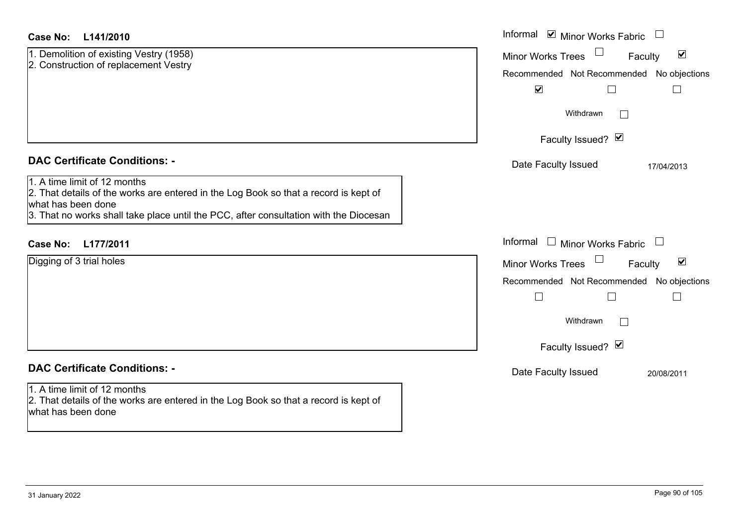| <b>Case No:</b><br>L141/2010                                                                                                                                                                                                        | Informal ⊠ Minor Works Fabric                                                                                                                                 |
|-------------------------------------------------------------------------------------------------------------------------------------------------------------------------------------------------------------------------------------|---------------------------------------------------------------------------------------------------------------------------------------------------------------|
| 1. Demolition of existing Vestry (1958)<br>2. Construction of replacement Vestry                                                                                                                                                    | $\blacktriangledown$<br>Minor Works Trees<br>Faculty<br>Recommended Not Recommended No objections<br>$\blacktriangledown$                                     |
|                                                                                                                                                                                                                                     | Withdrawn<br>$\mathbb{R}$<br>Faculty Issued? Ø                                                                                                                |
| <b>DAC Certificate Conditions: -</b>                                                                                                                                                                                                | Date Faculty Issued<br>17/04/2013                                                                                                                             |
| 1. A time limit of 12 months<br>2. That details of the works are entered in the Log Book so that a record is kept of<br>what has been done<br>3. That no works shall take place until the PCC, after consultation with the Diocesan |                                                                                                                                                               |
| L177/2011<br><b>Case No:</b>                                                                                                                                                                                                        | Informal $\Box$ Minor Works Fabric $\Box$                                                                                                                     |
| Digging of 3 trial holes                                                                                                                                                                                                            | $\blacktriangledown$<br>Minor Works Trees<br>Faculty<br>Recommended Not Recommended No objections<br>$\Box$<br>Withdrawn<br>$\mathbf{1}$<br>Faculty Issued? Ø |
| <b>DAC Certificate Conditions: -</b>                                                                                                                                                                                                | Date Faculty Issued<br>20/08/2011                                                                                                                             |
| 1. A time limit of 12 months<br>2. That details of the works are entered in the Log Book so that a record is kept of<br>what has been done                                                                                          |                                                                                                                                                               |

L.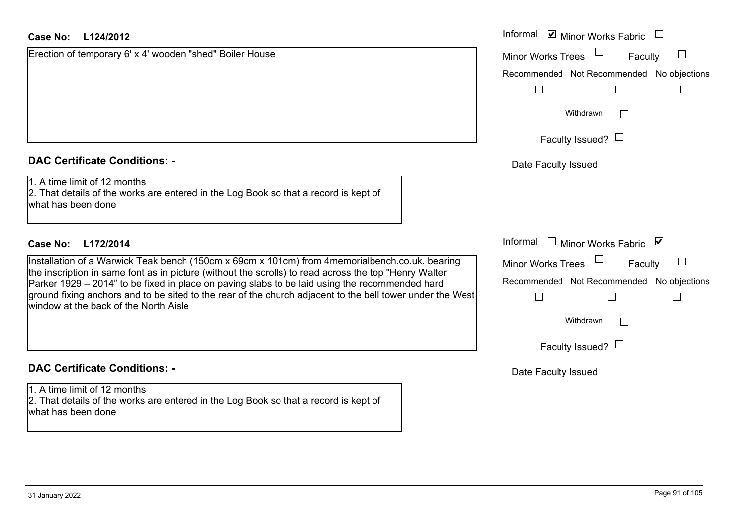# **DAC Certificate Conditions: -**

# **DAC Certificate Conditions: -**

1. A time limit of 12 months2. That details of the works are entered in the Log Book so that a record is kept of what has been done

| <b>Case No:</b><br>L124/2012                                                                                                                                                                                                                                                                                                                                                                                                                                    | Informal ⊠ Minor Works Fabric                                             |
|-----------------------------------------------------------------------------------------------------------------------------------------------------------------------------------------------------------------------------------------------------------------------------------------------------------------------------------------------------------------------------------------------------------------------------------------------------------------|---------------------------------------------------------------------------|
| Erection of temporary 6' x 4' wooden "shed" Boiler House                                                                                                                                                                                                                                                                                                                                                                                                        | <b>Minor Works Trees</b><br>Faculty                                       |
|                                                                                                                                                                                                                                                                                                                                                                                                                                                                 | Recommended Not Recommended No objections                                 |
|                                                                                                                                                                                                                                                                                                                                                                                                                                                                 |                                                                           |
|                                                                                                                                                                                                                                                                                                                                                                                                                                                                 | Withdrawn                                                                 |
|                                                                                                                                                                                                                                                                                                                                                                                                                                                                 | Faculty Issued? $\Box$                                                    |
| <b>DAC Certificate Conditions: -</b>                                                                                                                                                                                                                                                                                                                                                                                                                            | Date Faculty Issued                                                       |
| 1. A time limit of 12 months<br>2. That details of the works are entered in the Log Book so that a record is kept of<br>what has been done                                                                                                                                                                                                                                                                                                                      |                                                                           |
| <b>Case No:</b><br>L172/2014                                                                                                                                                                                                                                                                                                                                                                                                                                    | Informal<br>$\mathrel{\boxdot}$ Minor Works Fabric<br>⊻                   |
| Installation of a Warwick Teak bench (150cm x 69cm x 101cm) from 4memorialbench.co.uk. bearing<br>the inscription in same font as in picture (without the scrolls) to read across the top "Henry Walter<br>Parker 1929 – 2014" to be fixed in place on paving slabs to be laid using the recommended hard<br>ground fixing anchors and to be sited to the rear of the church adjacent to the bell tower under the West<br>window at the back of the North Aisle | Minor Works Trees<br>Faculty<br>Recommended Not Recommended No objections |
|                                                                                                                                                                                                                                                                                                                                                                                                                                                                 | Withdrawn                                                                 |
|                                                                                                                                                                                                                                                                                                                                                                                                                                                                 | Faculty Issued? $\Box$                                                    |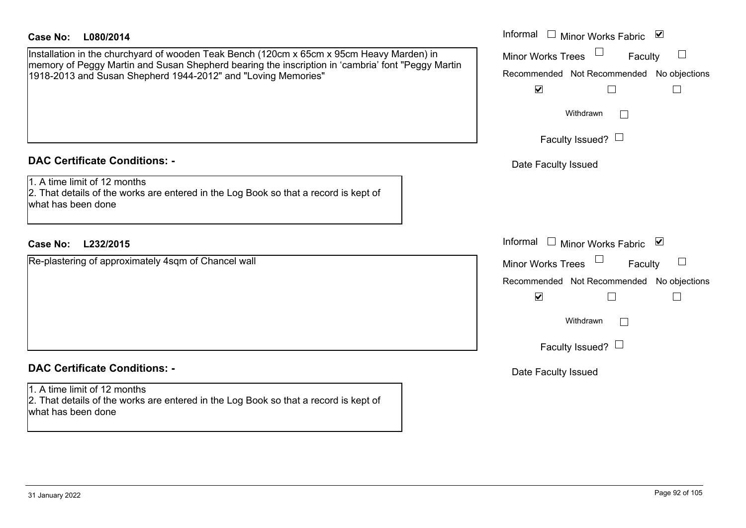| Case No:<br>L080/2014                                                                                                                                                                                                                                           | Informal $\Box$ Minor Works Fabric $\Box$                                                                   |
|-----------------------------------------------------------------------------------------------------------------------------------------------------------------------------------------------------------------------------------------------------------------|-------------------------------------------------------------------------------------------------------------|
| Installation in the churchyard of wooden Teak Bench (120cm x 65cm x 95cm Heavy Marden) in<br>memory of Peggy Martin and Susan Shepherd bearing the inscription in 'cambria' font "Peggy Martin<br>1918-2013 and Susan Shepherd 1944-2012" and "Loving Memories" | Minor Works Trees<br>Faculty<br>$\Box$<br>Recommended Not Recommended No objections<br>$\blacktriangledown$ |
|                                                                                                                                                                                                                                                                 | Withdrawn<br>$\Box$                                                                                         |
|                                                                                                                                                                                                                                                                 | Faculty Issued? $\Box$                                                                                      |
| <b>DAC Certificate Conditions: -</b>                                                                                                                                                                                                                            | Date Faculty Issued                                                                                         |
| 1. A time limit of 12 months<br>2. That details of the works are entered in the Log Book so that a record is kept of<br>what has been done                                                                                                                      |                                                                                                             |
| <b>Case No:</b><br>L232/2015                                                                                                                                                                                                                                    | Informal $\Box$ Minor Works Fabric $\Box$                                                                   |
| Re-plastering of approximately 4sqm of Chancel wall                                                                                                                                                                                                             | Minor Works Trees<br>Faculty                                                                                |
|                                                                                                                                                                                                                                                                 | Recommended Not Recommended No objections                                                                   |
|                                                                                                                                                                                                                                                                 | $\blacktriangledown$<br>$\overline{\phantom{a}}$<br>⊔                                                       |
|                                                                                                                                                                                                                                                                 | Withdrawn<br>$\mathcal{L}^{\mathcal{A}}$                                                                    |
|                                                                                                                                                                                                                                                                 | Faculty Issued? $\Box$                                                                                      |
| <b>DAC Certificate Conditions: -</b>                                                                                                                                                                                                                            | Date Faculty Issued                                                                                         |
| 1. A time limit of 12 months<br>2. That details of the works are entered in the Log Book so that a record is kept of<br>what has been done                                                                                                                      |                                                                                                             |
|                                                                                                                                                                                                                                                                 |                                                                                                             |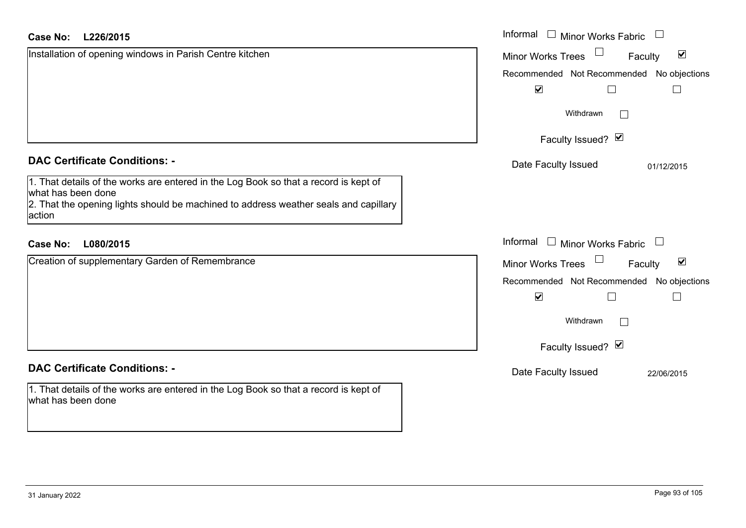| L226/2015<br>Case No:                                                                                      | Informal $\Box$ Minor Works Fabric $\Box$                   |
|------------------------------------------------------------------------------------------------------------|-------------------------------------------------------------|
| Installation of opening windows in Parish Centre kitchen                                                   | $\blacktriangledown$<br><b>Minor Works Trees</b><br>Faculty |
|                                                                                                            | Recommended Not Recommended No objections                   |
|                                                                                                            | $\blacktriangledown$<br>$\mathsf{L}$                        |
|                                                                                                            | Withdrawn                                                   |
|                                                                                                            | Faculty Issued? Ø                                           |
| <b>DAC Certificate Conditions: -</b>                                                                       | Date Faculty Issued<br>01/12/2015                           |
| 1. That details of the works are entered in the Log Book so that a record is kept of<br>what has been done |                                                             |
| 2. That the opening lights should be machined to address weather seals and capillary<br>action             |                                                             |
| L080/2015<br><b>Case No:</b>                                                                               | Informal $\Box$ Minor Works Fabric $\Box$                   |
| Creation of supplementary Garden of Remembrance                                                            | $\blacktriangledown$<br><b>Minor Works Trees</b><br>Faculty |
|                                                                                                            | Recommended Not Recommended No objections                   |
|                                                                                                            | $\blacktriangledown$                                        |
|                                                                                                            | Withdrawn                                                   |
|                                                                                                            | Faculty Issued? Ø                                           |
| <b>DAC Certificate Conditions: -</b>                                                                       | Date Faculty Issued<br>22/06/2015                           |
| 1. That details of the works are entered in the Log Book so that a record is kept of<br>what has been done |                                                             |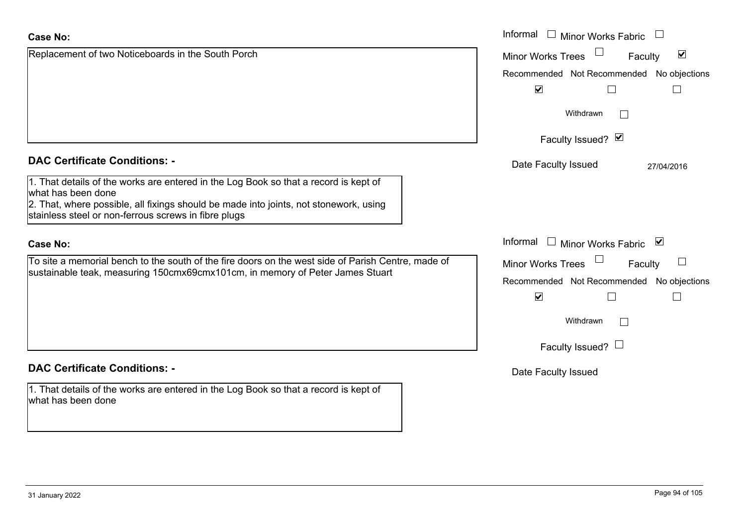| <b>Case No:</b>                                                                                                                                                                                                                                             | Informal<br>$\perp$<br>Minor Works Fabric                                                                                                                                      |
|-------------------------------------------------------------------------------------------------------------------------------------------------------------------------------------------------------------------------------------------------------------|--------------------------------------------------------------------------------------------------------------------------------------------------------------------------------|
| Replacement of two Noticeboards in the South Porch                                                                                                                                                                                                          | $\blacktriangledown$<br><b>Minor Works Trees</b><br>Faculty<br>Recommended Not Recommended No objections                                                                       |
|                                                                                                                                                                                                                                                             | $\blacktriangledown$<br>$\mathbf{L}$                                                                                                                                           |
|                                                                                                                                                                                                                                                             | Withdrawn                                                                                                                                                                      |
|                                                                                                                                                                                                                                                             | Faculty Issued? Ø                                                                                                                                                              |
| <b>DAC Certificate Conditions: -</b>                                                                                                                                                                                                                        | Date Faculty Issued<br>27/04/2016                                                                                                                                              |
| 1. That details of the works are entered in the Log Book so that a record is kept of<br>what has been done<br>2. That, where possible, all fixings should be made into joints, not stonework, using<br>stainless steel or non-ferrous screws in fibre plugs |                                                                                                                                                                                |
| <b>Case No:</b>                                                                                                                                                                                                                                             | Informal $\Box$ Minor Works Fabric<br>⊻                                                                                                                                        |
| To site a memorial bench to the south of the fire doors on the west side of Parish Centre, made of<br>sustainable teak, measuring 150cmx69cmx101cm, in memory of Peter James Stuart                                                                         | Minor Works Trees<br>Faculty<br>Recommended Not Recommended No objections<br>$\blacktriangledown$<br>$\Box$<br>$\overline{\phantom{a}}$<br>Withdrawn<br>Faculty Issued? $\Box$ |
| <b>DAC Certificate Conditions: -</b>                                                                                                                                                                                                                        | Date Faculty Issued                                                                                                                                                            |
| 1. That details of the works are entered in the Log Book so that a record is kept of<br>what has been done                                                                                                                                                  |                                                                                                                                                                                |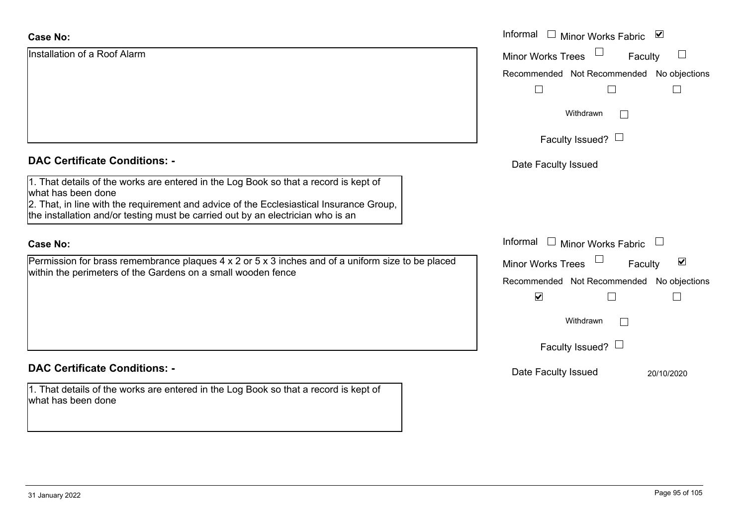| <b>Case No:</b>                                                                                                                                                                                                                                                                          | Informal<br>$\Box$ Minor Works Fabric<br>$\blacktriangledown$                                                             |
|------------------------------------------------------------------------------------------------------------------------------------------------------------------------------------------------------------------------------------------------------------------------------------------|---------------------------------------------------------------------------------------------------------------------------|
| Installation of a Roof Alarm                                                                                                                                                                                                                                                             | <b>Minor Works Trees</b><br>$\Box$<br>Faculty                                                                             |
|                                                                                                                                                                                                                                                                                          | Recommended Not Recommended No objections                                                                                 |
|                                                                                                                                                                                                                                                                                          |                                                                                                                           |
|                                                                                                                                                                                                                                                                                          | Withdrawn<br>$\mathbb{R}^n$                                                                                               |
|                                                                                                                                                                                                                                                                                          | Faculty Issued? $\Box$                                                                                                    |
| <b>DAC Certificate Conditions: -</b>                                                                                                                                                                                                                                                     | Date Faculty Issued                                                                                                       |
| 1. That details of the works are entered in the Log Book so that a record is kept of<br>what has been done<br>2. That, in line with the requirement and advice of the Ecclesiastical Insurance Group,<br>the installation and/or testing must be carried out by an electrician who is an |                                                                                                                           |
| <b>Case No:</b>                                                                                                                                                                                                                                                                          | Informal<br>$\Box$ Minor Works Fabric                                                                                     |
| Permission for brass remembrance plaques $4 \times 2$ or $5 \times 3$ inches and of a uniform size to be placed<br>within the perimeters of the Gardens on a small wooden fence                                                                                                          | $\blacktriangledown$<br>Minor Works Trees<br>Faculty<br>Recommended Not Recommended No objections<br>$\blacktriangledown$ |
|                                                                                                                                                                                                                                                                                          | Withdrawn<br>$\mathbb{R}^n$                                                                                               |
|                                                                                                                                                                                                                                                                                          | Faculty Issued? $\Box$                                                                                                    |
| <b>DAC Certificate Conditions: -</b>                                                                                                                                                                                                                                                     | Date Faculty Issued<br>20/10/2020                                                                                         |
| 1. That details of the works are entered in the Log Book so that a record is kept of<br>what has been done                                                                                                                                                                               |                                                                                                                           |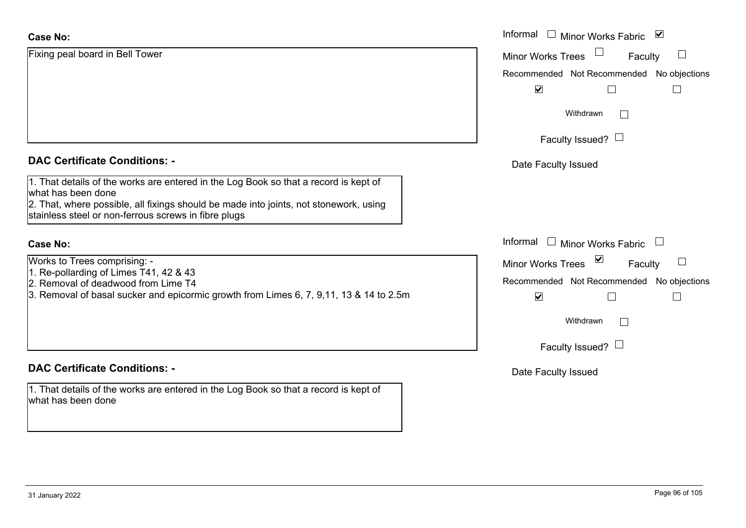# Case

| <b>Case No:</b>                                                                                                                                                                                                                                             | Informal $\square$<br>Minor Works Fabric ⊠      |
|-------------------------------------------------------------------------------------------------------------------------------------------------------------------------------------------------------------------------------------------------------------|-------------------------------------------------|
| Fixing peal board in Bell Tower                                                                                                                                                                                                                             | <b>Minor Works Trees</b><br>Faculty             |
|                                                                                                                                                                                                                                                             | Recommended Not Recommended No objections       |
|                                                                                                                                                                                                                                                             | $\blacktriangledown$<br>$\Box$                  |
|                                                                                                                                                                                                                                                             | Withdrawn                                       |
|                                                                                                                                                                                                                                                             | Faculty Issued? $\Box$                          |
| <b>DAC Certificate Conditions: -</b>                                                                                                                                                                                                                        | Date Faculty Issued                             |
| 1. That details of the works are entered in the Log Book so that a record is kept of<br>what has been done<br>2. That, where possible, all fixings should be made into joints, not stonework, using<br>stainless steel or non-ferrous screws in fibre plugs |                                                 |
| <b>Case No:</b>                                                                                                                                                                                                                                             | Informal<br><b>Minor Works Fabric</b>           |
| Works to Trees comprising: -                                                                                                                                                                                                                                | $\triangledown$<br>Minor Works Trees<br>Faculty |
| 1. Re-pollarding of Limes T41, 42 & 43<br>2. Removal of deadwood from Lime T4                                                                                                                                                                               | Recommended Not Recommended No objections       |
| 3. Removal of basal sucker and epicormic growth from Limes 6, 7, 9,11, 13 & 14 to 2.5m                                                                                                                                                                      | $\blacktriangledown$<br>$\Box$                  |
|                                                                                                                                                                                                                                                             | Withdrawn<br>$\vert \ \ \vert$                  |
|                                                                                                                                                                                                                                                             | Faculty Issued? $\Box$                          |
| <b>DAC Certificate Conditions: -</b>                                                                                                                                                                                                                        | Date Faculty Issued                             |
| 1. That details of the works are entered in the Log Book so that a record is kept of<br>what has been done                                                                                                                                                  |                                                 |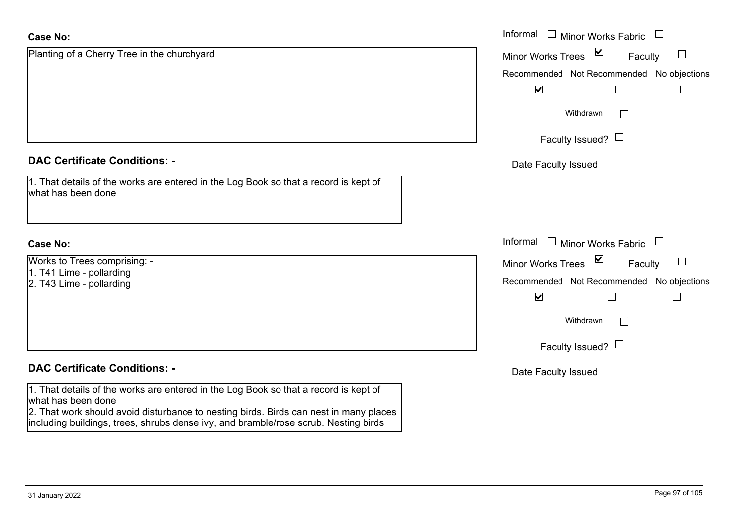| <b>Case No:</b>                                                                                                                                                              | Informal □ Minor Works Fabric<br>$\begin{array}{c} \hline \end{array}$ |
|------------------------------------------------------------------------------------------------------------------------------------------------------------------------------|------------------------------------------------------------------------|
| Planting of a Cherry Tree in the churchyard                                                                                                                                  | $\sum$<br>$\Box$<br>Minor Works Trees<br>Faculty                       |
|                                                                                                                                                                              | Recommended Not Recommended No objections                              |
|                                                                                                                                                                              | $\blacktriangledown$<br>$\Box$                                         |
|                                                                                                                                                                              | Withdrawn<br>$\Box$                                                    |
|                                                                                                                                                                              | Faculty Issued? $\Box$                                                 |
| <b>DAC Certificate Conditions: -</b>                                                                                                                                         | Date Faculty Issued                                                    |
| 1. That details of the works are entered in the Log Book so that a record is kept of<br>what has been done                                                                   |                                                                        |
| <b>Case No:</b>                                                                                                                                                              | Informal<br>$\Box$<br><b>Minor Works Fabric</b>                        |
| Works to Trees comprising: -                                                                                                                                                 | $\blacktriangledown$<br>$\Box$<br><b>Minor Works Trees</b><br>Faculty  |
| 1. T41 Lime - pollarding<br>2. T43 Lime - pollarding                                                                                                                         | Recommended Not Recommended No objections                              |
|                                                                                                                                                                              | $\blacktriangledown$<br>$\Box$<br>$\mathbf{I}$                         |
|                                                                                                                                                                              | Withdrawn<br>$\Box$                                                    |
|                                                                                                                                                                              | Faculty Issued? $\Box$                                                 |
| <b>DAC Certificate Conditions: -</b>                                                                                                                                         | Date Faculty Issued                                                    |
| 1. That details of the works are entered in the Log Book so that a record is kept of<br>what has been done                                                                   |                                                                        |
| 2. That work should avoid disturbance to nesting birds. Birds can nest in many places<br>including buildings, trees, shrubs dense ivy, and bramble/rose scrub. Nesting birds |                                                                        |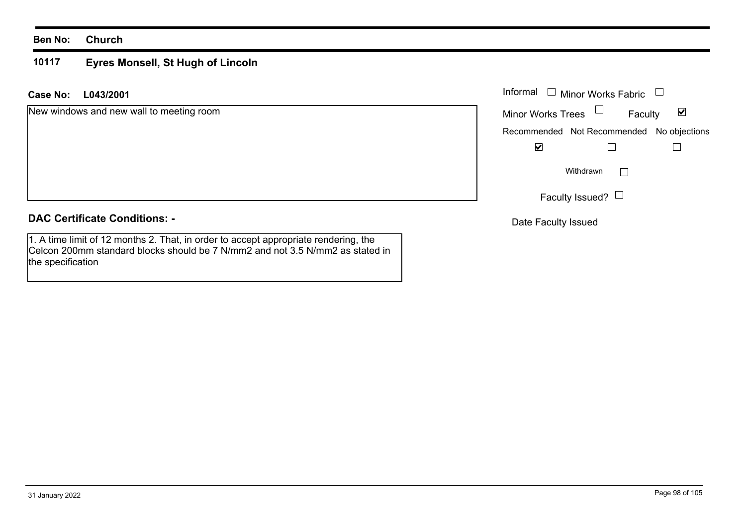## **Ben No: Church**

### **10117Eyres Monsell, St Hugh of Lincoln**

**L043/2001Case No:** Informal

| New windows and new wall to meeting room | $\blacktriangledown$<br>Minor Works Trees $\Box$<br>Faculty |
|------------------------------------------|-------------------------------------------------------------|
|                                          | Recommended Not Recommended No objections                   |
|                                          | <u>V</u>                                                    |
|                                          | Withdrawn<br>L                                              |
|                                          | Faculty Issued? $\Box$                                      |
| <b>BIAA</b> <i>I'I' I</i> A I'I'         |                                                             |

**DAC Certificate Conditions: -**

1. A time limit of 12 months 2. That, in order to accept appropriate rendering, the Celcon 200mm standard blocks should be 7 N/mm2 and not 3.5 N/mm2 as stated in the specification

Date Faculty Issued

Minor Works Fabric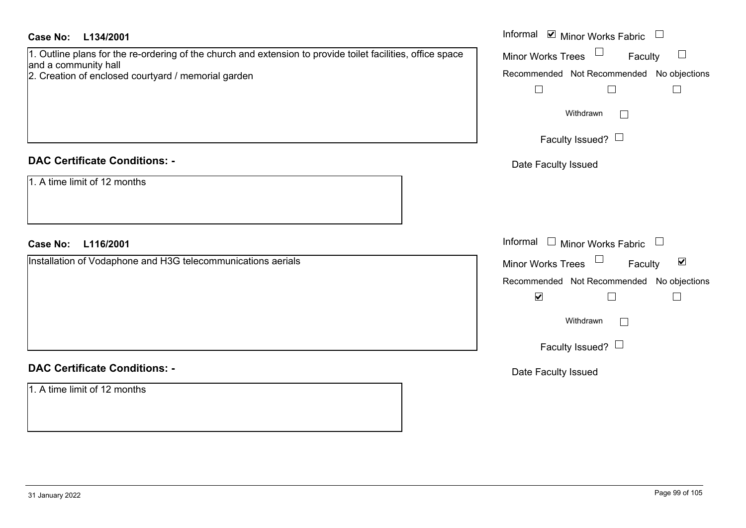| <b>Case No:</b><br>L134/2001                                                                                                                                                               | Informal $\blacksquare$ Minor Works Fabric $\Box$                                                                                                                                                                   |
|--------------------------------------------------------------------------------------------------------------------------------------------------------------------------------------------|---------------------------------------------------------------------------------------------------------------------------------------------------------------------------------------------------------------------|
| 1. Outline plans for the re-ordering of the church and extension to provide toilet facilities, office space<br>and a community hall<br>2. Creation of enclosed courtyard / memorial garden | Minor Works Trees<br>Faculty<br>$\Box$<br>Recommended Not Recommended No objections<br>$\Box$<br>$\Box$<br>$\Box$<br>Withdrawn<br>$\Box$<br>Faculty Issued? $\Box$                                                  |
| <b>DAC Certificate Conditions: -</b>                                                                                                                                                       | Date Faculty Issued                                                                                                                                                                                                 |
| 1. A time limit of 12 months                                                                                                                                                               |                                                                                                                                                                                                                     |
| <b>Case No:</b><br>L116/2001                                                                                                                                                               | Informal $\Box$ Minor Works Fabric<br>$\Box$                                                                                                                                                                        |
| Installation of Vodaphone and H3G telecommunications aerials                                                                                                                               | Minor Works Trees <sup>1</sup><br>$\blacktriangledown$<br>Faculty<br>Recommended Not Recommended No objections<br>$\blacktriangledown$<br>$\Box$<br>$\Box$<br>Withdrawn<br>$\mathbb{R}^n$<br>Faculty Issued? $\Box$ |
| <b>DAC Certificate Conditions: -</b>                                                                                                                                                       | Date Faculty Issued                                                                                                                                                                                                 |
| 1. A time limit of 12 months                                                                                                                                                               |                                                                                                                                                                                                                     |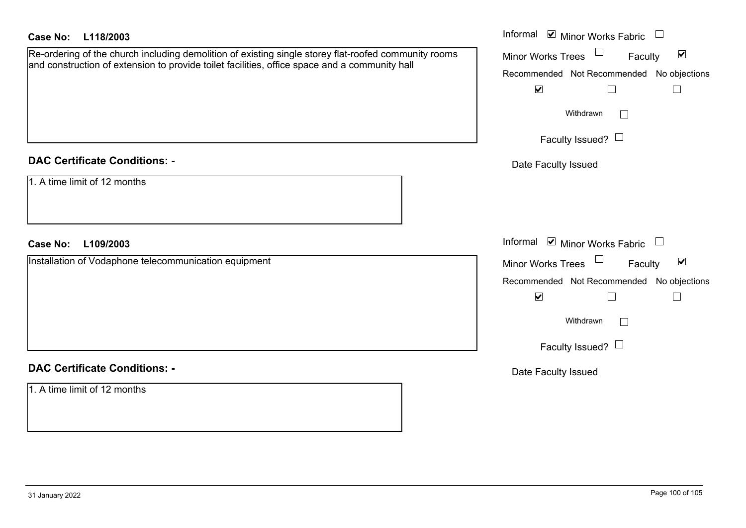| <b>Case No:</b><br>L118/2003                                                                                                                                                                          | Informal $\blacksquare$ Minor Works Fabric $\Box$                                                                                                |
|-------------------------------------------------------------------------------------------------------------------------------------------------------------------------------------------------------|--------------------------------------------------------------------------------------------------------------------------------------------------|
| Re-ordering of the church including demolition of existing single storey flat-roofed community rooms<br>and construction of extension to provide toilet facilities, office space and a community hall | Minor Works Trees<br>$\blacktriangledown$<br>Faculty<br>Recommended Not Recommended No objections<br>$\blacktriangledown$<br>$\Box$<br>Withdrawn |
|                                                                                                                                                                                                       | $\sim$<br>Faculty Issued? $\Box$                                                                                                                 |
| <b>DAC Certificate Conditions: -</b>                                                                                                                                                                  | Date Faculty Issued                                                                                                                              |
| 1. A time limit of 12 months                                                                                                                                                                          |                                                                                                                                                  |
| <b>Case No:</b><br>L109/2003                                                                                                                                                                          | Informal <b>v</b> Minor Works Fabric<br>$\overline{\phantom{a}}$                                                                                 |
| Installation of Vodaphone telecommunication equipment                                                                                                                                                 | Minor Works Trees<br>$\blacktriangledown$<br>Faculty                                                                                             |
|                                                                                                                                                                                                       | Recommended Not Recommended No objections                                                                                                        |
|                                                                                                                                                                                                       | $\blacktriangledown$<br>$\Box$<br>$\overline{\phantom{a}}$                                                                                       |
|                                                                                                                                                                                                       | Withdrawn<br>$\Box$                                                                                                                              |
|                                                                                                                                                                                                       | Faculty Issued? $\Box$                                                                                                                           |
| <b>DAC Certificate Conditions: -</b>                                                                                                                                                                  | Date Faculty Issued                                                                                                                              |
| 1. A time limit of 12 months                                                                                                                                                                          |                                                                                                                                                  |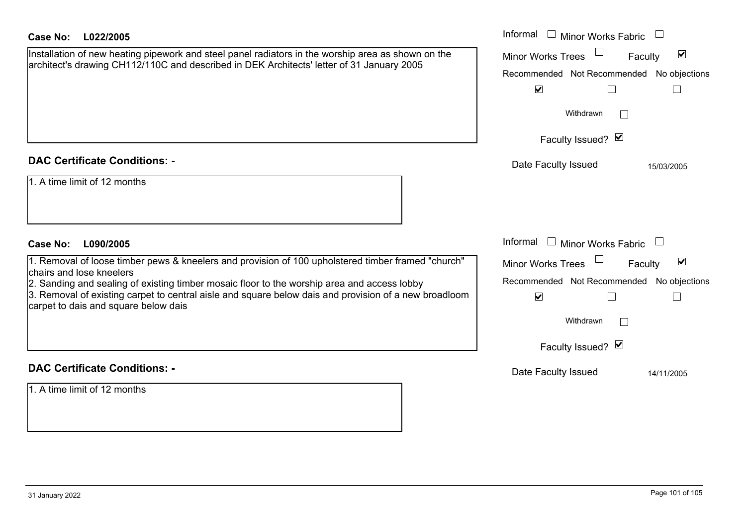| Case No:<br>L022/2005                                                                              | Informal<br>$\Box$ Minor Works Fabric                       |
|----------------------------------------------------------------------------------------------------|-------------------------------------------------------------|
| Installation of new heating pipework and steel panel radiators in the worship area as shown on the | Minor Works Trees<br>$\blacktriangledown$<br>Faculty        |
| architect's drawing CH112/110C and described in DEK Architects' letter of 31 January 2005          | Recommended Not Recommended No objections                   |
|                                                                                                    | $\blacktriangledown$                                        |
|                                                                                                    | Withdrawn                                                   |
|                                                                                                    | Faculty Issued? Ø                                           |
| <b>DAC Certificate Conditions: -</b>                                                               | Date Faculty Issued<br>15/03/2005                           |
| 1. A time limit of 12 months                                                                       |                                                             |
|                                                                                                    |                                                             |
|                                                                                                    |                                                             |
| Case No:<br>L090/2005                                                                              | Informal<br>Minor Works Fabric                              |
| 1. Removal of loose timber pews & kneelers and provision of 100 upholstered timber framed "church" | Minor Works Trees $\Box$<br>$\blacktriangledown$<br>Faculty |

chairs and lose kneelers

2. Sanding and sealing of existing timber mosaic floor to the worship area and access lobby

3. Removal of existing carpet to central aisle and square below dais and provision of a new broadloom carpet to dais and square below dais

# **DAC Certificate Conditions: -**

1. A time limit of 12 months

|                          | Informal $\Box$ Minor Works Fabric $\Box$ |  |
|--------------------------|-------------------------------------------|--|
| Minor Works Trees $\Box$ | Faculty                                   |  |
|                          | Recommended Not Recommended No objections |  |
|                          |                                           |  |
|                          |                                           |  |

 $\Box$ Withdrawn

Faculty Issued? Ø

Date Faculty Issued 14/11/2005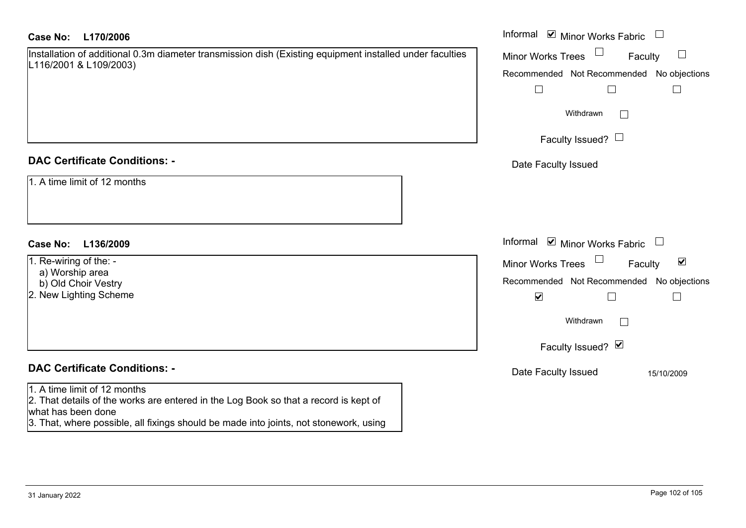| Case No:<br>L170/2006                                                                                                                                                                                                               | Informal <b>☑</b> Minor Works Fabric                      |
|-------------------------------------------------------------------------------------------------------------------------------------------------------------------------------------------------------------------------------------|-----------------------------------------------------------|
| Installation of additional 0.3m diameter transmission dish (Existing equipment installed under faculties<br>L116/2001 & L109/2003)                                                                                                  | <b>Minor Works Trees</b><br>$\Box$<br>Faculty             |
|                                                                                                                                                                                                                                     | Recommended Not Recommended No objections                 |
|                                                                                                                                                                                                                                     | $\Box$<br>$\Box$<br>$\Box$                                |
|                                                                                                                                                                                                                                     | Withdrawn<br>$\Box$                                       |
|                                                                                                                                                                                                                                     | Faculty Issued? $\Box$                                    |
| <b>DAC Certificate Conditions: -</b>                                                                                                                                                                                                | Date Faculty Issued                                       |
| 1. A time limit of 12 months                                                                                                                                                                                                        |                                                           |
| <b>Case No:</b><br>L136/2009                                                                                                                                                                                                        | Informal $\blacksquare$ Minor Works Fabric $\blacksquare$ |
| 1. Re-wiring of the: -                                                                                                                                                                                                              | $\blacktriangledown$<br>Minor Works Trees<br>Faculty      |
| a) Worship area                                                                                                                                                                                                                     | Recommended Not Recommended No objections                 |
| b) Old Choir Vestry<br>2. New Lighting Scheme                                                                                                                                                                                       | $\blacktriangledown$<br>$\Box$<br>$\Box$                  |
|                                                                                                                                                                                                                                     | Withdrawn                                                 |
|                                                                                                                                                                                                                                     | Faculty Issued? Ø                                         |
| <b>DAC Certificate Conditions: -</b>                                                                                                                                                                                                | Date Faculty Issued<br>15/10/2009                         |
| 1. A time limit of 12 months<br>2. That details of the works are entered in the Log Book so that a record is kept of<br>what has been done<br>3. That, where possible, all fixings should be made into joints, not stonework, using |                                                           |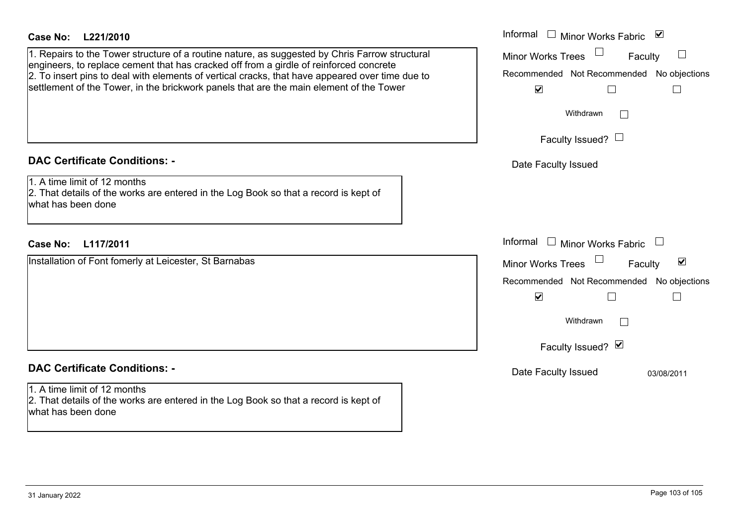# **L221/2010Case No:** Informal

1. Repairs to the Tower structure of a routine nature, as suggested by Chris Farrow structural engineers, to replace cement that has cracked off from a girdle of reinforced concrete 2. To insert pins to deal with elements of vertical cracks, that have appeared over time due to settlement of the Tower, in the brickwork panels that are the main element of the Tower

## **DAC Certificate Conditions: -**

1. A time limit of 12 months

2. That details of the works are entered in the Log Book so that a record is kept of what has been done

# **L117/2011Case No:** Informal

Installation of Font fomerly at Leicester, St Barnabas

## **DAC Certificate Conditions: -**

1. A time limit of 12 months2. That details of the works are entered in the Log Book so that a record is kept of what has been done

| Informal<br>⊻<br>Minor Works Fabric                            |
|----------------------------------------------------------------|
| <b>Minor Works Trees</b><br>Faculty                            |
| Recommended Not Recommended No objections                      |
| $\blacktriangledown$                                           |
| Withdrawn                                                      |
| Faculty Issued?                                                |
| Date Faculty Issued                                            |
|                                                                |
|                                                                |
|                                                                |
| Informal<br>$\Box$<br><b>Minor Works Fabric</b>                |
| $\overline{\mathbf{v}}$<br><b>Minor Works Trees</b><br>Faculty |
| Recommended Not Recommended No objections                      |
| V                                                              |
| Withdrawn                                                      |
| Faculty Issued? Ø                                              |
| Date Faculty Issued<br>03/08/2011                              |
|                                                                |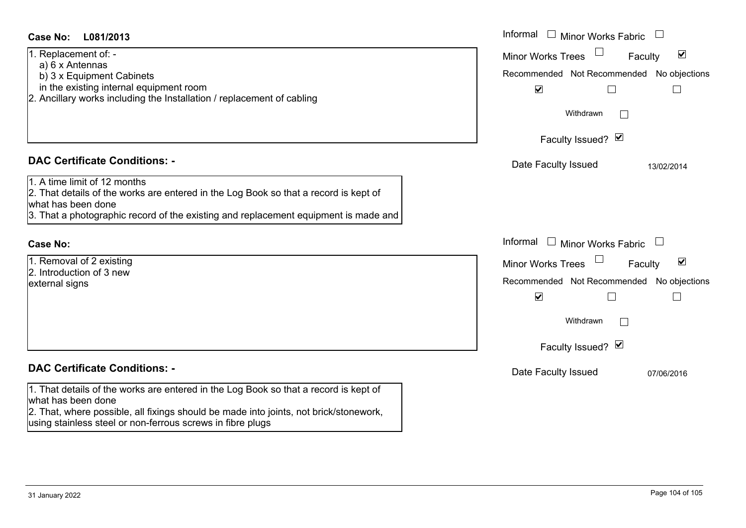### Informal  $\Box$  Minor Works Fabric  $\Box$ **L081/2013Case No:** Informal Minor Works Trees<sup>1</sup> 1. Replacement of: -  $\blacktriangledown$ Faculty a) 6 x Antennas b) 3 x Equipment Cabinets Recommended Not Recommended No objections in the existing internal equipment room  $\overline{\mathbf{v}}$  $\Box$  $\Box$ 2. Ancillary works including the Installation / replacement of cabling Withdrawn $\Box$ Faculty Issued? Ø **DAC Certificate Conditions: -**Date Faculty Issued 13/02/2014 1. A time limit of 12 months2. That details of the works are entered in the Log Book so that a record is kept of what has been done3. That a photographic record of the existing and replacement equipment is made and Informal  $\Box$  Minor Works Fabric  $\Box$  Informal **Case No:**1. Removal of 2 existing Faculty  $\overline{\mathbf{v}}$ Minor Works Trees 2. Introduction of 3 newRecommended Not Recommended No objections external signs  $\overline{\mathbf{v}}$  $\Box$  $\Box$ Withdrawn $\Box$ Faculty Issued? Ø **DAC Certificate Conditions: -**Date Faculty Issued 07/06/2016 1. That details of the works are entered in the Log Book so that a record is kept of what has been done 2. That, where possible, all fixings should be made into joints, not brick/stonework,

using stainless steel or non-ferrous screws in fibre plugs